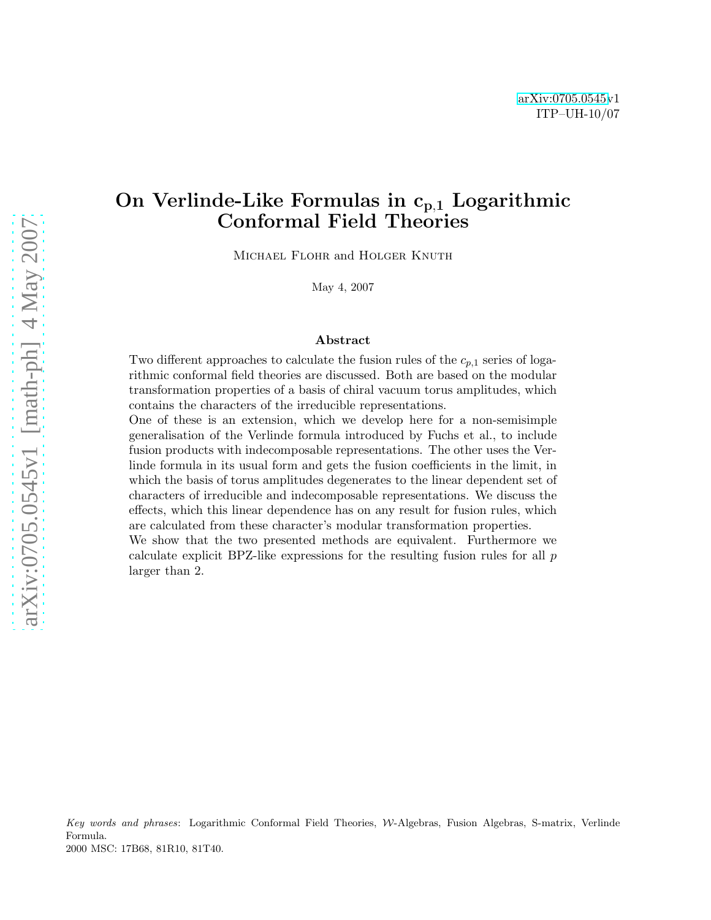# On Verlinde-Like Formulas in  $c_{p,1}$  Logarithmic Conformal Field Theories

MICHAEL FLOHR and HOLGER KNUTH

May 4, 2007

#### Abstract

Two different approaches to calculate the fusion rules of the  $c_{p,1}$  series of logarithmic conformal field theories are discussed. Both are based on the modular transformation properties of a basis of chiral vacuum torus amplitudes, which contains the characters of the irreducible representations.

One of these is an extension, which we develop here for a non-semisimple generalisation of the Verlinde formula introduced by Fuchs et al., to include fusion products with indecomposable representations. The other uses the Verlinde formula in its usual form and gets the fusion coefficients in the limit, in which the basis of torus amplitudes degenerates to the linear dependent set of characters of irreducible and indecomposable representations. We discuss the effects, which this linear dependence has on any result for fusion rules, which are calculated from these character's modular transformation properties.

We show that the two presented methods are equivalent. Furthermore we calculate explicit BPZ-like expressions for the resulting fusion rules for all p larger than 2.

Key words and phrases: Logarithmic Conformal Field Theories, W-Algebras, Fusion Algebras, S-matrix, Verlinde Formula. 2000 MSC: 17B68, 81R10, 81T40.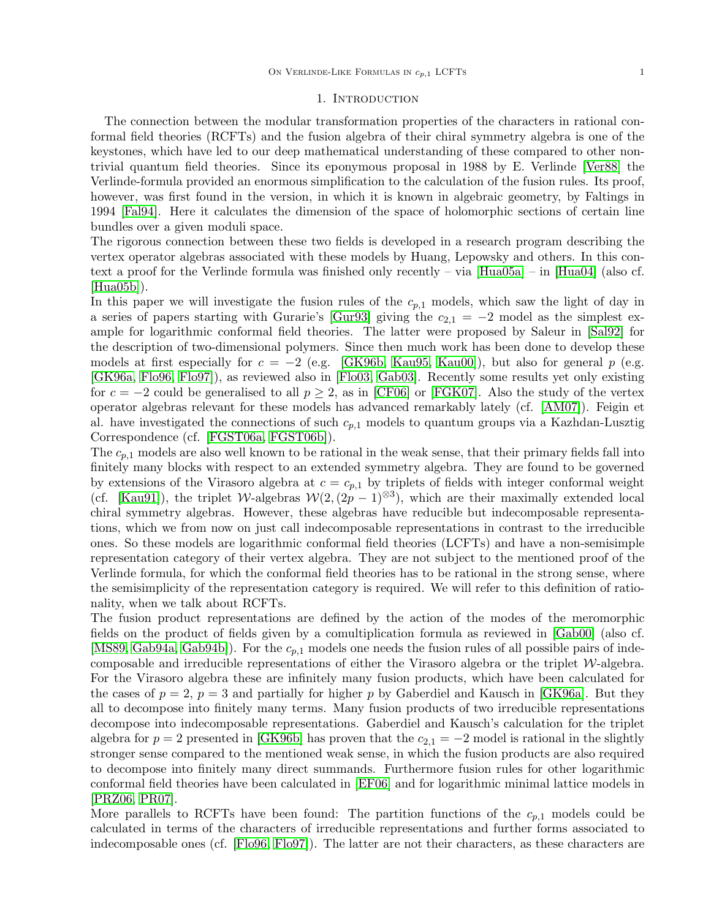#### 1. Introduction

The connection between the modular transformation properties of the characters in rational conformal field theories (RCFTs) and the fusion algebra of their chiral symmetry algebra is one of the keystones, which have led to our deep mathematical understanding of these compared to other nontrivial quantum field theories. Since its eponymous proposal in 1988 by E. Verlinde [\[Ver88\]](#page-38-0) the Verlinde-formula provided an enormous simplification to the calculation of the fusion rules. Its proof, however, was first found in the version, in which it is known in algebraic geometry, by Faltings in 1994 [\[Fal94\]](#page-37-0). Here it calculates the dimension of the space of holomorphic sections of certain line bundles over a given moduli space.

The rigorous connection between these two fields is developed in a research program describing the vertex operator algebras associated with these models by Huang, Lepowsky and others. In this context a proof for the Verlinde formula was finished only recently – via [\[Hua05a\]](#page-38-1) – in [\[Hua04\]](#page-38-2) (also cf. [\[Hua05b\]](#page-38-3)).

In this paper we will investigate the fusion rules of the  $c_{p,1}$  models, which saw the light of day in a series of papers starting with Gurarie's [\[Gur93\]](#page-38-4) giving the  $c_{2,1} = -2$  model as the simplest example for logarithmic conformal field theories. The latter were proposed by Saleur in [\[Sal92\]](#page-38-5) for the description of two-dimensional polymers. Since then much work has been done to develop these models at first especially for  $c = -2$  (e.g. [\[GK96b,](#page-38-6) [Kau95,](#page-38-7) [Kau00\]](#page-38-8)), but also for general p (e.g. [\[GK96a,](#page-38-9) [Flo96,](#page-37-1) [Flo97\]](#page-37-2)), as reviewed also in [\[Flo03,](#page-37-3) [Gab03\]](#page-38-10). Recently some results yet only existing for  $c = -2$  could be generalised to all  $p \geq 2$ , as in [\[CF06\]](#page-37-4) or [\[FGK07\]](#page-37-5). Also the study of the vertex operator algebras relevant for these models has advanced remarkably lately (cf. [\[AM07\]](#page-37-6)). Feigin et al. have investigated the connections of such  $c_{p,1}$  models to quantum groups via a Kazhdan-Lusztig Correspondence (cf. [\[FGST06a,](#page-37-7) [FGST06b\]](#page-37-8)).

The  $c_{p,1}$  models are also well known to be rational in the weak sense, that their primary fields fall into finitely many blocks with respect to an extended symmetry algebra. They are found to be governed by extensions of the Virasoro algebra at  $c = c_{p,1}$  by triplets of fields with integer conformal weight (cf. [\[Kau91\]](#page-38-11)), the triplet W-algebras  $W(2,(2p-1)^{\otimes 3})$ , which are their maximally extended local chiral symmetry algebras. However, these algebras have reducible but indecomposable representations, which we from now on just call indecomposable representations in contrast to the irreducible ones. So these models are logarithmic conformal field theories (LCFTs) and have a non-semisimple representation category of their vertex algebra. They are not subject to the mentioned proof of the Verlinde formula, for which the conformal field theories has to be rational in the strong sense, where the semisimplicity of the representation category is required. We will refer to this definition of rationality, when we talk about RCFTs.

The fusion product representations are defined by the action of the modes of the meromorphic fields on the product of fields given by a comultiplication formula as reviewed in [\[Gab00\]](#page-37-9) (also cf. [\[MS89,](#page-38-12) [Gab94a,](#page-37-10) [Gab94b\]](#page-37-11)). For the  $c_{p,1}$  models one needs the fusion rules of all possible pairs of indecomposable and irreducible representations of either the Virasoro algebra or the triplet  $W$ -algebra. For the Virasoro algebra these are infinitely many fusion products, which have been calculated for the cases of  $p = 2$ ,  $p = 3$  and partially for higher p by Gaberdiel and Kausch in [\[GK96a\]](#page-38-9). But they all to decompose into finitely many terms. Many fusion products of two irreducible representations decompose into indecomposable representations. Gaberdiel and Kausch's calculation for the triplet algebra for  $p = 2$  presented in [\[GK96b\]](#page-38-6) has proven that the  $c_{2,1} = -2$  model is rational in the slightly stronger sense compared to the mentioned weak sense, in which the fusion products are also required to decompose into finitely many direct summands. Furthermore fusion rules for other logarithmic conformal field theories have been calculated in [\[EF06\]](#page-37-12) and for logarithmic minimal lattice models in [\[PRZ06,](#page-38-13) [PR07\]](#page-38-14).

More parallels to RCFTs have been found: The partition functions of the  $c_{p,1}$  models could be calculated in terms of the characters of irreducible representations and further forms associated to indecomposable ones (cf. [\[Flo96,](#page-37-1) [Flo97\]](#page-37-2)). The latter are not their characters, as these characters are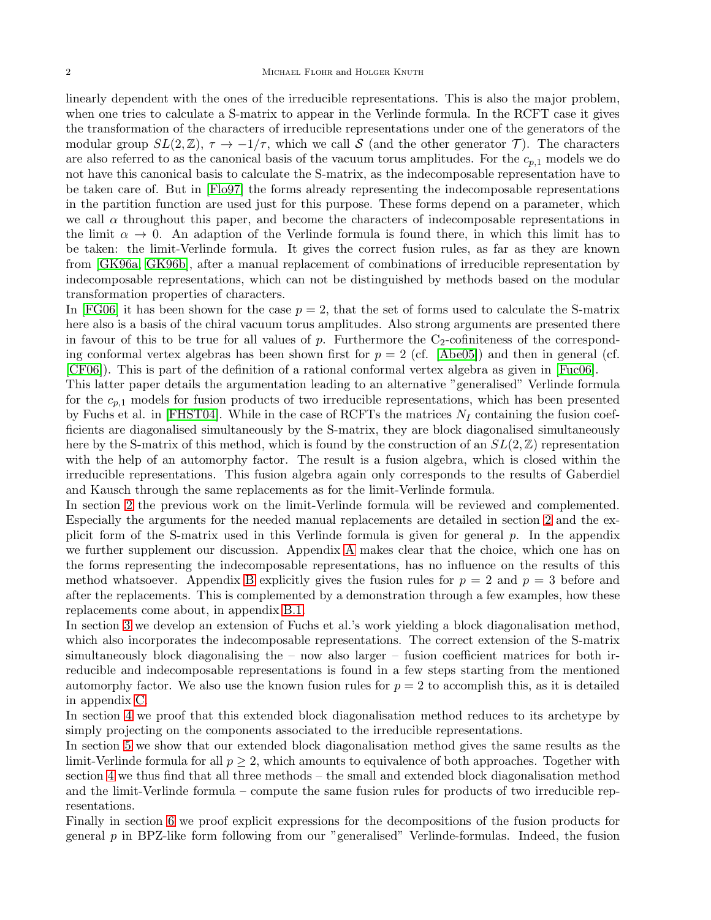linearly dependent with the ones of the irreducible representations. This is also the major problem, when one tries to calculate a S-matrix to appear in the Verlinde formula. In the RCFT case it gives the transformation of the characters of irreducible representations under one of the generators of the modular group  $SL(2,\mathbb{Z})$ ,  $\tau \to -1/\tau$ , which we call S (and the other generator  $\mathcal{T}$ ). The characters are also referred to as the canonical basis of the vacuum torus amplitudes. For the  $c_{p,1}$  models we do not have this canonical basis to calculate the S-matrix, as the indecomposable representation have to be taken care of. But in [\[Flo97\]](#page-37-2) the forms already representing the indecomposable representations in the partition function are used just for this purpose. These forms depend on a parameter, which we call  $\alpha$  throughout this paper, and become the characters of indecomposable representations in the limit  $\alpha \to 0$ . An adaption of the Verlinde formula is found there, in which this limit has to be taken: the limit-Verlinde formula. It gives the correct fusion rules, as far as they are known from [\[GK96a,](#page-38-9) [GK96b\]](#page-38-6), after a manual replacement of combinations of irreducible representation by indecomposable representations, which can not be distinguished by methods based on the modular transformation properties of characters.

In [\[FG06\]](#page-37-13) it has been shown for the case  $p = 2$ , that the set of forms used to calculate the S-matrix here also is a basis of the chiral vacuum torus amplitudes. Also strong arguments are presented there in favour of this to be true for all values of  $p$ . Furthermore the  $C_2$ -cofiniteness of the corresponding conformal vertex algebras has been shown first for  $p = 2$  (cf. [\[Abe05\]](#page-37-14)) and then in general (cf. [\[CF06\]](#page-37-4)). This is part of the definition of a rational conformal vertex algebra as given in [\[Fuc06\]](#page-37-15).

This latter paper details the argumentation leading to an alternative "generalised" Verlinde formula for the  $c_{p,1}$  models for fusion products of two irreducible representations, which has been presented by Fuchs et al. in [\[FHST04\]](#page-37-16). While in the case of RCFTs the matrices  $N_I$  containing the fusion coefficients are diagonalised simultaneously by the S-matrix, they are block diagonalised simultaneously here by the S-matrix of this method, which is found by the construction of an  $SL(2,\mathbb{Z})$  representation with the help of an automorphy factor. The result is a fusion algebra, which is closed within the irreducible representations. This fusion algebra again only corresponds to the results of Gaberdiel and Kausch through the same replacements as for the limit-Verlinde formula.

In section [2](#page-3-0) the previous work on the limit-Verlinde formula will be reviewed and complemented. Especially the arguments for the needed manual replacements are detailed in section [2](#page-3-0) and the explicit form of the S-matrix used in this Verlinde formula is given for general  $p$ . In the appendix we further supplement our discussion. Appendix [A](#page-28-0) makes clear that the choice, which one has on the forms representing the indecomposable representations, has no influence on the results of this method whatsoever. Appendix [B](#page-29-0) explicitly gives the fusion rules for  $p = 2$  and  $p = 3$  before and after the replacements. This is complemented by a demonstration through a few examples, how these replacements come about, in appendix [B.1.](#page-29-1)

In section [3](#page-7-0) we develop an extension of Fuchs et al.'s work yielding a block diagonalisation method, which also incorporates the indecomposable representations. The correct extension of the S-matrix simultaneously block diagonalising the – now also larger – fusion coefficient matrices for both irreducible and indecomposable representations is found in a few steps starting from the mentioned automorphy factor. We also use the known fusion rules for  $p = 2$  to accomplish this, as it is detailed in appendix [C.](#page-31-0)

In section [4](#page-15-0) we proof that this extended block diagonalisation method reduces to its archetype by simply projecting on the components associated to the irreducible representations.

In section [5](#page-17-0) we show that our extended block diagonalisation method gives the same results as the limit-Verlinde formula for all  $p \geq 2$ , which amounts to equivalence of both approaches. Together with section [4](#page-15-0) we thus find that all three methods – the small and extended block diagonalisation method and the limit-Verlinde formula – compute the same fusion rules for products of two irreducible representations.

Finally in section [6](#page-21-0) we proof explicit expressions for the decompositions of the fusion products for general  $p$  in BPZ-like form following from our "generalised" Verlinde-formulas. Indeed, the fusion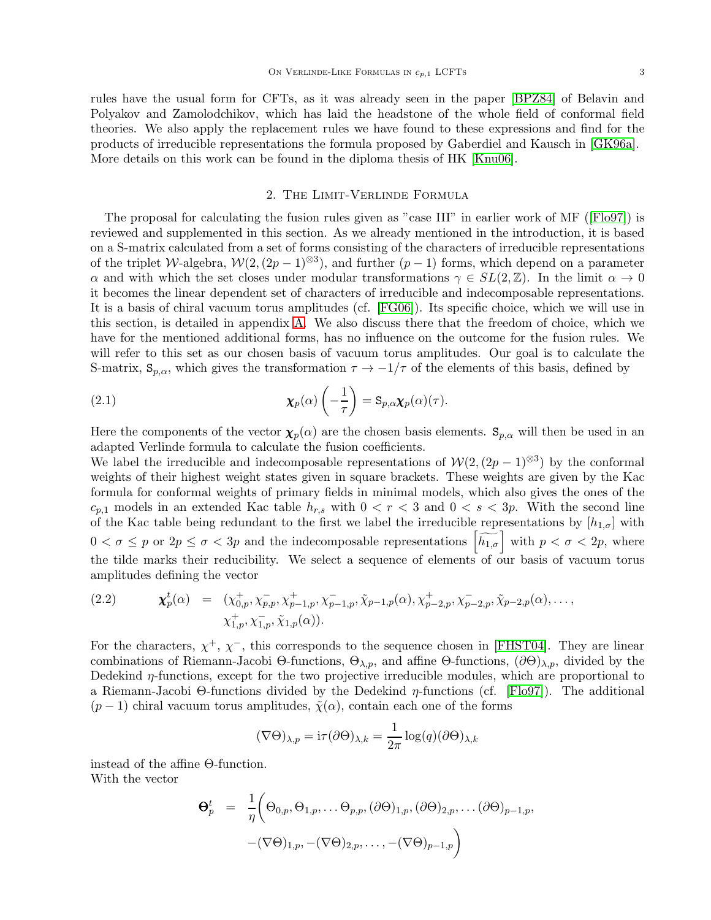rules have the usual form for CFTs, as it was already seen in the paper [\[BPZ84\]](#page-37-17) of Belavin and Polyakov and Zamolodchikov, which has laid the headstone of the whole field of conformal field theories. We also apply the replacement rules we have found to these expressions and find for the products of irreducible representations the formula proposed by Gaberdiel and Kausch in [\[GK96a\]](#page-38-9). More details on this work can be found in the diploma thesis of HK [\[Knu06\]](#page-38-15).

# 2. The Limit-Verlinde Formula

<span id="page-3-0"></span>The proposal for calculating the fusion rules given as "case III" in earlier work of MF ([\[Flo97\]](#page-37-2)) is reviewed and supplemented in this section. As we already mentioned in the introduction, it is based on a S-matrix calculated from a set of forms consisting of the characters of irreducible representations of the triplet W-algebra,  $W(2,(2p-1)^{\otimes 3})$ , and further  $(p-1)$  forms, which depend on a parameter  $\alpha$  and with which the set closes under modular transformations  $\gamma \in SL(2,\mathbb{Z})$ . In the limit  $\alpha \to 0$ it becomes the linear dependent set of characters of irreducible and indecomposable representations. It is a basis of chiral vacuum torus amplitudes (cf. [\[FG06\]](#page-37-13)). Its specific choice, which we will use in this section, is detailed in appendix [A.](#page-28-0) We also discuss there that the freedom of choice, which we have for the mentioned additional forms, has no influence on the outcome for the fusion rules. We will refer to this set as our chosen basis of vacuum torus amplitudes. Our goal is to calculate the S-matrix,  $S_{p,\alpha}$ , which gives the transformation  $\tau \to -1/\tau$  of the elements of this basis, defined by

<span id="page-3-1"></span>(2.1) 
$$
\chi_p(\alpha)\left(-\frac{1}{\tau}\right) = \mathbf{S}_{p,\alpha}\chi_p(\alpha)(\tau).
$$

Here the components of the vector  $\chi_p(\alpha)$  are the chosen basis elements.  $S_{p,\alpha}$  will then be used in an adapted Verlinde formula to calculate the fusion coefficients.

We label the irreducible and indecomposable representations of  $\mathcal{W}(2,(2p-1)^{\otimes 3})$  by the conformal weights of their highest weight states given in square brackets. These weights are given by the Kac formula for conformal weights of primary fields in minimal models, which also gives the ones of the  $c_{p,1}$  models in an extended Kac table  $h_{r,s}$  with  $0 < r < 3$  and  $0 < s < 3p$ . With the second line of the Kac table being redundant to the first we label the irreducible representations by  $[h_{1,\sigma}]$  with  $0 < \sigma \le p$  or  $2p \le \sigma < 3p$  and the indecomposable representations  $\left[\widetilde{h_{1,\sigma}}\right]$  with  $p < \sigma < 2p$ , where the tilde marks their reducibility. We select a sequence of elements of our basis of vacuum torus amplitudes defining the vector

<span id="page-3-2"></span>(2.2) 
$$
\mathbf{x}_p^t(\alpha) = (\chi_{0,p}^+, \chi_{p,p}^-, \chi_{p-1,p}^+, \chi_{p-1,p}^-, \tilde{\chi}_{p-1,p}(\alpha), \chi_{p-2,p}^+, \chi_{p-2,p}^-, \tilde{\chi}_{p-2,p}(\alpha), \dots, \chi_{1,p}^+, \chi_{1,p}^-, \tilde{\chi}_{1,p}(\alpha)).
$$

For the characters,  $\chi^+$ ,  $\chi^-$ , this corresponds to the sequence chosen in [\[FHST04\]](#page-37-16). They are linear combinations of Riemann-Jacobi Θ-functions,  $\Theta_{\lambda,p}$ , and affine Θ-functions,  $(\partial \Theta)_{\lambda,p}$ , divided by the Dedekind  $\eta$ -functions, except for the two projective irreducible modules, which are proportional to a Riemann-Jacobi Θ-functions divided by the Dedekind  $η$ -functions (cf. [\[Flo97\]](#page-37-2)). The additional  $(p-1)$  chiral vacuum torus amplitudes,  $\tilde{\chi}(\alpha)$ , contain each one of the forms

$$
(\nabla \Theta)_{\lambda,p} = i\tau(\partial \Theta)_{\lambda,k} = \frac{1}{2\pi} \log(q) (\partial \Theta)_{\lambda,k}
$$

instead of the affine Θ-function. With the vector

$$
\Theta_p^t = \frac{1}{\eta} \Big( \Theta_{0,p}, \Theta_{1,p}, \dots \Theta_{p,p}, (\partial \Theta)_{1,p}, (\partial \Theta)_{2,p}, \dots (\partial \Theta)_{p-1,p},
$$

$$
-(\nabla \Theta)_{1,p}, -(\nabla \Theta)_{2,p}, \dots, -(\nabla \Theta)_{p-1,p} \Big)
$$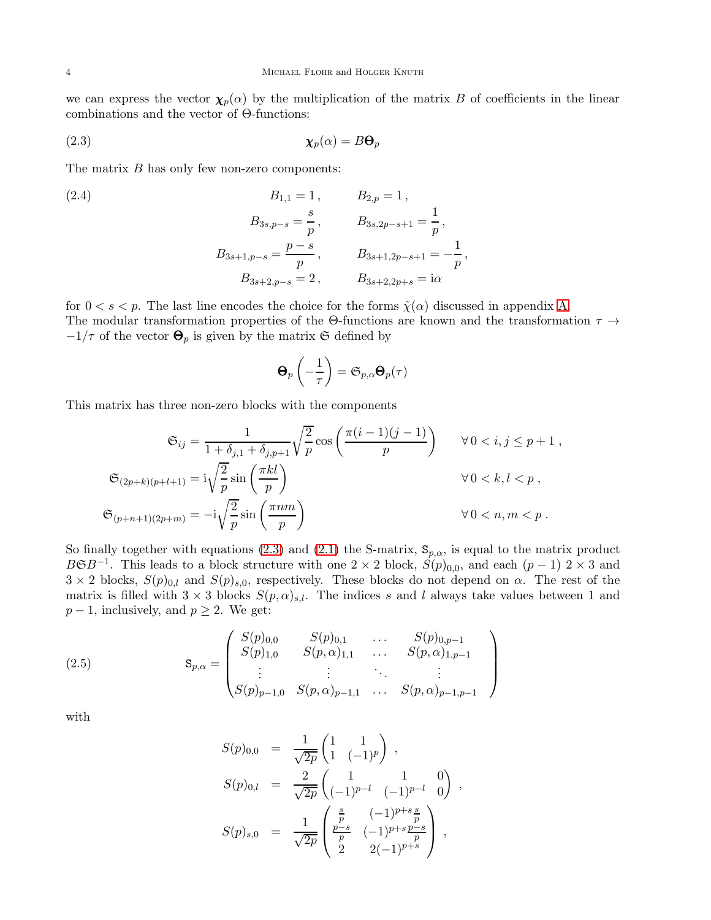we can express the vector  $\chi_p(\alpha)$  by the multiplication of the matrix B of coefficients in the linear combinations and the vector of Θ-functions:

$$
\chi_p(\alpha) = B\Theta_p
$$

The matrix  $B$  has only few non-zero components:

(2.4)  
\n
$$
B_{1,1} = 1, \t B_{2,p} = 1,
$$
\n
$$
B_{3s,p-s} = \frac{s}{p}, \t B_{3s,2p-s+1} = \frac{1}{p},
$$
\n
$$
B_{3s+1,p-s} = \frac{p-s}{p}, \t B_{3s+1,2p-s+1} = -\frac{1}{p},
$$
\n
$$
B_{3s+2,p-s} = 2, \t B_{3s+2,2p+s} = i\alpha
$$

for  $0 < s < p$ . The last line encodes the choice for the forms  $\tilde{\chi}(\alpha)$  discussed in appendix [A.](#page-28-0) The modular transformation properties of the Θ-functions are known and the transformation  $\tau \rightarrow$  $-1/\tau$  of the vector  $\Theta_p$  is given by the matrix G defined by

<span id="page-4-1"></span><span id="page-4-0"></span>
$$
\boldsymbol{\Theta}_p\left(-\frac{1}{\tau}\right) = \mathfrak{S}_{p,\alpha} \boldsymbol{\Theta}_p(\tau)
$$

This matrix has three non-zero blocks with the components

$$
\mathfrak{S}_{ij} = \frac{1}{1 + \delta_{j,1} + \delta_{j,p+1}} \sqrt{\frac{2}{p}} \cos\left(\frac{\pi(i-1)(j-1)}{p}\right) \qquad \forall 0 < i, j \leq p+1,
$$
  

$$
\mathfrak{S}_{(2p+k)(p+l+1)} = i\sqrt{\frac{2}{p}} \sin\left(\frac{\pi k l}{p}\right) \qquad \forall 0 < k, l < p,
$$
  

$$
\mathfrak{S}_{(p+n+1)(2p+m)} = -i\sqrt{\frac{2}{p}} \sin\left(\frac{\pi n m}{p}\right) \qquad \forall 0 < n, m < p.
$$

So finally together with equations [\(2.3\)](#page-4-0) and [\(2.1\)](#page-3-1) the S-matrix,  $S_{p,\alpha}$ , is equal to the matrix product  $B\mathfrak{S}B^{-1}$ . This leads to a block structure with one 2 × 2 block,  $S(p)_{0,0}$ , and each  $(p-1)$  2 × 3 and  $3 \times 2$  blocks,  $S(p)_{0,l}$  and  $S(p)_{s,0}$ , respectively. These blocks do not depend on  $\alpha$ . The rest of the matrix is filled with  $3 \times 3$  blocks  $S(p, \alpha)_{s,l}$ . The indices s and l always take values between 1 and  $p-1$ , inclusively, and  $p \geq 2$ . We get:

(2.5) 
$$
\mathbf{S}_{p,\alpha} = \begin{pmatrix} S(p)_{0,0} & S(p)_{0,1} & \dots & S(p)_{0,p-1} \\ S(p)_{1,0} & S(p,\alpha)_{1,1} & \dots & S(p,\alpha)_{1,p-1} \\ \vdots & \vdots & \ddots & \vdots \\ S(p)_{p-1,0} & S(p,\alpha)_{p-1,1} & \dots & S(p,\alpha)_{p-1,p-1} \end{pmatrix}
$$

with

<span id="page-4-2"></span>
$$
S(p)_{0,0} = \frac{1}{\sqrt{2p}} \begin{pmatrix} 1 & 1 \ 1 & (-1)^p \end{pmatrix} ,
$$
  
\n
$$
S(p)_{0,l} = \frac{2}{\sqrt{2p}} \begin{pmatrix} 1 & 1 & 0 \ (-1)^{p-l} & (-1)^{p-l} & 0 \end{pmatrix} ,
$$
  
\n
$$
S(p)_{s,0} = \frac{1}{\sqrt{2p}} \begin{pmatrix} \frac{s}{p} & (-1)^{p+s} \ \frac{p-s}{p} & (-1)^{p+s} \ 2 & 2(-1)^{p+s} \end{pmatrix} ,
$$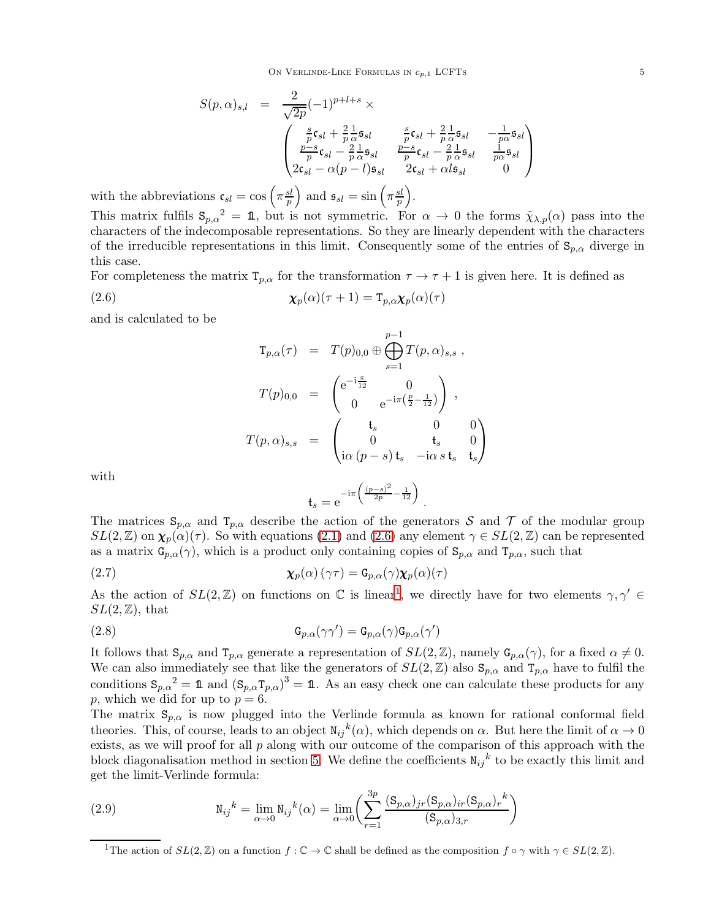$$
S(p, \alpha)_{s,l} = \frac{2}{\sqrt{2p}}(-1)^{p+l+s} \times \left\{ \begin{array}{lcl} \frac{s}{p} \mathfrak{c}_{sl} + \frac{2}{p} \frac{1}{\alpha} \mathfrak{s}_{sl} & \frac{s}{p} \mathfrak{c}_{sl} + \frac{2}{p} \frac{1}{\alpha} \mathfrak{s}_{sl} & -\frac{1}{p\alpha} \mathfrak{s}_{sl} \\ \frac{p-s}{p} \mathfrak{c}_{sl} - \frac{2}{p} \frac{1}{\alpha} \mathfrak{s}_{sl} & \frac{p-s}{p} \mathfrak{c}_{sl} - \frac{2}{p} \frac{1}{\alpha} \mathfrak{s}_{sl} & \frac{1}{p\alpha} \mathfrak{s}_{sl} \\ 2\mathfrak{c}_{sl} - \alpha(p-l)\mathfrak{s}_{sl} & 2\mathfrak{c}_{sl} + \alpha l \mathfrak{s}_{sl} & 0 \end{array} \right.
$$

with the abbreviations  $\mathfrak{c}_{sl} = \cos\left(\pi \frac{sl}{n}\right)$ p ) and  $\mathfrak{s}_{sl} = \sin\left(\pi \frac{sl}{n}\right)$ p .

This matrix fulfils  $S_{p,\alpha}^2 = \mathbb{1}$ , but is not symmetric. For  $\alpha \to 0$  the forms  $\tilde{\chi}_{\lambda,p}(\alpha)$  pass into the characters of the indecomposable representations. So they are linearly dependent with the characters of the irreducible representations in this limit. Consequently some of the entries of  $S_{p,\alpha}$  diverge in this case.

For completeness the matrix  $T_{p,\alpha}$  for the transformation  $\tau \to \tau + 1$  is given here. It is defined as (2.6)  $\chi_p(\alpha)(\tau + 1) = \mathbb{T}_{p,\alpha}\chi_p(\alpha)(\tau)$ 

and is calculated to be

<span id="page-5-0"></span>
$$
T_{p,\alpha}(\tau) = T(p)_{0,0} \oplus \bigoplus_{s=1}^{p-1} T(p,\alpha)_{s,s} ,
$$
  

$$
T(p)_{0,0} = \begin{pmatrix} e^{-i\frac{\pi}{12}} & 0 \\ 0 & e^{-i\pi(\frac{p}{2}-\frac{1}{12})} \end{pmatrix} ,
$$
  

$$
T(p,\alpha)_{s,s} = \begin{pmatrix} \mathfrak{t}_s & 0 & 0 \\ 0 & \mathfrak{t}_s & 0 \\ i\alpha(p-s) \mathfrak{t}_s & -i\alpha s \mathfrak{t}_s & \mathfrak{t}_s \end{pmatrix}
$$

with

<span id="page-5-4"></span><span id="page-5-3"></span>
$$
\mathfrak{t}_s = e^{-\mathrm{i}\pi \left( \frac{(p-s)^2}{2p} - \frac{1}{12} \right)}.
$$

The matrices  $S_{p,\alpha}$  and  $T_{p,\alpha}$  describe the action of the generators S and T of the modular group  $SL(2,\mathbb{Z})$  on  $\chi_p(\alpha)(\tau)$ . So with equations [\(2.1\)](#page-3-1) and [\(2.6\)](#page-5-0) any element  $\gamma \in SL(2,\mathbb{Z})$  can be represented as a matrix  $G_{p,\alpha}(\gamma)$ , which is a product only containing copies of  $S_{p,\alpha}$  and  $T_{p,\alpha}$ , such that

(2.7) 
$$
\chi_p(\alpha) (\gamma \tau) = G_{p,\alpha}(\gamma) \chi_p(\alpha) (\tau)
$$

As the action of  $SL(2,\mathbb{Z})$  on functions on  $\mathbb{C}$  is linear<sup>[1](#page-5-1)</sup>, we directly have for two elements  $\gamma, \gamma' \in \mathbb{C}$  $SL(2,\mathbb{Z})$ , that

(2.8) 
$$
\mathbf{G}_{p,\alpha}(\gamma\gamma') = \mathbf{G}_{p,\alpha}(\gamma)\mathbf{G}_{p,\alpha}(\gamma')
$$

It follows that  $S_{p,\alpha}$  and  $T_{p,\alpha}$  generate a representation of  $SL(2,\mathbb{Z})$ , namely  $G_{p,\alpha}(\gamma)$ , for a fixed  $\alpha \neq 0$ . We can also immediately see that like the generators of  $SL(2,\mathbb{Z})$  also  $S_{p,\alpha}$  and  $T_{p,\alpha}$  have to fulfil the conditions  $S_{p,\alpha}^2 = \mathbb{1}$  and  $(S_{p,\alpha}T_{p,\alpha})^3 = \mathbb{1}$ . As an easy check one can calculate these products for any p, which we did for up to  $p = 6$ .

The matrix  $S_{p,\alpha}$  is now plugged into the Verlinde formula as known for rational conformal field theories. This, of course, leads to an object  $N_{ij}{}^k(\alpha)$ , which depends on  $\alpha$ . But here the limit of  $\alpha \to 0$ exists, as we will proof for all  $p$  along with our outcome of the comparison of this approach with the block diagonalisation method in section [5.](#page-17-0) We define the coefficients  $N_{ij}{}^k$  to be exactly this limit and get the limit-Verlinde formula:

(2.9) 
$$
N_{ij}^{k} = \lim_{\alpha \to 0} N_{ij}^{k}(\alpha) = \lim_{\alpha \to 0} \left( \sum_{r=1}^{3p} \frac{(S_{p,\alpha})_{jr}(S_{p,\alpha})_{ir}(S_{p,\alpha})_{r}^{k}}{(S_{p,\alpha})_{3,r}} \right)
$$

 $\setminus$ 

 $\vert$ 

<span id="page-5-2"></span><span id="page-5-1"></span><sup>&</sup>lt;sup>1</sup>The action of  $SL(2, \mathbb{Z})$  on a function  $f : \mathbb{C} \to \mathbb{C}$  shall be defined as the composition  $f \circ \gamma$  with  $\gamma \in SL(2, \mathbb{Z})$ .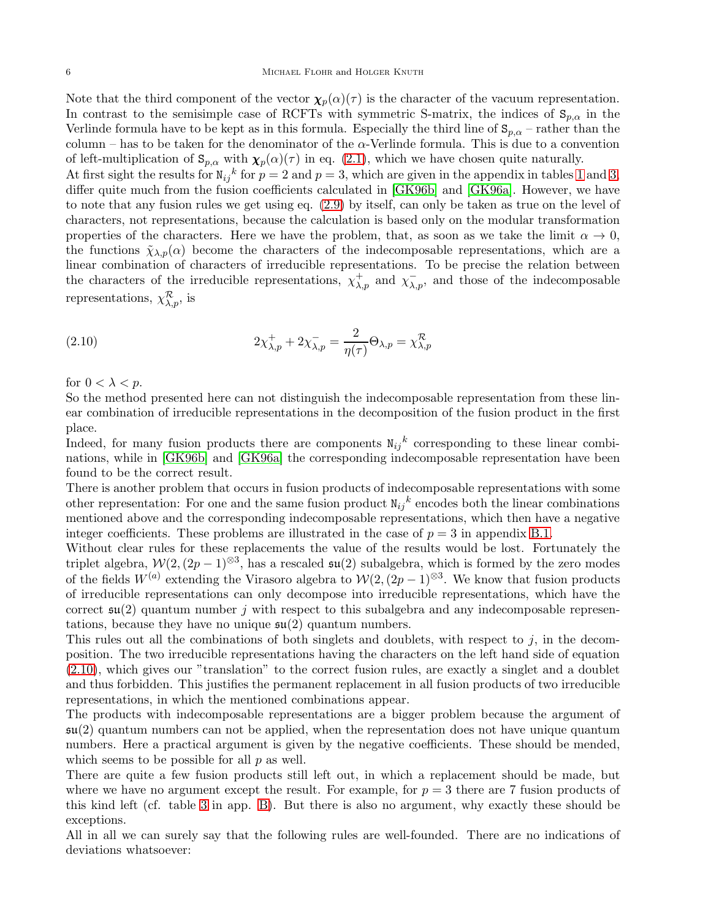Note that the third component of the vector  $\chi_p(\alpha)(\tau)$  is the character of the vacuum representation. In contrast to the semisimple case of RCFTs with symmetric S-matrix, the indices of  $S_{p,\alpha}$  in the Verlinde formula have to be kept as in this formula. Especially the third line of  $S_{p,\alpha}$  – rather than the column – has to be taken for the denominator of the  $\alpha$ -Verlinde formula. This is due to a convention of left-multiplication of  $\mathbf{S}_{p,\alpha}$  with  $\chi_p(\alpha)(\tau)$  in eq. [\(2.1\)](#page-3-1), which we have chosen quite naturally. At first sight the results for  $N_{ij}{}^k$  for  $p = 2$  and  $p = 3$ , which are given in the appendix in tables [1](#page-29-2) and [3,](#page-30-0) differ quite much from the fusion coefficients calculated in [\[GK96b\]](#page-38-6) and [\[GK96a\]](#page-38-9). However, we have to note that any fusion rules we get using eq. [\(2.9\)](#page-5-2) by itself, can only be taken as true on the level of

characters, not representations, because the calculation is based only on the modular transformation properties of the characters. Here we have the problem, that, as soon as we take the limit  $\alpha \to 0$ , the functions  $\tilde{\chi}_{\lambda,p}(\alpha)$  become the characters of the indecomposable representations, which are a linear combination of characters of irreducible representations. To be precise the relation between the characters of the irreducible representations,  $\chi^+_{\lambda,p}$  and  $\chi^-_{\lambda,p}$ , and those of the indecomposable representations,  $\chi_{\lambda,p}^{\mathcal{R}}$ , is

<span id="page-6-0"></span>(2.10) 
$$
2\chi^+_{\lambda,p} + 2\chi^-_{\lambda,p} = \frac{2}{\eta(\tau)}\Theta_{\lambda,p} = \chi^{\mathcal{R}}_{\lambda,p}
$$

for  $0 < \lambda < p$ .

So the method presented here can not distinguish the indecomposable representation from these linear combination of irreducible representations in the decomposition of the fusion product in the first place.

Indeed, for many fusion products there are components  $N_{ij}{}^k$  corresponding to these linear combinations, while in [\[GK96b\]](#page-38-6) and [\[GK96a\]](#page-38-9) the corresponding indecomposable representation have been found to be the correct result.

There is another problem that occurs in fusion products of indecomposable representations with some other representation: For one and the same fusion product  $N_{ij}{}^k$  encodes both the linear combinations mentioned above and the corresponding indecomposable representations, which then have a negative integer coefficients. These problems are illustrated in the case of  $p = 3$  in appendix [B.1.](#page-29-1)

Without clear rules for these replacements the value of the results would be lost. Fortunately the triplet algebra,  $\mathcal{W}(2,(2p-1)^{\otimes 3})$ , has a rescaled  $\mathfrak{su}(2)$  subalgebra, which is formed by the zero modes of the fields  $W^{(a)}$  extending the Virasoro algebra to  $\mathcal{W}(2,(2p-1)^{\otimes 3}$ . We know that fusion products of irreducible representations can only decompose into irreducible representations, which have the correct  $\mathfrak{su}(2)$  quantum number j with respect to this subalgebra and any indecomposable representations, because they have no unique  $\mathfrak{su}(2)$  quantum numbers.

This rules out all the combinations of both singlets and doublets, with respect to  $j$ , in the decomposition. The two irreducible representations having the characters on the left hand side of equation [\(2.10\)](#page-6-0), which gives our "translation" to the correct fusion rules, are exactly a singlet and a doublet and thus forbidden. This justifies the permanent replacement in all fusion products of two irreducible representations, in which the mentioned combinations appear.

The products with indecomposable representations are a bigger problem because the argument of  $\mathfrak{su}(2)$  quantum numbers can not be applied, when the representation does not have unique quantum numbers. Here a practical argument is given by the negative coefficients. These should be mended, which seems to be possible for all  $p$  as well.

There are quite a few fusion products still left out, in which a replacement should be made, but where we have no argument except the result. For example, for  $p = 3$  there are 7 fusion products of this kind left (cf. table [3](#page-30-0) in app. [B\)](#page-29-0). But there is also no argument, why exactly these should be exceptions.

All in all we can surely say that the following rules are well-founded. There are no indications of deviations whatsoever: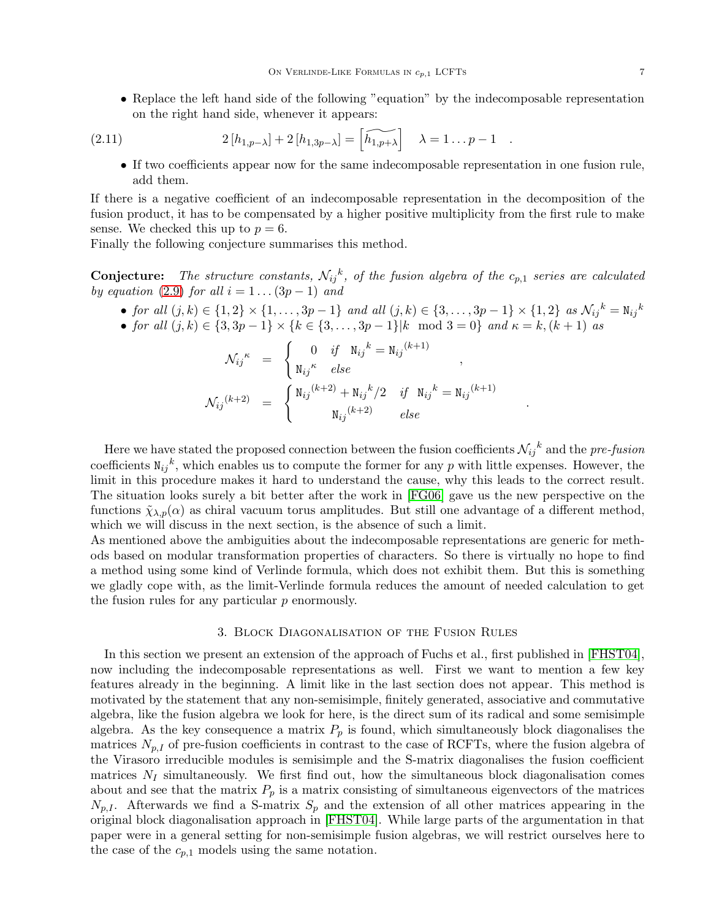• Replace the left hand side of the following "equation" by the indecomposable representation on the right hand side, whenever it appears:

(2.11) 
$$
2[h_{1,p-\lambda}] + 2[h_{1,3p-\lambda}] = \widetilde{h_{1,p+\lambda}} \qquad \lambda = 1...p-1.
$$

<span id="page-7-1"></span>• If two coefficients appear now for the same indecomposable representation in one fusion rule, add them.

If there is a negative coefficient of an indecomposable representation in the decomposition of the fusion product, it has to be compensated by a higher positive multiplicity from the first rule to make sense. We checked this up to  $p = 6$ .

Finally the following conjecture summarises this method.

**Conjecture:** The structure constants,  $N_{ij}^k$ , of the fusion algebra of the  $c_{p,1}$  series are calculated by equation [\(2.9\)](#page-5-2) for all  $i = 1 \dots (3p - 1)$  and

• for all  $(j, k) \in \{1, 2\} \times \{1, ..., 3p - 1\}$  and all  $(j, k) \in \{3, ..., 3p - 1\} \times \{1, 2\}$  as  $\mathcal{N}_{ij}{}^k = N_{ij}{}^k$ 

.

• for all  $(j, k) \in \{3, 3p - 1\} \times \{k \in \{3, ..., 3p - 1\} | k \mod 3 = 0\}$  and  $\kappa = k, (k + 1)$  as

$$
\mathcal{N}_{ij}^{\kappa} = \begin{cases}\n0 & \text{if} \quad \mathbf{N}_{ij}{}^{k} = \mathbf{N}_{ij}{}^{(k+1)} ,\\ \mathbf{N}_{ij}{}^{\kappa} & \text{else}\n\end{cases},
$$
\n
$$
\mathcal{N}_{ij}{}^{(k+2)} = \begin{cases}\n\mathbf{N}_{ij}{}^{(k+2)} + \mathbf{N}_{ij}{}^{k}/2 & \text{if} \quad \mathbf{N}_{ij}{}^{k} = \mathbf{N}_{ij}{}^{(k+1)} ,\\
\mathbf{N}_{ij}{}^{(k+2)} & \text{else}\n\end{cases}
$$

Here we have stated the proposed connection between the fusion coefficients  $\mathcal{N}_{ij}{}^k$  and the pre-fusion coefficients  $N_{ij}^k$ , which enables us to compute the former for any p with little expenses. However, the limit in this procedure makes it hard to understand the cause, why this leads to the correct result. The situation looks surely a bit better after the work in [\[FG06\]](#page-37-13) gave us the new perspective on the functions  $\tilde{\chi}_{\lambda,p}(\alpha)$  as chiral vacuum torus amplitudes. But still one advantage of a different method, which we will discuss in the next section, is the absence of such a limit.

As mentioned above the ambiguities about the indecomposable representations are generic for methods based on modular transformation properties of characters. So there is virtually no hope to find a method using some kind of Verlinde formula, which does not exhibit them. But this is something we gladly cope with, as the limit-Verlinde formula reduces the amount of needed calculation to get the fusion rules for any particular  $p$  enormously.

# 3. Block Diagonalisation of the Fusion Rules

<span id="page-7-0"></span>In this section we present an extension of the approach of Fuchs et al., first published in [\[FHST04\]](#page-37-16), now including the indecomposable representations as well. First we want to mention a few key features already in the beginning. A limit like in the last section does not appear. This method is motivated by the statement that any non-semisimple, finitely generated, associative and commutative algebra, like the fusion algebra we look for here, is the direct sum of its radical and some semisimple algebra. As the key consequence a matrix  $P_p$  is found, which simultaneously block diagonalises the matrices  $N_{p,I}$  of pre-fusion coefficients in contrast to the case of RCFTs, where the fusion algebra of the Virasoro irreducible modules is semisimple and the S-matrix diagonalises the fusion coefficient matrices  $N_I$  simultaneously. We first find out, how the simultaneous block diagonalisation comes about and see that the matrix  $P_p$  is a matrix consisting of simultaneous eigenvectors of the matrices  $N_{p,I}$ . Afterwards we find a S-matrix  $S_p$  and the extension of all other matrices appearing in the original block diagonalisation approach in [\[FHST04\]](#page-37-16). While large parts of the argumentation in that paper were in a general setting for non-semisimple fusion algebras, we will restrict ourselves here to the case of the  $c_{p,1}$  models using the same notation.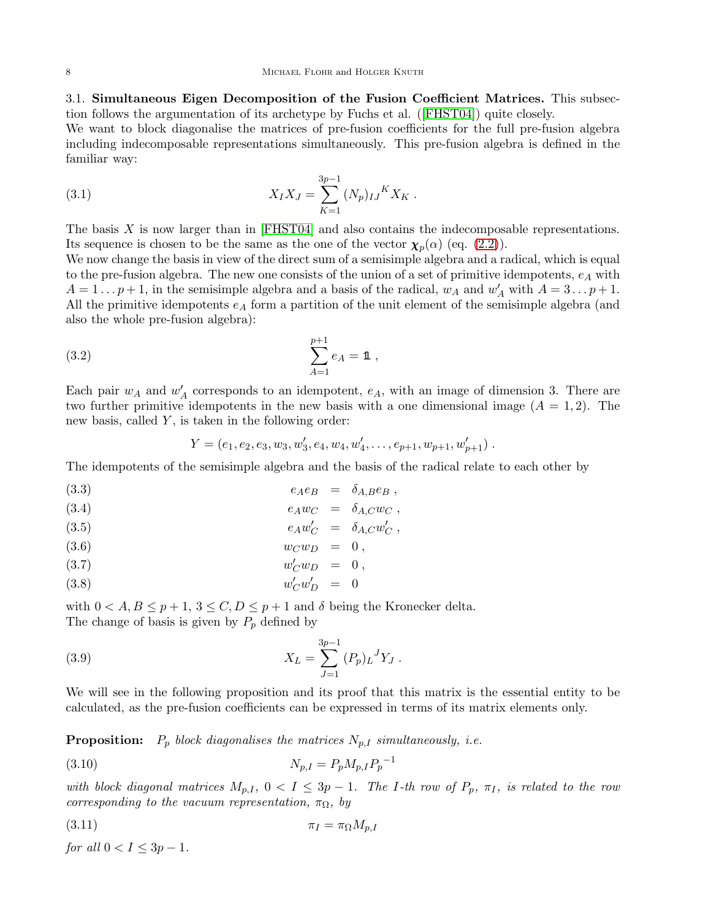3.1. Simultaneous Eigen Decomposition of the Fusion Coefficient Matrices. This subsection follows the argumentation of its archetype by Fuchs et al. ([\[FHST04\]](#page-37-16)) quite closely.

We want to block diagonalise the matrices of pre-fusion coefficients for the full pre-fusion algebra including indecomposable representations simultaneously. This pre-fusion algebra is defined in the familiar way:

<span id="page-8-0"></span>(3.1) 
$$
X_I X_J = \sum_{K=1}^{3p-1} (N_p)_{IJ}{}^K X_K.
$$

The basis  $X$  is now larger than in [\[FHST04\]](#page-37-16) and also contains the indecomposable representations. Its sequence is chosen to be the same as the one of the vector  $\chi_p(\alpha)$  (eq. [\(2.2\)](#page-3-2)).

We now change the basis in view of the direct sum of a semisimple algebra and a radical, which is equal to the pre-fusion algebra. The new one consists of the union of a set of primitive idempotents,  $e_A$  with  $A = 1 \dots p+1$ , in the semisimple algebra and a basis of the radical,  $w_A$  and  $w'_A$  with  $A = 3 \dots p+1$ . All the primitive idempotents  $e_A$  form a partition of the unit element of the semisimple algebra (and also the whole pre-fusion algebra):

(3.2) 
$$
\sum_{A=1}^{p+1} e_A = \mathbb{1},
$$

Each pair  $w_A$  and  $w'_A$  corresponds to an idempotent,  $e_A$ , with an image of dimension 3. There are two further primitive idempotents in the new basis with a one dimensional image  $(A = 1, 2)$ . The new basis, called  $Y$ , is taken in the following order:

<span id="page-8-3"></span><span id="page-8-1"></span>
$$
Y=(e_1,e_2,e_3,w_3,w'_3,e_4,w_4,w'_4,\ldots,e_{p+1},w_{p+1},w'_{p+1})
$$
.

The idempotents of the semisimple algebra and the basis of the radical relate to each other by

$$
e_A e_B = \delta_{A,B} e_B ,
$$

$$
(3.4) \t\t e_A w_C = \delta_{A,C} w_C ,
$$

$$
(3.5) \t\t e_A w'_C = \delta_{A,C} w'_C,
$$

$$
(3.6) \t w_C w_D = 0,
$$

$$
(3.7) \t\t w'_C w_D = 0 ,
$$

(3.8)  $w'_C w'_D = 0$ 

with  $0 < A, B \le p+1, 3 \le C, D \le p+1$  and  $\delta$  being the Kronecker delta. The change of basis is given by  $P_p$  defined by

<span id="page-8-2"></span>(3.9) 
$$
X_L = \sum_{J=1}^{3p-1} (P_p)_L{}^J Y_J.
$$

We will see in the following proposition and its proof that this matrix is the essential entity to be calculated, as the pre-fusion coefficients can be expressed in terms of its matrix elements only.

**Proposition:**  $P_p$  block diagonalises the matrices  $N_{p,I}$  simultaneously, i.e.

<span id="page-8-5"></span>(3.10) 
$$
N_{p,I} = P_p M_{p,I} P_p^{-1}
$$

with block diagonal matrices  $M_{p,I}$ ,  $0 < I \leq 3p - 1$ . The I-th row of  $P_p$ ,  $\pi_I$ , is related to the row corresponding to the vacuum representation,  $\pi_{\Omega}$ , by

<span id="page-8-4"></span>
$$
\pi_I = \pi_\Omega M_{p,I}
$$

for all  $0 < I \leq 3p - 1$ .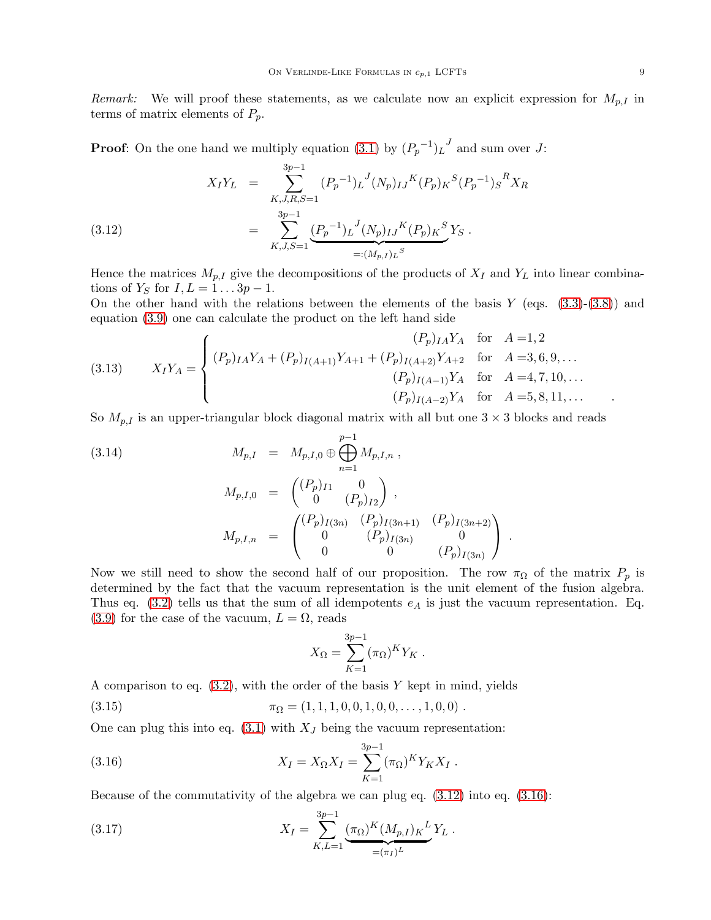Remark: We will proof these statements, as we calculate now an explicit expression for  $M_{p,I}$  in terms of matrix elements of  $P_p$ .

**Proof:** On the one hand we multiply equation [\(3.1\)](#page-8-0) by  $(P_p^{-1})_L^J$  and sum over J:

<span id="page-9-0"></span>XIY<sup>L</sup> = 3 X p−1 K,J,R,S=1 (P<sup>p</sup> −1 )L J (Np)IJ <sup>K</sup>(Pp)<sup>K</sup> S (P<sup>p</sup> −1 )S <sup>R</sup>X<sup>R</sup> = 3 X p−1 K,J,S=1 (P<sup>p</sup> −1 )L J (Np)IJ <sup>K</sup>(Pp)<sup>K</sup> S | {z } =:(Mp,I )<sup>L</sup> S (3.12) Y<sup>S</sup> .

Hence the matrices  $M_{p,I}$  give the decompositions of the products of  $X_I$  and  $Y_L$  into linear combinations of  $Y_S$  for  $I, L = 1...3p - 1$ .

On the other hand with the relations between the elements of the basis  $Y$  (eqs.  $(3.3)-(3.8)$  $(3.3)-(3.8)$ ) and equation [\(3.9\)](#page-8-2) one can calculate the product on the left hand side

(3.13) 
$$
X_I Y_A = \begin{cases} (P_p)_{IA} Y_A + (P_p)_{I(A+1)} Y_{A+1} + (P_p)_{I(A+2)} Y_{A+2} & \text{for } A = 3, 6, 9, ... \\ (P_p)_{I(A-1)} Y_A & \text{for } A = 4, 7, 10, ... \\ (P_p)_{I(A-2)} Y_A & \text{for } A = 5, 8, 11, ... \end{cases}
$$

So  $M_{p,I}$  is an upper-triangular block diagonal matrix with all but one  $3 \times 3$  blocks and reads

<span id="page-9-3"></span>(3.14)  
\n
$$
M_{p,I} = M_{p,I,0} \oplus \bigoplus_{n=1}^{p-1} M_{p,I,n} ,
$$
\n
$$
M_{p,I,0} = \begin{pmatrix} (P_p)_{I1} & 0 \\ 0 & (P_p)_{I2} \end{pmatrix} ,
$$
\n
$$
M_{p,I,n} = \begin{pmatrix} (P_p)_{I(3n)} & (P_p)_{I(3n+1)} & (P_p)_{I(3n+2)} \\ 0 & (P_p)_{I(3n)} & 0 \\ 0 & 0 & (P_p)_{I(3n)} \end{pmatrix} .
$$

Now we still need to show the second half of our proposition. The row  $\pi_{\Omega}$  of the matrix  $P_p$  is determined by the fact that the vacuum representation is the unit element of the fusion algebra. Thus eq.  $(3.2)$  tells us that the sum of all idempotents  $e_A$  is just the vacuum representation. Eq.  $(3.9)$  for the case of the vacuum,  $L = \Omega$ , reads

<span id="page-9-2"></span><span id="page-9-1"></span>
$$
X_{\Omega} = \sum_{K=1}^{3p-1} (\pi_{\Omega})^K Y_K.
$$

A comparison to eq.  $(3.2)$ , with the order of the basis Y kept in mind, yields

(3.15)  $\pi_{\Omega} = (1, 1, 1, 0, 0, 1, 0, 0, \ldots, 1, 0, 0)$ .

One can plug this into eq.  $(3.1)$  with  $X_J$  being the vacuum representation:

(3.16) 
$$
X_I = X_{\Omega} X_I = \sum_{K=1}^{3p-1} (\pi_{\Omega})^K Y_K X_I.
$$

Because of the commutativity of the algebra we can plug eq. [\(3.12\)](#page-9-0) into eq. [\(3.16\)](#page-9-1):

(3.17) 
$$
X_I = \sum_{K,L=1}^{3p-1} \underbrace{(\pi_{\Omega})^K (M_{p,I})_K}^{L} Y_L.
$$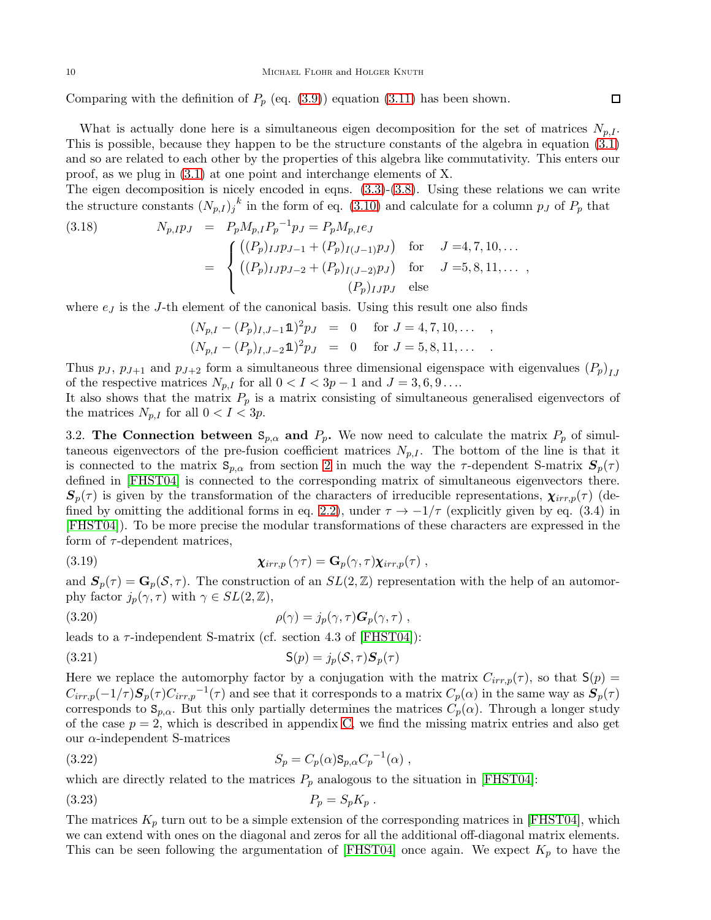Comparing with the definition of  $P_p$  (eq. [\(3.9\)](#page-8-2)) equation [\(3.11\)](#page-8-4) has been shown.

What is actually done here is a simultaneous eigen decomposition for the set of matrices  $N_{p,I}$ . This is possible, because they happen to be the structure constants of the algebra in equation [\(3.1\)](#page-8-0) and so are related to each other by the properties of this algebra like commutativity. This enters our proof, as we plug in  $(3.1)$  at one point and interchange elements of X.

The eigen decomposition is nicely encoded in eqns. [\(3.3\)](#page-8-1)-[\(3.8\)](#page-8-1). Using these relations we can write the structure constants  $(N_{p,I})_j^k$  in the form of eq. [\(3.10\)](#page-8-5) and calculate for a column  $p_J$  of  $P_p$  that

(3.18) 
$$
N_{p,IPJ} = P_p M_{p,I} P_p^{-1} p_J = P_p M_{p,I} e_J
$$

$$
= \begin{cases} ((P_p)_{IJ} p_{J-1} + (P_p)_{I(J-1)} p_J) & \text{for} \quad J = 4, 7, 10, ... \\ ((P_p)_{IJ} p_{J-2} + (P_p)_{I(J-2)} p_J) & \text{for} \quad J = 5, 8, 11, ... \\ (P_p)_{IJ} p_J & \text{else} \end{cases}
$$

where  $e_j$  is the J-th element of the canonical basis. Using this result one also finds

$$
(N_{p,I} - (P_p)_{I,J-1} \mathbf{1})^2 p_J = 0 \quad \text{for } J = 4, 7, 10, \dots ,
$$
  

$$
(N_{p,I} - (P_p)_{I,J-2} \mathbf{1})^2 p_J = 0 \quad \text{for } J = 5, 8, 11, \dots .
$$

Thus  $p_J$ ,  $p_{J+1}$  and  $p_{J+2}$  form a simultaneous three dimensional eigenspace with eigenvalues  $(P_p)_{IJ}$ of the respective matrices  $N_{p,I}$  for all  $0 < I < 3p - 1$  and  $J = 3, 6, 9 \ldots$ 

It also shows that the matrix  $P_p$  is a matrix consisting of simultaneous generalised eigenvectors of the matrices  $N_{p,I}$  for all  $0 < I < 3p$ .

<span id="page-10-4"></span>3.2. The Connection between  $S_{p,\alpha}$  and  $P_p$ . We now need to calculate the matrix  $P_p$  of simultaneous eigenvectors of the pre-fusion coefficient matrices  $N_{p,I}$ . The bottom of the line is that it is connected to the matrix  $S_{p,\alpha}$  from section [2](#page-3-0) in much the way the  $\tau$ -dependent S-matrix  $S_p(\tau)$ defined in [\[FHST04\]](#page-37-16) is connected to the corresponding matrix of simultaneous eigenvectors there.  $S_p(\tau)$  is given by the transformation of the characters of irreducible representations,  $\chi_{irr,p}(\tau)$  (de-fined by omitting the additional forms in eq. [2.2\)](#page-3-2), under  $\tau \to -1/\tau$  (explicitly given by eq. (3.4) in [\[FHST04\]](#page-37-16)). To be more precise the modular transformations of these characters are expressed in the form of  $\tau$ -dependent matrices,

<span id="page-10-1"></span>(3.19) 
$$
\chi_{irr,p}(\gamma \tau) = \mathbf{G}_p(\gamma, \tau) \chi_{irr,p}(\tau) ,
$$

and  $S_p(\tau) = G_p(\mathcal{S}, \tau)$ . The construction of an  $SL(2, \mathbb{Z})$  representation with the help of an automorphy factor  $j_p(\gamma, \tau)$  with  $\gamma \in SL(2, \mathbb{Z}),$ 

(3.20) 
$$
\rho(\gamma) = j_p(\gamma, \tau) \mathbf{G}_p(\gamma, \tau) ,
$$

leads to a  $\tau$ -independent S-matrix (cf. section 4.3 of [\[FHST04\]](#page-37-16)):

<span id="page-10-0"></span>(3.21) 
$$
\mathsf{S}(p) = j_p(\mathcal{S}, \tau) \mathbf{S}_p(\tau)
$$

Here we replace the automorphy factor by a conjugation with the matrix  $C_{irr,p}(\tau)$ , so that  $S(p)$  $C_{irr,p}(-1/\tau)S_p(\tau)C_{irr,p}^{-1}(\tau)$  and see that it corresponds to a matrix  $C_p(\alpha)$  in the same way as  $S_p(\tau)$ corresponds to  $S_{p,\alpha}$ . But this only partially determines the matrices  $C_p(\alpha)$ . Through a longer study of the case  $p = 2$ , which is described in appendix [C,](#page-31-0) we find the missing matrix entries and also get our  $\alpha$ -independent S-matrices

<span id="page-10-2"></span>(3.22) 
$$
S_p = C_p(\alpha) \mathbf{S}_{p,\alpha} C_p^{-1}(\alpha) ,
$$

which are directly related to the matrices  $P_p$  analogous to the situation in [\[FHST04\]](#page-37-16):

<span id="page-10-3"></span>
$$
(3.23) \t\t P_p = S_p K_p .
$$

The matrices  $K_p$  turn out to be a simple extension of the corresponding matrices in [\[FHST04\]](#page-37-16), which we can extend with ones on the diagonal and zeros for all the additional off-diagonal matrix elements. This can be seen following the argumentation of [\[FHST04\]](#page-37-16) once again. We expect  $K_p$  to have the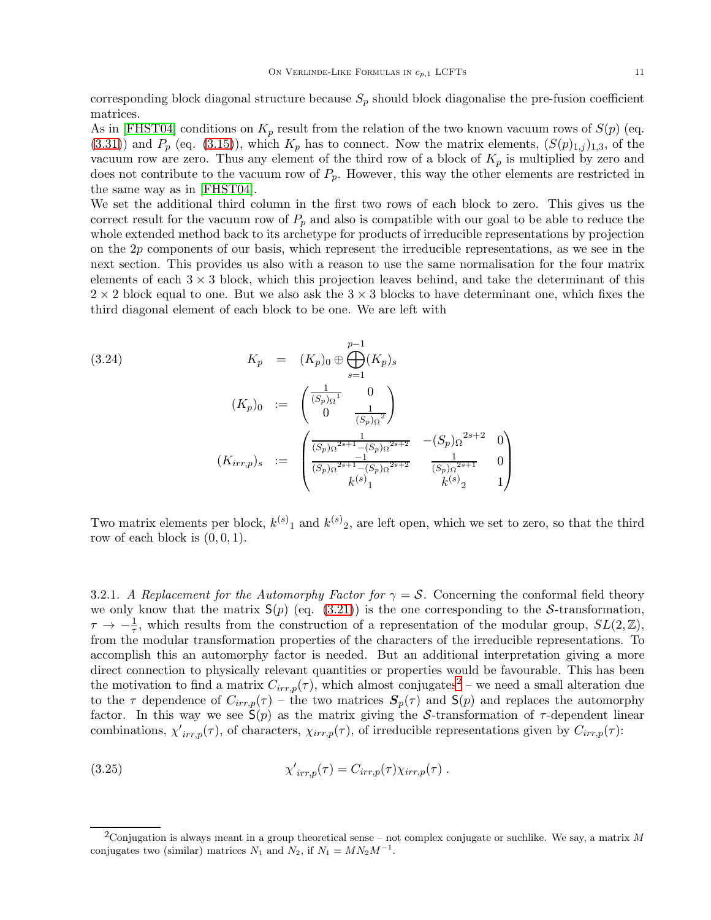corresponding block diagonal structure because  $S_p$  should block diagonalise the pre-fusion coefficient matrices.

As in [\[FHST04\]](#page-37-16) conditions on  $K_p$  result from the relation of the two known vacuum rows of  $S(p)$  (eq.  $(3.31)$ ) and  $P_p$  (eq.  $(3.15)$ ), which  $K_p$  has to connect. Now the matrix elements,  $(S(p)_{1,j})_{1,3}$ , of the vacuum row are zero. Thus any element of the third row of a block of  $K_p$  is multiplied by zero and does not contribute to the vacuum row of  $P_p$ . However, this way the other elements are restricted in the same way as in [\[FHST04\]](#page-37-16).

We set the additional third column in the first two rows of each block to zero. This gives us the correct result for the vacuum row of  $P_p$  and also is compatible with our goal to be able to reduce the whole extended method back to its archetype for products of irreducible representations by projection on the  $2p$  components of our basis, which represent the irreducible representations, as we see in the next section. This provides us also with a reason to use the same normalisation for the four matrix elements of each  $3 \times 3$  block, which this projection leaves behind, and take the determinant of this  $2 \times 2$  block equal to one. But we also ask the  $3 \times 3$  blocks to have determinant one, which fixes the third diagonal element of each block to be one. We are left with

<span id="page-11-2"></span>
$$
(3.24) \t K_p = (K_p)_0 \oplus \bigoplus_{s=1}^{p-1} (K_p)_s
$$

$$
(K_p)_0 := \begin{pmatrix} \frac{1}{(S_p)_\Omega^1} & 0\\ 0 & \frac{1}{(S_p)_\Omega^2} \end{pmatrix}
$$

$$
(K_{irr,p})_s := \begin{pmatrix} \frac{1}{(S_p)_\Omega^{2s+1} - (S_p)_\Omega^{2s+2}} & -(S_p)_\Omega^{2s+2} & 0\\ \frac{-1}{(S_p)_\Omega^{2s+1} - (S_p)_\Omega^{2s+2}} & \frac{1}{(S_p)_\Omega^{2s+1}} & 0\\ k^{(s)}_1 & k^{(s)}_2 & 1 \end{pmatrix}
$$

Two matrix elements per block,  $k^{(s)}_1$  and  $k^{(s)}_2$ , are left open, which we set to zero, so that the third row of each block is  $(0, 0, 1)$ .

3.2.1. A Replacement for the Automorphy Factor for  $\gamma = S$ . Concerning the conformal field theory we only know that the matrix  $S(p)$  (eq. [\(3.21\)](#page-10-0)) is the one corresponding to the S-transformation,  $\tau \to -\frac{1}{\tau}$ , which results from the construction of a representation of the modular group,  $SL(2,\mathbb{Z})$ , from the modular transformation properties of the characters of the irreducible representations. To accomplish this an automorphy factor is needed. But an additional interpretation giving a more direct connection to physically relevant quantities or properties would be favourable. This has been the motivation to find a matrix  $C_{irr,p}(\tau)$ , which almost conjugates<sup>[2](#page-11-0)</sup> – we need a small alteration due to the  $\tau$  dependence of  $C_{irr,p}(\tau)$  – the two matrices  $S_p(\tau)$  and  $S(p)$  and replaces the automorphy factor. In this way we see  $S(p)$  as the matrix giving the S-transformation of  $\tau$ -dependent linear combinations,  $\chi'_{irr,p}(\tau)$ , of characters,  $\chi_{irr,p}(\tau)$ , of irreducible representations given by  $C_{irr,p}(\tau)$ :

<span id="page-11-1"></span>(3.25) 
$$
\chi'_{irr,p}(\tau) = C_{irr,p}(\tau) \chi_{irr,p}(\tau).
$$

<span id="page-11-0"></span><sup>&</sup>lt;sup>2</sup>Conjugation is always meant in a group theoretical sense – not complex conjugate or suchlike. We say, a matrix  $M$ conjugates two (similar) matrices  $N_1$  and  $N_2$ , if  $N_1 = MN_2M^{-1}$ .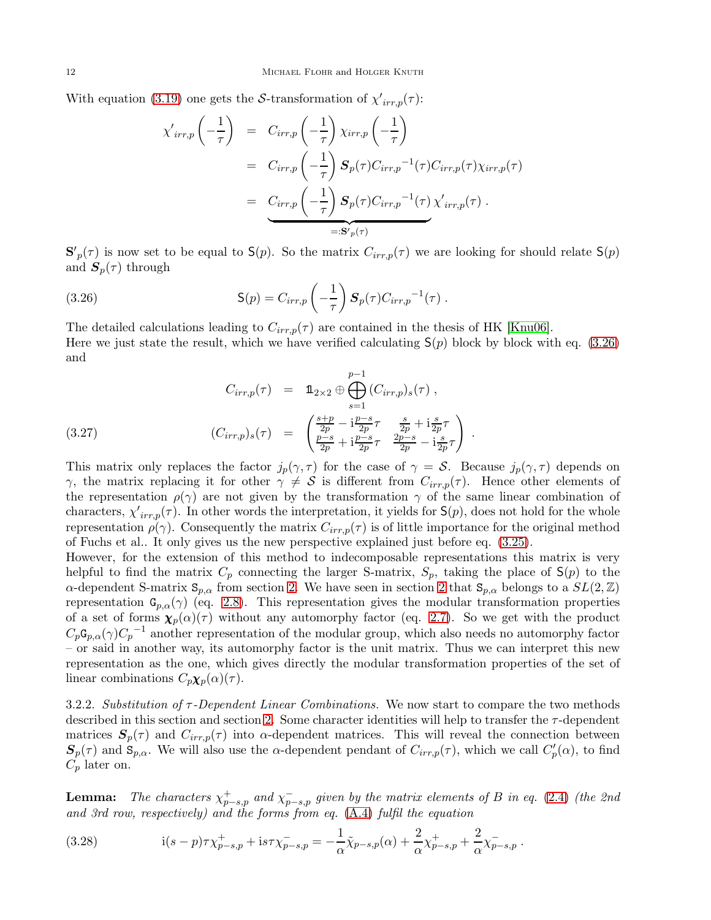With equation [\(3.19\)](#page-10-1) one gets the S-transformation of  $\chi'_{irr,p}(\tau)$ :

$$
\chi'_{irr,p}\left(-\frac{1}{\tau}\right) = C_{irr,p}\left(-\frac{1}{\tau}\right)\chi_{irr,p}\left(-\frac{1}{\tau}\right)
$$
  
\n
$$
= C_{irr,p}\left(-\frac{1}{\tau}\right)S_p(\tau)C_{irr,p}^{-1}(\tau)C_{irr,p}(\tau)\chi_{irr,p}(\tau)
$$
  
\n
$$
= \underbrace{C_{irr,p}\left(-\frac{1}{\tau}\right)S_p(\tau)C_{irr,p}^{-1}(\tau)}_{=:S_p(\tau)}
$$

 ${\bf S'}_p(\tau)$  is now set to be equal to  ${\bf S}(p)$ . So the matrix  $C_{irr,p}(\tau)$  we are looking for should relate  ${\bf S}(p)$ and  $S_p(\tau)$  through

<span id="page-12-0"></span>(3.26) 
$$
S(p) = C_{irr,p} \left(-\frac{1}{\tau}\right) S_p(\tau) C_{irr,p}^{-1}(\tau).
$$

The detailed calculations leading to  $C_{irr,p}(\tau)$  are contained in the thesis of HK [\[Knu06\]](#page-38-15). Here we just state the result, which we have verified calculating  $S(p)$  block by block with eq. [\(3.26\)](#page-12-0) and

<span id="page-12-1"></span>
$$
C_{irr,p}(\tau) = \mathbb{1}_{2 \times 2} \oplus \bigoplus_{s=1}^{p-1} (C_{irr,p})_s(\tau) ,
$$
  
(3.27)  

$$
(C_{irr,p})_s(\tau) = \begin{pmatrix} \frac{s+p}{2p} - i\frac{p-s}{2p}\tau & \frac{s}{2p} + i\frac{s}{2p}\tau \\ \frac{p-s}{2p} + i\frac{p-s}{2p}\tau & \frac{2p-s}{2p} - i\frac{s}{2p}\tau \end{pmatrix} .
$$

This matrix only replaces the factor  $j_p(\gamma, \tau)$  for the case of  $\gamma = S$ . Because  $j_p(\gamma, \tau)$  depends on γ, the matrix replacing it for other  $\gamma \neq S$  is different from  $C_{irr,p}(\tau)$ . Hence other elements of the representation  $\rho(\gamma)$  are not given by the transformation  $\gamma$  of the same linear combination of characters,  $\chi'_{irr,p}(\tau)$ . In other words the interpretation, it yields for  $S(p)$ , does not hold for the whole representation  $\rho(\gamma)$ . Consequently the matrix  $C_{irr,p}(\tau)$  is of little importance for the original method of Fuchs et al.. It only gives us the new perspective explained just before eq. [\(3.25\)](#page-11-1).

However, for the extension of this method to indecomposable representations this matrix is very helpful to find the matrix  $C_p$  connecting the larger S-matrix,  $S_p$ , taking the place of  $S(p)$  to the α-dependent S-matrix  $\mathbf{S}_{p,\alpha}$  from section [2.](#page-3-0) We have seen in section [2](#page-3-0) that  $\mathbf{S}_{p,\alpha}$  belongs to a  $SL(2,\mathbb{Z})$ representation  $G_{p,\alpha}(\gamma)$  (eq. [2.8\)](#page-5-3). This representation gives the modular transformation properties of a set of forms  $\chi_p(\alpha)(\tau)$  without any automorphy factor (eq. [2.7\)](#page-5-4). So we get with the product  $C_p \mathsf{G}_{p,\alpha}(\gamma) C_p^{-1}$  another representation of the modular group, which also needs no automorphy factor – or said in another way, its automorphy factor is the unit matrix. Thus we can interpret this new representation as the one, which gives directly the modular transformation properties of the set of linear combinations  $C_p \chi_p(\alpha)(\tau)$ .

<span id="page-12-3"></span>3.2.2. Substitution of  $\tau$ -Dependent Linear Combinations. We now start to compare the two methods described in this section and section [2.](#page-3-0) Some character identities will help to transfer the  $\tau$ -dependent matrices  $S_p(\tau)$  and  $C_{irr,p}(\tau)$  into  $\alpha$ -dependent matrices. This will reveal the connection between  $S_p(\tau)$  and  $S_{p,\alpha}$ . We will also use the  $\alpha$ -dependent pendant of  $C_{irr,p}(\tau)$ , which we call  $C_p'(\alpha)$ , to find  $C_p$  later on.

**Lemma:** The characters  $\chi^+_{p-s,p}$  and  $\chi^-_{p-s,p}$  given by the matrix elements of B in eq. [\(2.4\)](#page-4-1) (the 2nd and 3rd row, respectively) and the forms from eq. [\(A.4\)](#page-28-1) fulfil the equation

<span id="page-12-2"></span>(3.28) 
$$
i(s-p)\tau\chi^+_{p-s,p} + is\tau\chi^-_{p-s,p} = -\frac{1}{\alpha}\tilde{\chi}_{p-s,p}(\alpha) + \frac{2}{\alpha}\chi^+_{p-s,p} + \frac{2}{\alpha}\chi^-_{p-s,p}.
$$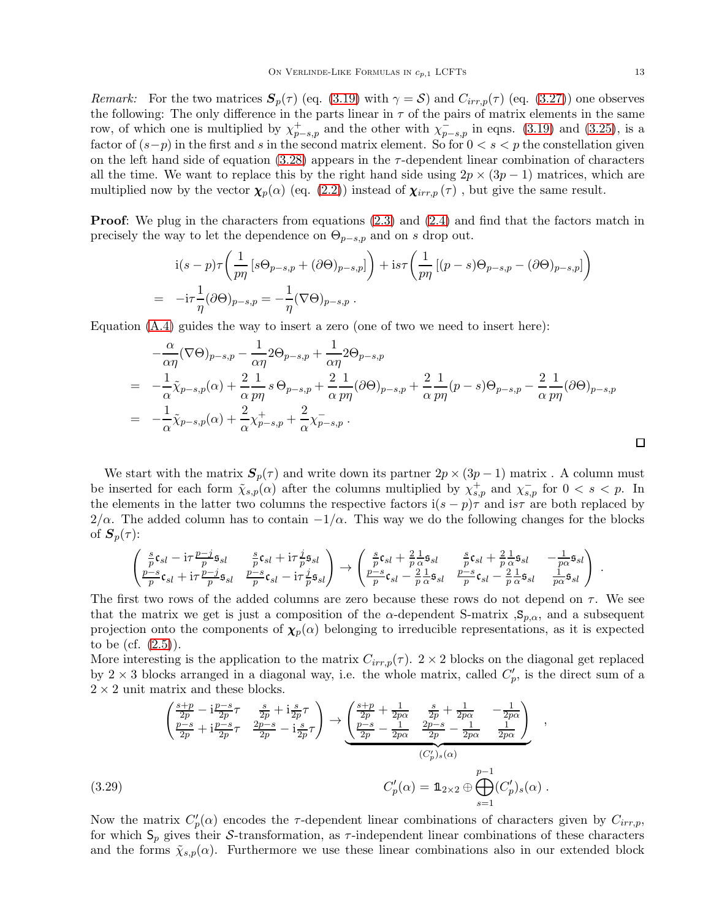*Remark:* For the two matrices  $S_p(\tau)$  (eq. [\(3.19\)](#page-10-1) with  $\gamma = S$ ) and  $C_{irr,p}(\tau)$  (eq. [\(3.27\)](#page-12-1)) one observes the following: The only difference in the parts linear in  $\tau$  of the pairs of matrix elements in the same row, of which one is multiplied by  $\chi^+_{p-s,p}$  and the other with  $\chi^-_{p-s,p}$  in eqns. [\(3.19\)](#page-10-1) and [\(3.25\)](#page-11-1), is a factor of  $(s-p)$  in the first and s in the second matrix element. So for  $0 < s < p$  the constellation given on the left hand side of equation  $(3.28)$  appears in the  $\tau$ -dependent linear combination of characters all the time. We want to replace this by the right hand side using  $2p \times (3p-1)$  matrices, which are multiplied now by the vector  $\chi_p(\alpha)$  (eq. [\(2.2\)](#page-3-2)) instead of  $\chi_{irr,p}(\tau)$ , but give the same result.

**Proof:** We plug in the characters from equations [\(2.3\)](#page-4-0) and [\(2.4\)](#page-4-1) and find that the factors match in precisely the way to let the dependence on  $\Theta_{p-s,p}$  and on s drop out.

$$
i(s-p)\tau \left(\frac{1}{p\eta} \left[s\Theta_{p-s,p} + (\partial \Theta)_{p-s,p}\right]\right) + is\tau \left(\frac{1}{p\eta} \left[(p-s)\Theta_{p-s,p} - (\partial \Theta)_{p-s,p}\right]\right)
$$
  
=  $-i\tau \frac{1}{\eta} (\partial \Theta)_{p-s,p} = -\frac{1}{\eta} (\nabla \Theta)_{p-s,p}.$ 

Equation [\(A.4\)](#page-28-1) guides the way to insert a zero (one of two we need to insert here):

$$
-\frac{\alpha}{\alpha\eta}(\nabla\Theta)_{p-s,p} - \frac{1}{\alpha\eta}2\Theta_{p-s,p} + \frac{1}{\alpha\eta}2\Theta_{p-s,p}
$$
  
=  $-\frac{1}{\alpha}\tilde{\chi}_{p-s,p}(\alpha) + \frac{2}{\alpha}\frac{1}{p\eta}s\Theta_{p-s,p} + \frac{2}{\alpha}\frac{1}{p\eta}(\partial\Theta)_{p-s,p} + \frac{2}{\alpha}\frac{1}{p\eta}(p-s)\Theta_{p-s,p} - \frac{2}{\alpha}\frac{1}{p\eta}(\partial\Theta)_{p-s,p}$   
=  $-\frac{1}{\alpha}\tilde{\chi}_{p-s,p}(\alpha) + \frac{2}{\alpha}\chi_{p-s,p}^+ + \frac{2}{\alpha}\chi_{p-s,p}^-.$ 

We start with the matrix  $S_p(\tau)$  and write down its partner  $2p \times (3p-1)$  matrix. A column must be inserted for each form  $\tilde{\chi}_{s,p}(\alpha)$  after the columns multiplied by  $\chi_{s,p}^+$  and  $\chi_{s,p}^-$  for  $0 < s < p$ . In the elements in the latter two columns the respective factors  $i(s - p)\tau$  and  $i s\tau$  are both replaced by  $2/\alpha$ . The added column has to contain  $-1/\alpha$ . This way we do the following changes for the blocks of  $S_p(\tau)$ :

$$
\begin{pmatrix}\n\frac{s}{p}\mathfrak{c}_{sl} - \mathrm{i}\tau \frac{p-j}{p}\mathfrak{s}_{sl} & \frac{s}{p}\mathfrak{c}_{sl} + \mathrm{i}\tau \frac{j}{p}\mathfrak{s}_{sl} \\
\frac{p-s}{p}\mathfrak{c}_{sl} + \mathrm{i}\tau \frac{p-j}{p}\mathfrak{s}_{sl} & \frac{p-s}{p}\mathfrak{c}_{sl} - \mathrm{i}\tau \frac{j}{p}\mathfrak{s}_{sl}\n\end{pmatrix} \rightarrow \begin{pmatrix}\n\frac{s}{p}\mathfrak{c}_{sl} + \frac{2}{p}\frac{1}{\alpha}\mathfrak{s}_{sl} & \frac{s}{p}\mathfrak{c}_{sl} + \frac{2}{p}\frac{1}{\alpha}\mathfrak{s}_{sl} & -\frac{1}{p\alpha}\mathfrak{s}_{sl} \\
\frac{p-s}{p}\mathfrak{c}_{sl} - \frac{2}{p}\frac{1}{\alpha}\mathfrak{s}_{sl} & \frac{p-s}{p}\mathfrak{c}_{sl} - \frac{2}{p}\frac{1}{\alpha}\mathfrak{s}_{sl} & \frac{1}{p\alpha}\mathfrak{s}_{sl}\n\end{pmatrix}
$$

The first two rows of the added columns are zero because these rows do not depend on  $\tau$ . We see that the matrix we get is just a composition of the  $\alpha$ -dependent S-matrix , $S_{p,\alpha}$ , and a subsequent projection onto the components of  $\chi_p(\alpha)$  belonging to irreducible representations, as it is expected to be (cf. [\(2.5\)](#page-4-2)).

More interesting is the application to the matrix  $C_{irr,p}(\tau)$ .  $2 \times 2$  blocks on the diagonal get replaced by  $2 \times 3$  blocks arranged in a diagonal way, i.e. the whole matrix, called  $C_p'$ , is the direct sum of a  $2 \times 2$  unit matrix and these blocks.

<span id="page-13-0"></span>
$$
\begin{pmatrix}\n\frac{s+p}{2p} - i\frac{p-s}{2p}\tau & \frac{s}{2p} + i\frac{s}{2p}\tau \\
\frac{p-s}{2p} + i\frac{p-s}{2p}\tau & \frac{2p-s}{2p} - i\frac{s}{2p}\tau\n\end{pmatrix}\n\rightarrow\n\frac{\begin{pmatrix}\ns+p}{2p} + \frac{1}{2p\alpha} & \frac{s}{2p} + \frac{1}{2p\alpha} & -\frac{1}{2p\alpha} \\
\frac{p-s}{2p} - \frac{1}{2p\alpha} & \frac{2p-s}{2p} - \frac{1}{2p\alpha} & \frac{1}{2p\alpha}\n\end{pmatrix},
$$
\n(3.29)\n
$$
C'_p(\alpha) = \mathbb{1}_{2 \times 2} \oplus \bigoplus_{s=1}^{p-1} (C'_p)_s(\alpha).
$$

Now the matrix  $C_p'(\alpha)$  encodes the  $\tau$ -dependent linear combinations of characters given by  $C_{irr,p}$ , for which  $S_p$  gives their S-transformation, as  $\tau$ -independent linear combinations of these characters and the forms  $\tilde{\chi}_{s,p}(\alpha)$ . Furthermore we use these linear combinations also in our extended block

.

 $\Box$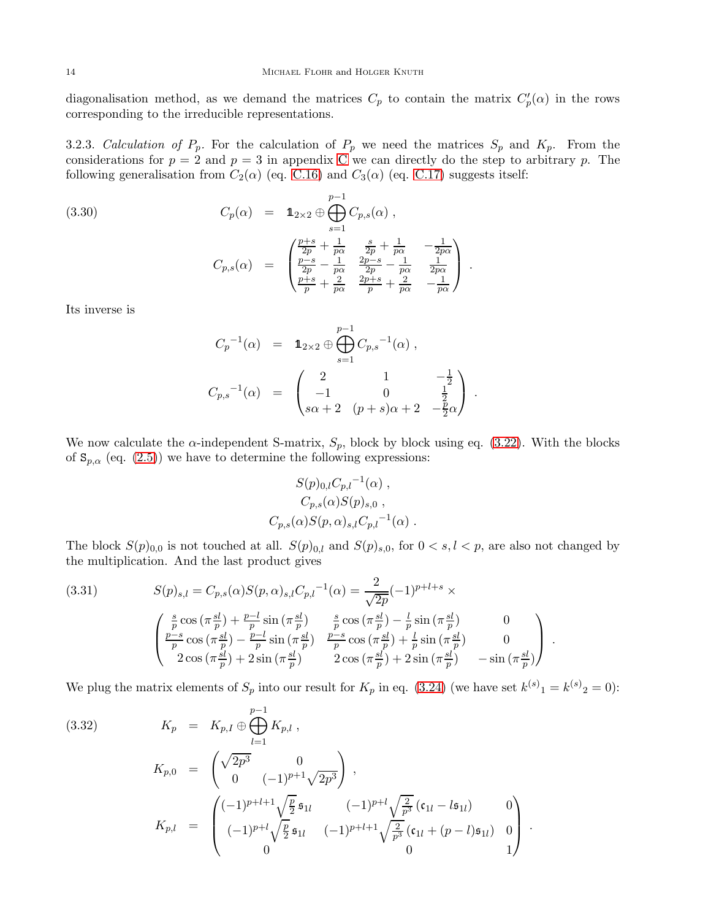diagonalisation method, as we demand the matrices  $C_p$  to contain the matrix  $C_p'(\alpha)$  in the rows corresponding to the irreducible representations.

3.2.3. Calculation of  $P_p$ . For the calculation of  $P_p$  we need the matrices  $S_p$  and  $K_p$ . From the considerations for  $p = 2$  and  $p = 3$  in appendix [C](#page-31-0) we can directly do the step to arbitrary p. The following generalisation from  $C_2(\alpha)$  (eq. [C.16\)](#page-36-0) and  $C_3(\alpha)$  (eq. [C.17\)](#page-36-1) suggests itself:

(3.30) 
$$
C_p(\alpha) = \mathbf{1}_{2 \times 2} \oplus \bigoplus_{s=1}^{p-1} C_{p,s}(\alpha) ,
$$

$$
C_{p,s}(\alpha) = \begin{pmatrix} \frac{p+s}{2p} + \frac{1}{p\alpha} & \frac{s}{2p} + \frac{1}{p\alpha} & -\frac{1}{2p\alpha} \\ \frac{p-s}{2p} - \frac{1}{p\alpha} & \frac{2p-s}{2p} - \frac{1}{p\alpha} & \frac{1}{2p\alpha} \\ \frac{p+s}{p} + \frac{2}{p\alpha} & \frac{2p+s}{p} + \frac{2}{p\alpha} & -\frac{1}{p\alpha} \end{pmatrix} .
$$

Its inverse is

<span id="page-14-2"></span>
$$
C_p^{-1}(\alpha) = \mathbb{1}_{2 \times 2} \oplus \bigoplus_{s=1}^{p-1} C_{p,s}^{-1}(\alpha) ,
$$
  

$$
C_{p,s}^{-1}(\alpha) = \begin{pmatrix} 2 & 1 & -\frac{1}{2} \\ -1 & 0 & \frac{1}{2} \\ s\alpha + 2 & (p+s)\alpha + 2 & -\frac{p}{2}\alpha \end{pmatrix} .
$$

We now calculate the  $\alpha$ -independent S-matrix,  $S_p$ , block by block using eq. [\(3.22\)](#page-10-2). With the blocks of  $S_{p,\alpha}$  (eq. [\(2.5\)](#page-4-2)) we have to determine the following expressions:

$$
S(p)_{0,l}C_{p,l}^{-1}(\alpha)
$$
,  
\n $C_{p,s}(\alpha)S(p)_{s,0}$ ,  
\n $C_{p,s}(\alpha)S(p,\alpha)_{s,l}C_{p,l}^{-1}(\alpha)$ .

The block  $S(p)_{0,0}$  is not touched at all.  $S(p)_{0,l}$  and  $S(p)_{s,0}$ , for  $0 < s, l < p$ , are also not changed by the multiplication. And the last product gives

<span id="page-14-0"></span>(3.31) 
$$
S(p)_{s,l} = C_{p,s}(\alpha)S(p,\alpha)_{s,l}C_{p,l}^{-1}(\alpha) = \frac{2}{\sqrt{2p}}(-1)^{p+l+s} \times \left(\begin{array}{c} \frac{s}{p} \cos(\pi \frac{sl}{p}) + \frac{p-l}{p} \sin(\pi \frac{sl}{p}) & \frac{s}{p} \cos(\pi \frac{sl}{p}) - \frac{l}{p} \sin(\pi \frac{sl}{p}) & 0\\ \frac{p-s}{p} \cos(\pi \frac{sl}{p}) - \frac{p-l}{p} \sin(\pi \frac{sl}{p}) & \frac{p-s}{p} \cos(\pi \frac{sl}{p}) + \frac{l}{p} \sin(\pi \frac{sl}{p}) & 0\\ 2 \cos(\pi \frac{sl}{p}) + 2 \sin(\pi \frac{sl}{p}) & 2 \cos(\pi \frac{sl}{p}) + 2 \sin(\pi \frac{sl}{p}) & -\sin(\pi \frac{sl}{p}) \end{array}\right).
$$

We plug the matrix elements of  $S_p$  into our result for  $K_p$  in eq. [\(3.24\)](#page-11-2) (we have set  $k^{(s)}_1 = k^{(s)}_2 = 0$ ):

<span id="page-14-1"></span>(3.32) 
$$
K_p = K_{p,I} \oplus \bigoplus_{l=1}^{p-1} K_{p,l} ,
$$

$$
K_{p,0} = \begin{pmatrix} \sqrt{2p^3} & 0 \\ 0 & (-1)^{p+1} \sqrt{2p^3} \end{pmatrix} ,
$$

$$
K_{p,l} = \begin{pmatrix} (-1)^{p+l+1} \sqrt{\frac{p}{2}} \mathfrak{s}_{1l} & (-1)^{p+l} \sqrt{\frac{2}{p^3}} (\mathfrak{c}_{1l} - l \mathfrak{s}_{1l}) & 0 \\ (-1)^{p+l} \sqrt{\frac{p}{2}} \mathfrak{s}_{1l} & (-1)^{p+l+1} \sqrt{\frac{2}{p^3}} (\mathfrak{c}_{1l} + (p-l) \mathfrak{s}_{1l}) & 0 \\ 0 & 0 & 1 \end{pmatrix} .
$$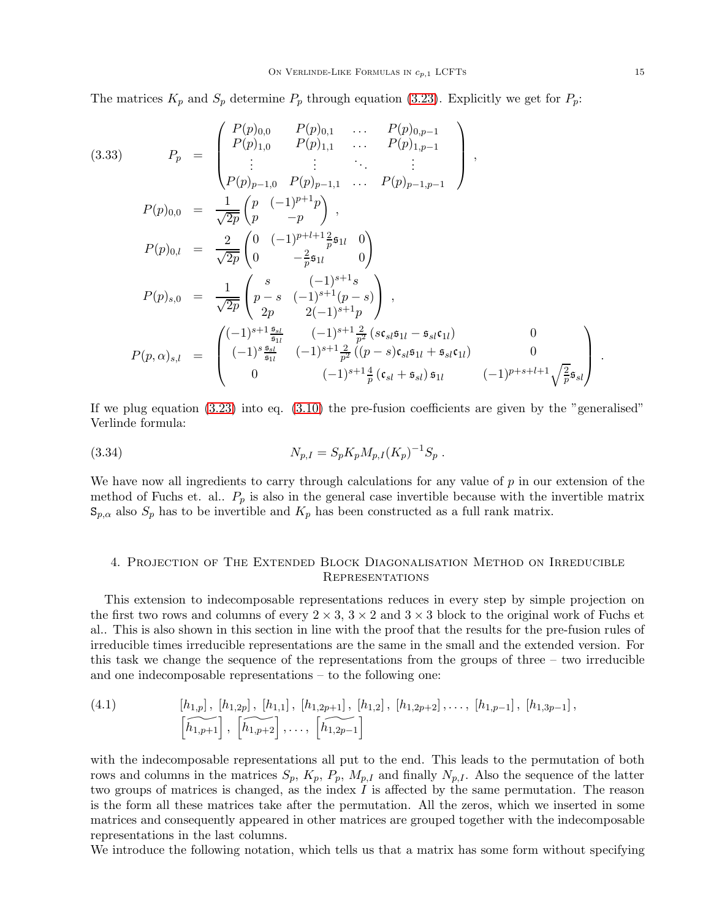The matrices  $K_p$  and  $S_p$  determine  $P_p$  through equation [\(3.23\)](#page-10-3). Explicitly we get for  $P_p$ :

<span id="page-15-1"></span>
$$
(3.33) \t P_p = \begin{pmatrix} P(p)_{0,0} & P(p)_{0,1} & \dots & P(p)_{0,p-1} \\ P(p)_{1,0} & P(p)_{1,1} & \dots & P(p)_{1,p-1} \\ \vdots & \vdots & \ddots & \vdots \\ P(p)_{p-1,0} & P(p)_{p-1,1} & \dots & P(p)_{p-1,p-1} \end{pmatrix},
$$
  
\n
$$
P(p)_{0,0} = \frac{1}{\sqrt{2p}} \begin{pmatrix} p & (-1)^{p+1}p \\ p & -p \end{pmatrix},
$$
  
\n
$$
P(p)_{0,l} = \frac{2}{\sqrt{2p}} \begin{pmatrix} 0 & (-1)^{p+l+1} \frac{2}{p} \mathfrak{s}_{1l} & 0 \\ 0 & -\frac{2}{p} \mathfrak{s}_{1l} & 0 \end{pmatrix}
$$
  
\n
$$
P(p)_{s,0} = \frac{1}{\sqrt{2p}} \begin{pmatrix} s & (-1)^{s+1}s \\ p-s & (-1)^{s+1}p & s \\ 2p & 2(-1)^{s+1}p \end{pmatrix},
$$
  
\n
$$
P(p,\alpha)_{s,l} = \begin{pmatrix} (-1)^{s+1} \frac{\mathfrak{s}_{sl}}{\mathfrak{s}_{1l}} & (-1)^{s+1} \frac{2}{p^2} (s\mathfrak{c}_{sl}\mathfrak{s}_{1l} - \mathfrak{s}_{sl}\mathfrak{c}_{1l}) & 0 \\ (-1)^{s} \frac{\mathfrak{s}_{sl}}{\mathfrak{s}_{1l}} & (-1)^{s+1} \frac{2}{p^2} ((p-s)\mathfrak{c}_{sl}\mathfrak{s}_{1l} + \mathfrak{s}_{sl}\mathfrak{c}_{1l}) & 0 \\ 0 & (-1)^{s+1} \frac{4}{p} (\mathfrak{c}_{sl} + \mathfrak{s}_{sl}) \mathfrak{s}_{1l} & (-1)^{p+s+l+1} \sqrt{\frac{2}{p}} \mathfrak{s}_{sl} \end{pmatrix}.
$$

If we plug equation  $(3.23)$  into eq.  $(3.10)$  the pre-fusion coefficients are given by the "generalised" Verlinde formula:

<span id="page-15-2"></span>(3.34) 
$$
N_{p,I} = S_p K_p M_{p,I} (K_p)^{-1} S_p .
$$

We have now all ingredients to carry through calculations for any value of  $p$  in our extension of the method of Fuchs et. al..  $P_p$  is also in the general case invertible because with the invertible matrix  $S_{p,\alpha}$  also  $S_p$  has to be invertible and  $K_p$  has been constructed as a full rank matrix.

# <span id="page-15-0"></span>4. Projection of The Extended Block Diagonalisation Method on Irreducible **REPRESENTATIONS**

This extension to indecomposable representations reduces in every step by simple projection on the first two rows and columns of every  $2 \times 3$ ,  $3 \times 2$  and  $3 \times 3$  block to the original work of Fuchs et al.. This is also shown in this section in line with the proof that the results for the pre-fusion rules of irreducible times irreducible representations are the same in the small and the extended version. For this task we change the sequence of the representations from the groups of three  $-$  two irreducible and one indecomposable representations – to the following one:

(4.1) 
$$
\begin{bmatrix} h_{1,p} \end{bmatrix}, \begin{bmatrix} h_{1,2p} \end{bmatrix}, \begin{bmatrix} h_{1,1} \end{bmatrix}, \begin{bmatrix} h_{1,2p+1} \end{bmatrix}, \begin{bmatrix} h_{1,2} \end{bmatrix}, \begin{bmatrix} h_{1,2p+2} \end{bmatrix}, \ldots, \begin{bmatrix} h_{1,p-1} \end{bmatrix}, \begin{bmatrix} h_{1,3p-1} \end{bmatrix}, \begin{bmatrix} h_{1,p+1} \end{bmatrix}, \begin{bmatrix} h_{1,p+2} \end{bmatrix}, \ldots, \begin{bmatrix} h_{1,2p-1} \end{bmatrix}
$$

with the indecomposable representations all put to the end. This leads to the permutation of both rows and columns in the matrices  $S_p$ ,  $K_p$ ,  $P_p$ ,  $M_{p,I}$  and finally  $N_{p,I}$ . Also the sequence of the latter two groups of matrices is changed, as the index  $I$  is affected by the same permutation. The reason is the form all these matrices take after the permutation. All the zeros, which we inserted in some matrices and consequently appeared in other matrices are grouped together with the indecomposable representations in the last columns.

We introduce the following notation, which tells us that a matrix has some form without specifying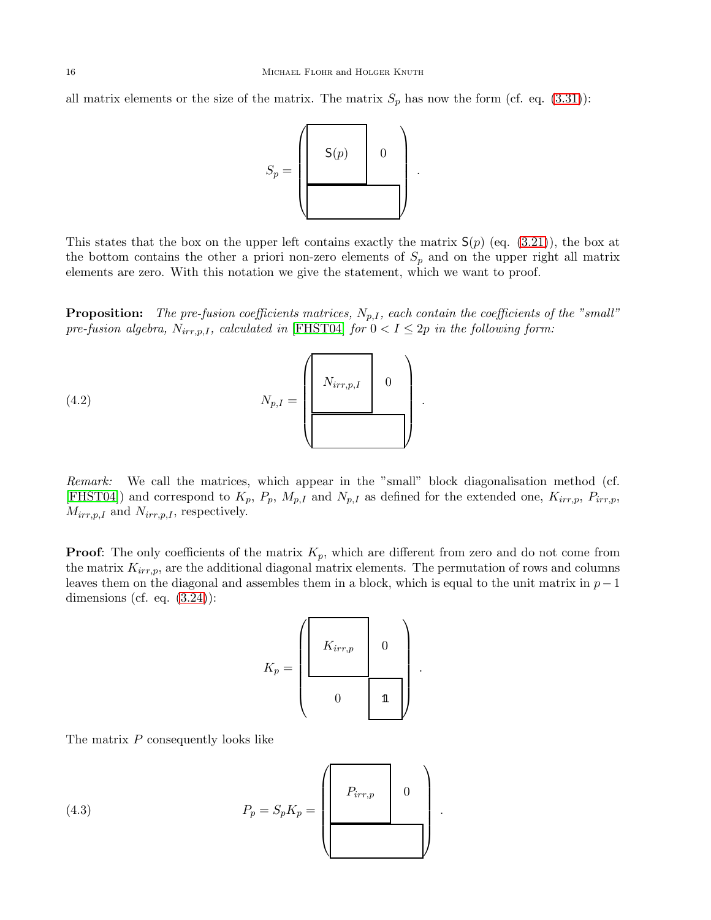all matrix elements or the size of the matrix. The matrix  $S_p$  has now the form (cf. eq. [\(3.31\)](#page-14-0)):



This states that the box on the upper left contains exactly the matrix  $S(p)$  (eq. [\(3.21\)](#page-10-0)), the box at the bottom contains the other a priori non-zero elements of  $S_p$  and on the upper right all matrix elements are zero. With this notation we give the statement, which we want to proof.

**Proposition:** The pre-fusion coefficients matrices,  $N_{p,I}$ , each contain the coefficients of the "small" pre-fusion algebra,  $N_{irr,p,I}$ , calculated in [\[FHST04\]](#page-37-16) for  $0 < I \leq 2p$  in the following form:



<span id="page-16-1"></span>Remark: We call the matrices, which appear in the "small" block diagonalisation method (cf. [\[FHST04\]](#page-37-16)) and correspond to  $K_p$ ,  $P_p$ ,  $M_{p,I}$  and  $N_{p,I}$  as defined for the extended one,  $K_{irr,p}$ ,  $P_{irr,p}$ ,  $M_{irr,p,I}$  and  $N_{irr,p,I}$ , respectively.

**Proof:** The only coefficients of the matrix  $K_p$ , which are different from zero and do not come from the matrix  $K_{irr,p}$ , are the additional diagonal matrix elements. The permutation of rows and columns leaves them on the diagonal and assembles them in a block, which is equal to the unit matrix in  $p-1$ dimensions (cf. eq.  $(3.24)$ ):

$$
K_p = \left(\begin{array}{ccc} & & & \\ & K_{irr,p} & & 0 \\ & & & \\ & & & \\ 0 & & & \mathbb{1} \end{array}\right)
$$

.

The matrix P consequently looks like

<span id="page-16-0"></span>(4.3) 
$$
P_p = S_p K_p = \begin{pmatrix} P_{irr,p} & 0 \\ 0 & 0 \end{pmatrix}.
$$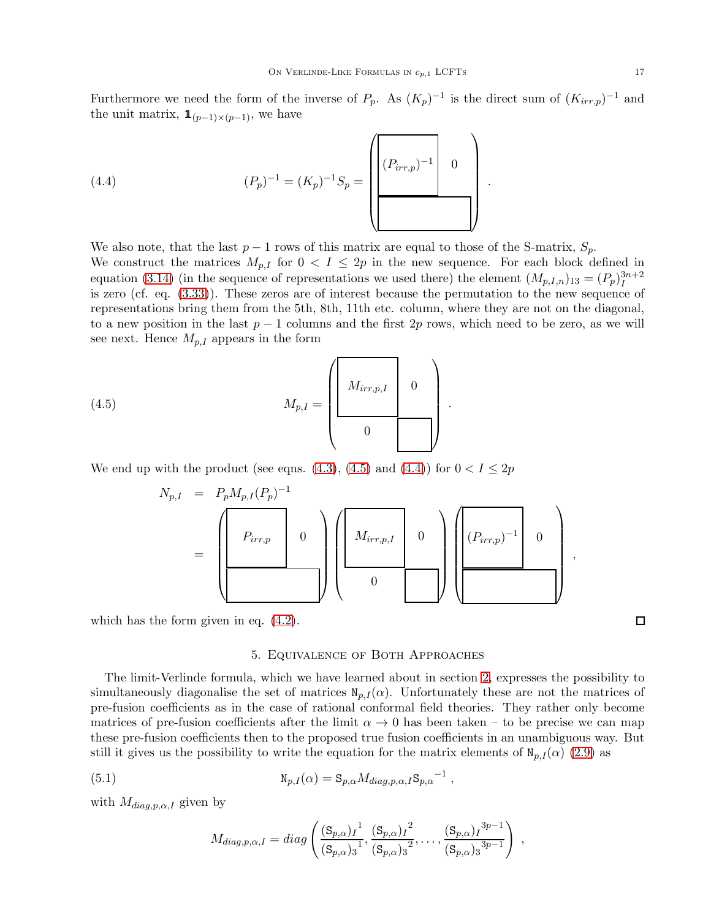Furthermore we need the form of the inverse of  $P_p$ . As  $(K_p)^{-1}$  is the direct sum of  $(K_{irr,p})^{-1}$  and the unit matrix,  $\mathbf{1}_{(p-1)\times (p-1)}$ , we have

.

<span id="page-17-2"></span>(4.4) 
$$
(P_p)^{-1} = (K_p)^{-1} S_p = \left( \begin{bmatrix} (P_{irr,p})^{-1} & 0 \\ (P_{irr,p})^{-1} & 0 \end{bmatrix} \right)
$$

We also note, that the last  $p-1$  rows of this matrix are equal to those of the S-matrix,  $S_p$ . We construct the matrices  $M_{p,I}$  for  $0 < I \leq 2p$  in the new sequence. For each block defined in equation [\(3.14\)](#page-9-3) (in the sequence of representations we used there) the element  $(M_{p,I,n})_{13} = (P_p)^{3n+2}_{I}$ is zero (cf. eq. [\(3.33\)](#page-15-1)). These zeros are of interest because the permutation to the new sequence of representations bring them from the 5th, 8th, 11th etc. column, where they are not on the diagonal, to a new position in the last  $p-1$  columns and the first 2p rows, which need to be zero, as we will see next. Hence  $M_{p,I}$  appears in the form

(4.5) 
$$
M_{p,I} = \begin{pmatrix} 0 & 0 & 0 \\ 0 & 0 & 0 \\ 0 & 0 & 0 \end{pmatrix}.
$$

We end up with the product (see eqns. [\(4.3\)](#page-16-0), [\(4.5\)](#page-17-1) and [\(4.4\)](#page-17-2)) for  $0 < I < 2p$ 

<span id="page-17-1"></span>

<span id="page-17-0"></span>which has the form given in eq. [\(4.2\)](#page-16-1).

# 5. Equivalence of Both Approaches

The limit-Verlinde formula, which we have learned about in section [2,](#page-3-0) expresses the possibility to simultaneously diagonalise the set of matrices  $N_{p,I}(\alpha)$ . Unfortunately these are not the matrices of pre-fusion coefficients as in the case of rational conformal field theories. They rather only become matrices of pre-fusion coefficients after the limit  $\alpha \to 0$  has been taken – to be precise we can map these pre-fusion coefficients then to the proposed true fusion coefficients in an unambiguous way. But still it gives us the possibility to write the equation for the matrix elements of  $N_{p,I}(\alpha)$  [\(2.9\)](#page-5-2) as

(5.1) 
$$
N_{p,I}(\alpha) = S_{p,\alpha} M_{diag,p,\alpha,I} S_{p,\alpha}^{-1},
$$

with  $M_{diag,p,\alpha,I}$  given by

<span id="page-17-3"></span>
$$
M_{diag,p,\alpha,I} = diag\left(\frac{(S_{p,\alpha})_I^1}{(S_{p,\alpha})_3^1}, \frac{(S_{p,\alpha})_I^2}{(S_{p,\alpha})_3^2}, \ldots, \frac{(S_{p,\alpha})_I^{3p-1}}{(S_{p,\alpha})_3^{3p-1}}\right) ,
$$

 $\Box$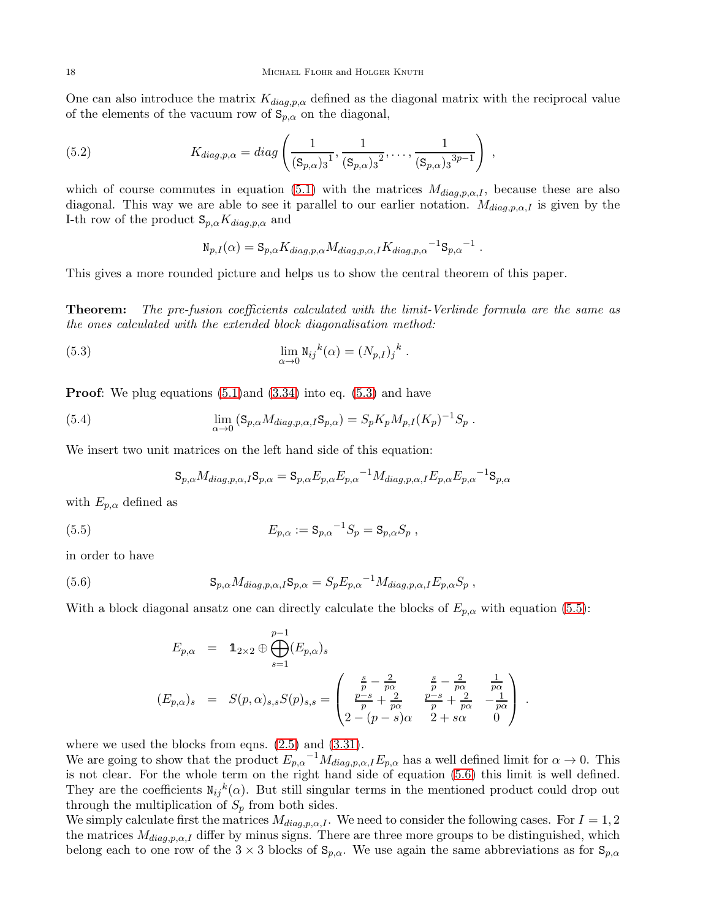One can also introduce the matrix  $K_{diag,p,\alpha}$  defined as the diagonal matrix with the reciprocal value of the elements of the vacuum row of  $S_{p,\alpha}$  on the diagonal,

(5.2) 
$$
K_{diag,p,\alpha} = diag\left(\frac{1}{(\mathbf{S}_{p,\alpha})_3!}, \frac{1}{(\mathbf{S}_{p,\alpha})_3^2}, \dots, \frac{1}{(\mathbf{S}_{p,\alpha})_3^{3p-1}}\right)
$$

which of course commutes in equation [\(5.1\)](#page-17-3) with the matrices  $M_{diag,p,\alpha,I}$ , because these are also diagonal. This way we are able to see it parallel to our earlier notation.  $M_{diag,p,\alpha,I}$  is given by the I-th row of the product  $\mathbf{S}_{p,\alpha}K_{diag,p,\alpha}$  and

,

<span id="page-18-4"></span><span id="page-18-0"></span>
$$
N_{p,I}(\alpha) = S_{p,\alpha} K_{diag,p,\alpha} M_{diag,p,\alpha,I} K_{diag,p,\alpha}^{-1} S_{p,\alpha}^{-1} .
$$

This gives a more rounded picture and helps us to show the central theorem of this paper.

**Theorem:** The pre-fusion coefficients calculated with the limit-Verlinde formula are the same as the ones calculated with the extended block diagonalisation method:

(5.3) 
$$
\lim_{\alpha \to 0} N_{ij}^{k}(\alpha) = (N_{p,I})_{j}^{k}.
$$

**Proof:** We plug equations  $(5.1)$  and  $(3.34)$  into eq.  $(5.3)$  and have

(5.4) 
$$
\lim_{\alpha \to 0} (S_{p,\alpha} M_{diag,p,\alpha,I} S_{p,\alpha}) = S_p K_p M_{p,I} (K_p)^{-1} S_p.
$$

We insert two unit matrices on the left hand side of this equation:

<span id="page-18-3"></span><span id="page-18-1"></span>
$$
\mathbf{S}_{p,\alpha}M_{diag,p,\alpha,I}\mathbf{S}_{p,\alpha}=\mathbf{S}_{p,\alpha}E_{p,\alpha}E_{p,\alpha}^{-1}M_{diag,p,\alpha,I}E_{p,\alpha}E_{p,\alpha}^{-1}\mathbf{S}_{p,\alpha}
$$

with  $E_{p,\alpha}$  defined as

(5.5) 
$$
E_{p,\alpha} := \mathbf{S}_{p,\alpha}^{-1} S_p = \mathbf{S}_{p,\alpha} S_p ,
$$

in order to have

(5.6) 
$$
S_{p,\alpha} M_{diag,p,\alpha,I} S_{p,\alpha} = S_p E_{p,\alpha}^{-1} M_{diag,p,\alpha,I} E_{p,\alpha} S_p,
$$

With a block diagonal ansatz one can directly calculate the blocks of  $E_{p,\alpha}$  with equation [\(5.5\)](#page-18-1):

<span id="page-18-2"></span>
$$
E_{p,\alpha} = \mathbf{1}_{2 \times 2} \oplus \bigoplus_{s=1}^{p-1} (E_{p,\alpha})_s
$$
  
\n
$$
(E_{p,\alpha})_s = S(p,\alpha)_{s,s} S(p)_{s,s} = \begin{pmatrix} \frac{s}{p} - \frac{2}{p\alpha} & \frac{s}{p} - \frac{2}{p\alpha} & \frac{1}{p\alpha} \\ \frac{p-s}{p} + \frac{2}{p\alpha} & \frac{p-s}{p} + \frac{2}{p\alpha} & -\frac{1}{p\alpha} \\ 2 - (p-s)\alpha & 2 + s\alpha & 0 \end{pmatrix}.
$$

where we used the blocks from eqns.  $(2.5)$  and  $(3.31)$ .

We are going to show that the product  $E_{p,\alpha}^{-1} M_{diag,p,\alpha,I} E_{p,\alpha}$  has a well defined limit for  $\alpha \to 0$ . This is not clear. For the whole term on the right hand side of equation [\(5.6\)](#page-18-2) this limit is well defined. They are the coefficients  $N_{ij}{}^k(\alpha)$ . But still singular terms in the mentioned product could drop out through the multiplication of  $S_p$  from both sides.

We simply calculate first the matrices  $M_{diag,p,\alpha,I}$ . We need to consider the following cases. For  $I = 1,2$ the matrices  $M_{diag,p,\alpha,I}$  differ by minus signs. There are three more groups to be distinguished, which belong each to one row of the  $3 \times 3$  blocks of  $S_{p,\alpha}$ . We use again the same abbreviations as for  $S_{p,\alpha}$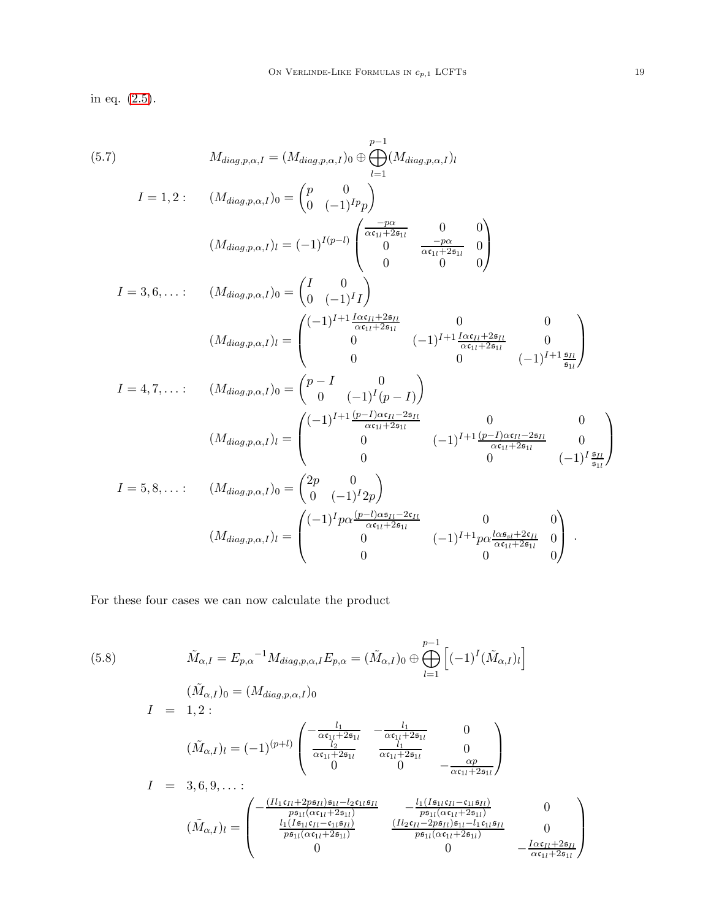in eq. [\(2.5\)](#page-4-2).

(5.7)  
\n
$$
M_{diag,p,\alpha,I} = (M_{diag,p,\alpha,I})_0 \oplus \bigoplus_{l=1}^{p-1} (M_{diag,p,\alpha,I})_l
$$
\n
$$
I = 1,2: \quad (M_{diag,p,\alpha,I})_0 = {p \choose 0 \ (-1)^{I_p} p}
$$
\n
$$
(M_{diag,p,\alpha,I})_l = (-1)^{I(p-1)} \begin{pmatrix} \frac{-p\alpha}{\alpha c_{11} + 2s_{11}} & 0 & 0\\ 0 & \frac{-p\alpha}{\alpha c_{11} + 2s_{11}} & 0\\ 0 & 0 & 0 \end{pmatrix}
$$
\n
$$
I = 3,6,...: \quad (M_{diag,p,\alpha,I})_0 = {I \choose 0 \ (-1)^{I} I} \begin{pmatrix} 0 & 0 & 0\\ 0 & (-1)^{I} I \end{pmatrix}
$$
\n
$$
(M_{diag,p,\alpha,I})_l = \begin{pmatrix} (-1)^{I+1} \frac{1 \alpha c_{I1} + 2s_{I1}}{\alpha c_{11} + 2s_{11}} & 0 & 0\\ 0 & (-1)^{I+1} \frac{1 \alpha c_{I1} + 2s_{I1}}{\alpha c_{11} + 2s_{11}} & 0\\ 0 & 0 & 0 & (-1)^{I+1} \frac{s_{I1}}{s_{11}} \end{pmatrix}
$$
\n
$$
I = 4,7,...: \quad (M_{diag,p,\alpha,I})_0 = {p - I \choose 0 \ (-1)^{I} (p - I)}
$$
\n
$$
(M_{diag,p,\alpha,I})_l = \begin{pmatrix} (-1)^{I+1} \frac{(p-1)\alpha c_{I1} - 2s_{I1}}{\alpha c_{11} + 2s_{11}} & 0 & 0\\ 0 & (-1)^{I+1} \frac{(p-1)\alpha c_{I1} - 2s_{I1}}{\alpha c_{11} + 2s_{11}} & 0\\ 0 & 0 & (-1)^{I} \frac{s_{I1}}{s_{11}} \end{pmatrix}
$$
\n
$$
I = 5,8,...: \quad (M_{diag,p,\alpha,I})_0 = {2p \choose 0 \ (-1)^{I} 2p}
$$
\n
$$
(M_{diag,p,\alpha,I})_l = \begin{pmatrix} (-1)^{I} p\alpha \frac{(p-1)\alpha s_{I1} - 2c_{
$$

For these four cases we can now calculate the product

$$
(5.8) \qquad \tilde{M}_{\alpha,I} = E_{p,\alpha}^{-1} M_{diag,p,\alpha,I} E_{p,\alpha} = (\tilde{M}_{\alpha,I})_0 \oplus \bigoplus_{l=1}^{p-1} \left[ (-1)^l (\tilde{M}_{\alpha,I})_l \right]
$$
\n
$$
( \tilde{M}_{\alpha,I})_0 = (M_{diag,p,\alpha,I})_0
$$
\n
$$
I = 1,2:
$$
\n
$$
(\tilde{M}_{\alpha,I})_l = (-1)^{(p+l)} \begin{pmatrix} -\frac{l_1}{\alpha c_{1l} + 2s_{1l}} & -\frac{l_1}{\alpha c_{1l} + 2s_{1l}} & 0\\ \frac{l_2}{\alpha c_{1l} + 2s_{1l}} & \frac{l_1}{\alpha c_{1l} + 2s_{1l}} & 0\\ 0 & 0 & -\frac{\alpha p}{\alpha c_{1l} + 2s_{1l}} \end{pmatrix}
$$
\n
$$
I = 3,6,9,...:
$$
\n
$$
(\tilde{M}_{\alpha,I})_l = \begin{pmatrix} -\frac{(I_l \mathfrak{c}_{lI} + 2p s_{Il}) s_{1l} - l_2 \mathfrak{c}_{1l} s_{Il}}{\frac{p s_{1l} (\alpha c_{1l} + 2s_{1l})}{\alpha c_{1l} + 2s_{1l}}} & -\frac{l_1 (I s_{1l} \mathfrak{c}_{lI} - c_{1l} s_{Il})}{\frac{p s_{1l} (\alpha c_{1l} + 2s_{1l})}{\alpha c_{1l} + 2s_{1l}}} & 0\\ \frac{l_1 (I s_{1l} \mathfrak{c}_{lI} - c_{1l} s_{Il})}{\frac{p s_{1l} (\alpha c_{1l} + 2s_{1l})}{\alpha c_{1l} + 2s_{1l}}} & \frac{(I_l \mathfrak{c}_{lI} - 2p s_{Il}) s_{1l} - l_1 c_{1l} s_{Il}}{\alpha c_{1l} + 2s_{1l}} & 0\\ 0 & -\frac{I \alpha c_{Il} + 2s_{Il}}{\alpha c_{1l} + 2s_{1l}} \end{pmatrix}
$$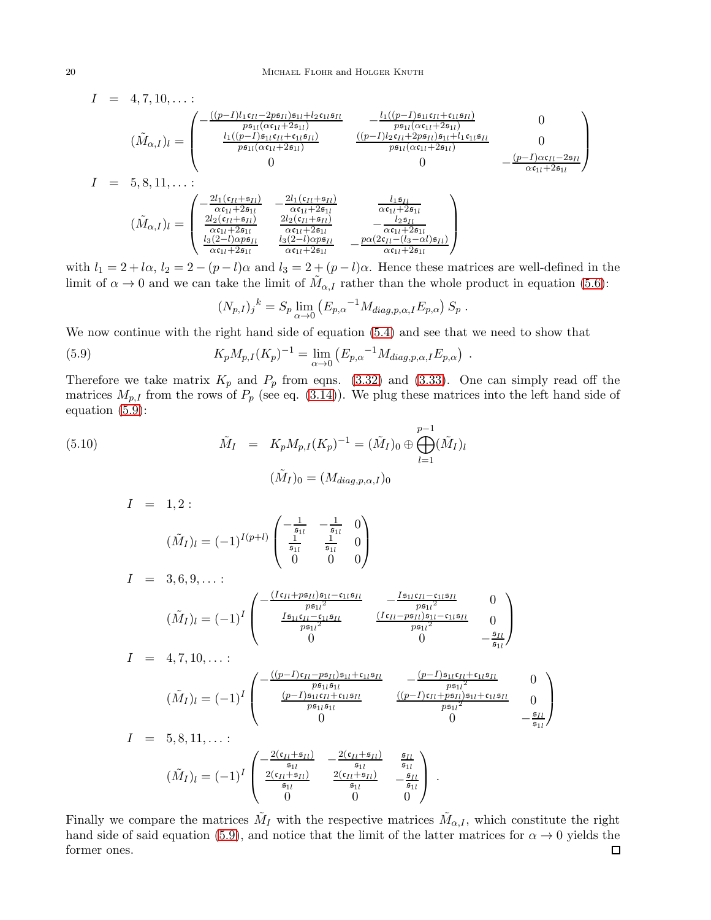$$
I = 4, 7, 10, ...;
$$
  
\n
$$
(\tilde{M}_{\alpha,I})_l = \begin{pmatrix}\n-\frac{((p-1)l_1\mathfrak{c}_{Il} - 2p\mathfrak{s}_{Il})\mathfrak{s}_{1l} + l_2\mathfrak{c}_{1l}\mathfrak{s}_{Il}}{p\mathfrak{s}_{1l}(\alpha\mathfrak{c}_{1l} + 2\mathfrak{s}_{1l})} & -\frac{l_1((p-1)\mathfrak{s}_{1l}\mathfrak{c}_{Il} + \mathfrak{c}_{1l}\mathfrak{s}_{Il})}{p\mathfrak{s}_{1l}(\alpha\mathfrak{c}_{1l} + 2\mathfrak{s}_{1l})} & 0 \\
\frac{l_1((p-1)\mathfrak{s}_{1l}\mathfrak{c}_{Il} + \mathfrak{c}_{1l}\mathfrak{s}_{Il})}{p\mathfrak{s}_{1l}(\alpha\mathfrak{c}_{1l} + 2\mathfrak{s}_{1l})} & \frac{((p-1)l_2\mathfrak{c}_{Il} + 2p\mathfrak{s}_{Il})\mathfrak{s}_{1l} + l_1\mathfrak{c}_{1l}\mathfrak{s}_{Il}}{p\mathfrak{s}_{1l}(\alpha\mathfrak{c}_{1l} + 2\mathfrak{s}_{1l})} & 0 \\
0 & 0 & -\frac{(p-1)\alpha\mathfrak{c}_{Il} - 2\mathfrak{s}_{Il}}{\alpha\mathfrak{c}_{1l} + 2\mathfrak{s}_{1l}}\n\end{pmatrix}
$$
  
\n
$$
I = 5, 8, 11, ...
$$
  
\n
$$
(\tilde{M}_{\alpha,I})_l = \begin{pmatrix}\n-\frac{2l_1(\mathfrak{c}_{Il} + \mathfrak{s}_{Il})}{\alpha\mathfrak{c}_{1l} + 2\mathfrak{s}_{1l}} & -\frac{2l_1(\mathfrak{c}_{Il} + \mathfrak{s}_{Il})}{\alpha\mathfrak{c}_{1l} + 2\mathfrak{s}_{1l}} & \frac{l_1\mathfrak{s}_{Il}}{\alpha\mathfrak{c}_{1l} + 2\mathfrak{s}_{1l}} \\
\frac{2l_2(\mathfrak{c}_{Il} + \mathfrak{s}_{Il})}{\alpha\mathfrak{c}_{1l} + 2\mathfrak{s}_{1l}} & \frac{2l_2(\mathfrak{c}_{
$$

with  $l_1 = 2 + l\alpha$ ,  $l_2 = 2 - (p - l)\alpha$  and  $l_3 = 2 + (p - l)\alpha$ . Hence these matrices are well-defined in the limit of  $\alpha \to 0$  and we can take the limit of  $\tilde{M}_{\alpha,I}$  rather than the whole product in equation [\(5.6\)](#page-18-2):

<span id="page-20-0"></span>
$$
(N_{p,I})_j^{\ k} = S_p \lim_{\alpha \to 0} \left( E_{p,\alpha}^{-1} M_{diag,p,\alpha,I} E_{p,\alpha} \right) S_p \ .
$$

We now continue with the right hand side of equation [\(5.4\)](#page-18-3) and see that we need to show that

(5.9) 
$$
K_p M_{p,I}(K_p)^{-1} = \lim_{\alpha \to 0} (E_{p,\alpha}^{-1} M_{diag,p,\alpha,I} E_{p,\alpha}) .
$$

Therefore we take matrix  $K_p$  and  $P_p$  from eqns. [\(3.32\)](#page-14-1) and [\(3.33\)](#page-15-1). One can simply read off the matrices  $M_{p,I}$  from the rows of  $P_p$  (see eq. [\(3.14\)](#page-9-3)). We plug these matrices into the left hand side of equation [\(5.9\)](#page-20-0):

(5.10) 
$$
\tilde{M}_I = K_p M_{p,I}(K_p)^{-1} = (\tilde{M}_I)_0 \oplus \bigoplus_{l=1}^{p-1} (\tilde{M}_I)_l
$$

$$
(\tilde{M}_I)_0 = (M_{diag,p,\alpha,I})_0
$$

$$
I = 1, 2:
$$
  
\n
$$
(\tilde{M}_I)_l = (-1)^{I(p+l)} \begin{pmatrix} -\frac{1}{\mathfrak{s}_{1l}} & -\frac{1}{\mathfrak{s}_{1l}} & 0\\ \frac{1}{\mathfrak{s}_{1l}} & \frac{1}{\mathfrak{s}_{1l}} & 0\\ 0 & 0 & 0 \end{pmatrix}
$$
  
\n
$$
I = 3, 6, 9, \dots:
$$

$$
(\tilde{M}_I)_l = (-1)^I \begin{pmatrix} -\frac{(Ic_{II} + p\mathfrak{s}_{Il})\mathfrak{s}_{1l} - c_{1l}\mathfrak{s}_{Il}}{p\mathfrak{s}_{1l}^2} & -\frac{I\mathfrak{s}_{1l}c_{II} - c_{1l}\mathfrak{s}_{Il}}{p\mathfrak{s}_{1l}^2} & 0\\ \frac{I\mathfrak{s}_{1l}c_{II} - c_{1l}\mathfrak{s}_{Il}}{p\mathfrak{s}_{1l}^2} & \frac{(Ic_{II} - p\mathfrak{s}_{II})\mathfrak{s}_{1l} - c_{1l}\mathfrak{s}_{Il}}{p\mathfrak{s}_{1l}^2} & 0\\ 0 & 0 & -\frac{\mathfrak{s}_{II}}{\mathfrak{s}_{1l}} \end{pmatrix}
$$
  
\n
$$
I = 4, 7, 10, \dots
$$

$$
(\tilde{M}_I)_l = (-1)^I \begin{pmatrix} -\frac{((p-1)c_{Il} - p\mathfrak{s}_{Il})\mathfrak{s}_{1l} + c_{1l}\mathfrak{s}_{Il}}{p\mathfrak{s}_{1l}\mathfrak{s}_{1l}} & -\frac{(p-1)\mathfrak{s}_{1l}c_{Il} + c_{1l}\mathfrak{s}_{Il}}{p\mathfrak{s}_{1l}^2} & 0\\ \frac{(p-1)\mathfrak{s}_{1l}c_{Il} + c_{1l}\mathfrak{s}_{Il}}{p\mathfrak{s}_{1l}\mathfrak{s}_{1l}} & \frac{((p-1)c_{Il} + p\mathfrak{s}_{Il})\mathfrak{s}_{1l} + c_{1l}\mathfrak{s}_{Il}}{p\mathfrak{s}_{1l}^2} & 0\\ 0 & 0 & -\frac{\mathfrak{s}_{Il}}{\mathfrak{s}_{1l}} \end{pmatrix}
$$

$$
I = 5,8,11,...:
$$
  
\n
$$
(\tilde{M}_I)_l = (-1)^I \begin{pmatrix} -\frac{2(\mathfrak{c}_{Il} + \mathfrak{s}_{Il})}{\mathfrak{s}_{1l}} & -\frac{2(\mathfrak{c}_{Il} + \mathfrak{s}_{Il})}{\mathfrak{s}_{1l}} & \frac{\mathfrak{s}_{II}}{\mathfrak{s}_{1l}} \\ \frac{2(\mathfrak{c}_{II} + \mathfrak{s}_{II})}{\mathfrak{s}_{1l}} & \frac{2(\mathfrak{c}_{II} + \mathfrak{s}_{II})}{\mathfrak{s}_{1l}} & -\frac{\mathfrak{s}_{II}}{\mathfrak{s}_{1l}} \\ 0 & 0 & 0 \end{pmatrix}.
$$

Finally we compare the matrices  $\tilde{M}_I$  with the respective matrices  $\tilde{M}_{\alpha,I}$ , which constitute the right hand side of said equation [\(5.9\)](#page-20-0), and notice that the limit of the latter matrices for  $\alpha \to 0$  yields the former ones. former ones.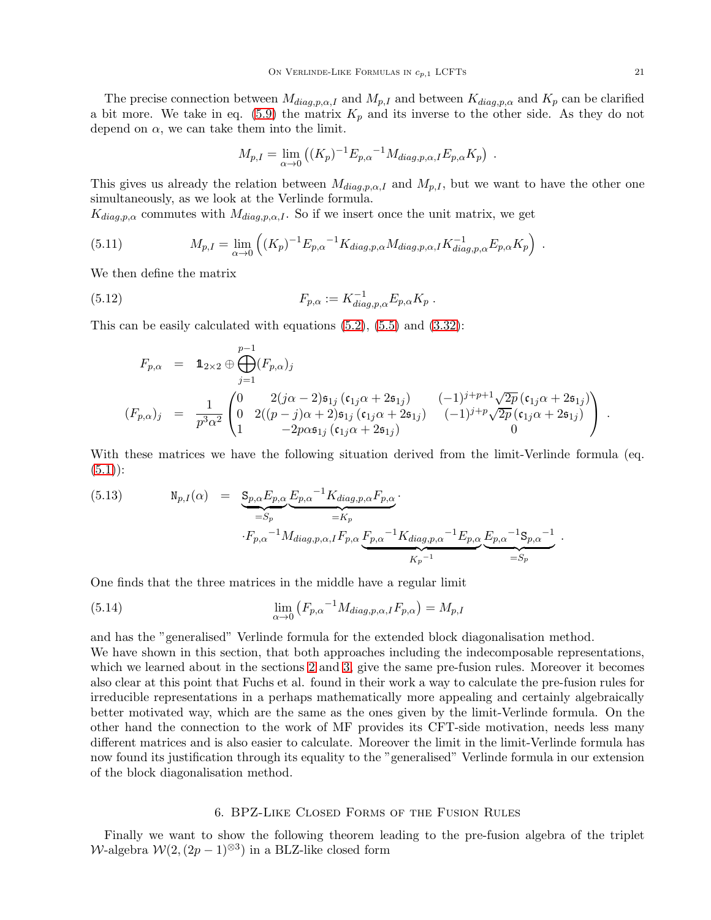The precise connection between  $M_{diag,p,\alpha,I}$  and  $M_{p,I}$  and between  $K_{diag,p,\alpha}$  and  $K_p$  can be clarified a bit more. We take in eq. [\(5.9\)](#page-20-0) the matrix  $K_p$  and its inverse to the other side. As they do not depend on  $\alpha$ , we can take them into the limit.

$$
M_{p,I} = \lim_{\alpha \to 0} ((K_p)^{-1} E_{p,\alpha}^{-1} M_{diag,p,\alpha,I} E_{p,\alpha} K_p) .
$$

This gives us already the relation between  $M_{diag,p,\alpha,I}$  and  $M_{p,I}$ , but we want to have the other one simultaneously, as we look at the Verlinde formula.

 $K_{diag,p,\alpha}$  commutes with  $M_{diag,p,\alpha,I}$ . So if we insert once the unit matrix, we get

(5.11) 
$$
M_{p,I} = \lim_{\alpha \to 0} \left( (K_p)^{-1} E_{p,\alpha}^{-1} K_{diag,p,\alpha} M_{diag,p,\alpha,I} K_{diag,p,\alpha}^{-1} E_{p,\alpha} K_p \right) .
$$

We then define the matrix

(5.12) 
$$
F_{p,\alpha} := K_{diag,p,\alpha}^{-1} E_{p,\alpha} K_p \; .
$$

This can be easily calculated with equations  $(5.2)$ ,  $(5.5)$  and  $(3.32)$ :

$$
F_{p,\alpha} = \mathbb{1}_{2 \times 2} \oplus \bigoplus_{j=1}^{p-1} (F_{p,\alpha})_j
$$
  
\n
$$
(F_{p,\alpha})_j = \frac{1}{p^3 \alpha^2} \begin{pmatrix} 0 & 2(j\alpha - 2)\mathfrak{s}_{1j} (\mathfrak{c}_{1j}\alpha + 2\mathfrak{s}_{1j}) & (-1)^{j+p+1} \sqrt{2p} (\mathfrak{c}_{1j}\alpha + 2\mathfrak{s}_{1j}) \\ 0 & 2((p-j)\alpha + 2)\mathfrak{s}_{1j} (\mathfrak{c}_{1j}\alpha + 2\mathfrak{s}_{1j}) & (-1)^{j+p} \sqrt{2p} (\mathfrak{c}_{1j}\alpha + 2\mathfrak{s}_{1j}) \\ 1 & -2p\alpha \mathfrak{s}_{1j} (\mathfrak{c}_{1j}\alpha + 2\mathfrak{s}_{1j}) & 0 \end{pmatrix}.
$$

With these matrices we have the following situation derived from the limit-Verlinde formula (eq.  $(5.1)$ :

<span id="page-21-1"></span>(5.13) 
$$
N_{p,I}(\alpha) = \underbrace{S_{p,\alpha}E_{p,\alpha}E_{p,\alpha}^{-1}K_{diag,p,\alpha}F_{p,\alpha}}_{=K_p} \cdot F_{p,\alpha}^{-1}M_{diag,p,\alpha,I}F_{p,\alpha}\underbrace{F_{p,\alpha}^{-1}K_{diag,p,\alpha}^{-1}E_{p,\alpha}E_{p,\alpha}^{-1}S_{p,\alpha}^{-1}}_{K_p^{-1}}.
$$

One finds that the three matrices in the middle have a regular limit

<span id="page-21-2"></span>(5.14) 
$$
\lim_{\alpha \to 0} \left( F_{p,\alpha}^{-1} M_{diag,p,\alpha,I} F_{p,\alpha} \right) = M_{p,I}
$$

and has the "generalised" Verlinde formula for the extended block diagonalisation method. We have shown in this section, that both approaches including the indecomposable representations, which we learned about in the sections [2](#page-3-0) and [3,](#page-7-0) give the same pre-fusion rules. Moreover it becomes also clear at this point that Fuchs et al. found in their work a way to calculate the pre-fusion rules for irreducible representations in a perhaps mathematically more appealing and certainly algebraically better motivated way, which are the same as the ones given by the limit-Verlinde formula. On the other hand the connection to the work of MF provides its CFT-side motivation, needs less many different matrices and is also easier to calculate. Moreover the limit in the limit-Verlinde formula has now found its justification through its equality to the "generalised" Verlinde formula in our extension of the block diagonalisation method.

#### 6. BPZ-Like Closed Forms of the Fusion Rules

<span id="page-21-0"></span>Finally we want to show the following theorem leading to the pre-fusion algebra of the triplet W-algebra  $\mathcal{W}(2,(2p-1)^{\otimes 3})$  in a BLZ-like closed form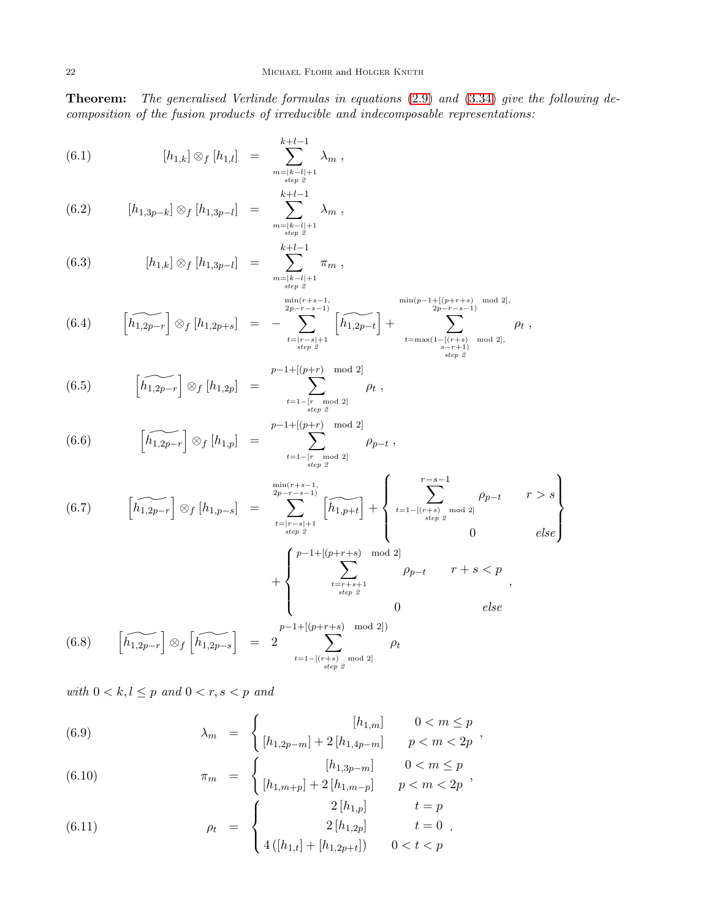Theorem: The generalised Verlinde formulas in equations [\(2.9\)](#page-5-2) and [\(3.34\)](#page-15-2) give the following decomposition of the fusion products of irreducible and indecomposable representations:

<span id="page-22-0"></span>(6.1) 
$$
[h_{1,k}] \otimes_f [h_{1,l}] = \sum_{\substack{m=|k-l|+1 \ s_{\text{step 2}}}^{k+l-1} \lambda_m,
$$

$$
(6.2) \qquad [h_{1,3p-k}] \otimes_f [h_{1,3p-l}] = \sum_{\substack{m=|k-l|+1 \ \text{step } 2}}^{k+l-1} \lambda_m ,
$$

(6.3) 
$$
[h_{1,k}] \otimes_f [h_{1,3p-l}] = \sum_{\substack{m=|k-l|+1 \ \text{step 2}}}^{k+l-1} \pi_m ,
$$

$$
(6.4) \qquad \left[\widetilde{h_{1,2p-r}}\right] \otimes_{f} \left[h_{1,2p+s}\right] = -\sum_{\substack{2p-r-s-1 \ \text{step 2}}}^{\min(r+s-1, \text{ min}(r+s-1, \text{ min}(p-1+[(p+r+s) \mod 2], \text{ mod } 2), \\ \text{step 2}} \left[\widetilde{h_{1,2p-t}}\right] + \sum_{\substack{2p-r-s-1 \ \text{step 2}}}^{\min(p-1+[(p+r+s) \mod 2, \text{ mod } 2],} \rho_{t},
$$

(6.5) 
$$
\left[\widetilde{h_{1,2p-r}}\right] \otimes_f \left[h_{1,2p}\right] = \sum_{\substack{t=1-[r \mod 2] \\ \text{step 2}}}^{p-1+\left[(p+r) \mod 2\right]} \rho_t,
$$

(6.6) 
$$
\left[\widetilde{h_{1,2p-r}}\right] \otimes_f \left[h_{1,p}\right] = \sum_{t=1-\left[r \mod 2\right] \atop \text{step 2}}^{p-1+\left[(p+r) \mod 2\right]} \rho_{p-t},
$$

(6.7) 
$$
\left[\widehat{h_{1,2p-r}}\right] \otimes_{f} \left[h_{1,p-s}\right] = \sum_{\substack{2p-r-s-1 \ \text{step 2}}}^{\min(r+s-1)} \left[\widehat{h_{1,p+t}}\right] + \left\{\sum_{\substack{t=1-\left[(r+s)\mod 2\right] \ \text{step 2}}}^{r-s-1} \rho_{p-t} \quad r > s \right\}
$$

$$
+\begin{cases} p-1+[(p+r+s) \mod 2] \\ \sum_{\substack{t=r+s+1 \ s\epsilon p \ \ 2}}^{r} \rho_{p-t} & r+s < p \\ 0 & else \end{cases},
$$

$$
(6.8) \qquad \left[\widetilde{h_{1,2p-r}}\right] \otimes_f \left[\widetilde{h_{1,2p-s}}\right] = 2 \sum_{t=1-\left[\binom{r+s}{step 2} \mod 2\right]}^{p-1+\left[\binom{p+r+s}{p+r+s} \mod 2\right]} \rho_t
$$

with  $0 < k, l \leq p$  and  $0 < r, s < p$  and

<span id="page-22-1"></span>(6.9) 
$$
\lambda_m = \begin{cases} [h_{1,m}] & 0 < m \le p \\ [h_{1,2p-m}] + 2[h_{1,4p-m}] & p < m < 2p \end{cases}
$$

(6.10) 
$$
\pi_m = \begin{cases} [h_{1,3p-m}] & 0 < m \le p \\ [h_{1,m+p}] + 2[h_{1,m-p}] & p < m < 2p \end{cases}
$$

(6.11) 
$$
\rho_t = \begin{cases} 2[h_{1,p}] & t = p \\ 2[h_{1,2p}] & t = 0 \\ 4([h_{1,t}] + [h_{1,2p+t}]) & 0 < t < p \end{cases}
$$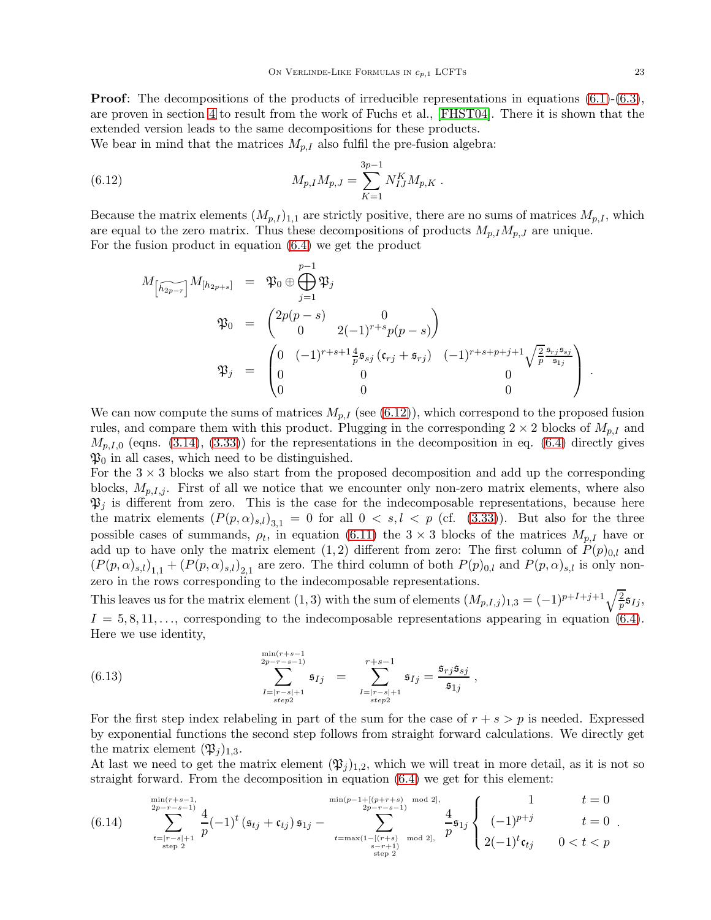**Proof:** The decompositions of the products of irreducible representations in equations  $(6.1)-(6.3)$  $(6.1)-(6.3)$ , are proven in section [4](#page-15-0) to result from the work of Fuchs et al., [\[FHST04\]](#page-37-16). There it is shown that the extended version leads to the same decompositions for these products.

We bear in mind that the matrices  $M_{p,I}$  also fulfil the pre-fusion algebra:

(6.12) 
$$
M_{p,I}M_{p,J} = \sum_{K=1}^{3p-1} N_{IJ}^K M_{p,K}.
$$

Because the matrix elements  $(M_{p,I})_{1,1}$  are strictly positive, there are no sums of matrices  $M_{p,I}$ , which are equal to the zero matrix. Thus these decompositions of products  $M_{p,I}M_{p,J}$  are unique. For the fusion product in equation [\(6.4\)](#page-22-0) we get the product

<span id="page-23-0"></span>
$$
M_{\left[\widetilde{h_{2p-r}}\right]}M_{\left[h_{2p+s}\right]} = \mathfrak{P}_0 \oplus \bigoplus_{j=1}^{p-1} \mathfrak{P}_j
$$
\n
$$
\mathfrak{P}_0 = \begin{pmatrix} 2p(p-s) & 0 \\ 0 & 2(-1)^{r+s}p(p-s) \end{pmatrix}
$$
\n
$$
\mathfrak{P}_j = \begin{pmatrix} 0 & (-1)^{r+s+1} \frac{4}{p} \mathfrak{s}_{sj} \left( \mathfrak{c}_{rj} + \mathfrak{s}_{rj} \right) & (-1)^{r+s+p+j+1} \sqrt{\frac{2}{p}} \frac{\mathfrak{s}_{rj} \mathfrak{s}_{sj}}{\mathfrak{s}_{1j}} \\ 0 & 0 & 0 \\ 0 & 0 & 0 \end{pmatrix}.
$$

We can now compute the sums of matrices  $M_{p,I}$  (see [\(6.12\)](#page-23-0)), which correspond to the proposed fusion rules, and compare them with this product. Plugging in the corresponding  $2 \times 2$  blocks of  $M_{p,I}$  and  $M_{p,I,0}$  (eqns. [\(3.14\)](#page-9-3), [\(3.33\)](#page-15-1)) for the representations in the decomposition in eq. [\(6.4\)](#page-22-0) directly gives  $\mathfrak{P}_0$  in all cases, which need to be distinguished.

For the  $3 \times 3$  blocks we also start from the proposed decomposition and add up the corresponding blocks,  $M_{p,I,j}$ . First of all we notice that we encounter only non-zero matrix elements, where also  $\mathfrak{P}_j$  is different from zero. This is the case for the indecomposable representations, because here the matrix elements  $(P(p,\alpha)_{s,l})_{3,1} = 0$  for all  $0 < s, l < p$  (cf. [\(3.33\)](#page-15-1)). But also for the three possible cases of summands,  $\rho_t$ , in equation [\(6.11\)](#page-22-1) the  $3 \times 3$  blocks of the matrices  $M_{p,I}$  have or add up to have only the matrix element (1, 2) different from zero: The first column of  $P(p)_{0,l}$  and  $(P(p,\alpha)_{s,l})_{1,1} + (P(p,\alpha)_{s,l})_{2,1}$  are zero. The third column of both  $P(p)_{0,l}$  and  $P(p,\alpha)_{s,l}$  is only nonzero in the rows corresponding to the indecomposable representations.

This leaves us for the matrix element (1, 3) with the sum of elements  $(M_{p,I,j})_{1,3} = (-1)^{p+I+j+1}\sqrt{\frac{2}{p}}\mathfrak{s}_{Ij}$ ,  $I = 5, 8, 11, \ldots$ , corresponding to the indecomposable representations appearing in equation [\(6.4\)](#page-22-0). Here we use identity,

<span id="page-23-2"></span>(6.13) 
$$
\sum_{\substack{I=|r-s|+1 \ s t \neq p^2}}^{\min(r+s-1)} \mathfrak{s}_{Ij} = \sum_{\substack{I=|r-s|+1 \ s t \neq p^2}}^{r+s-1} \mathfrak{s}_{Ij} = \frac{\mathfrak{s}_{rj} \mathfrak{s}_{sj}}{\mathfrak{s}_{1j}},
$$

For the first step index relabeling in part of the sum for the case of  $r + s > p$  is needed. Expressed by exponential functions the second step follows from straight forward calculations. We directly get the matrix element  $(\mathfrak{P}_i)_{1,3}$ .

At last we need to get the matrix element  $(\mathfrak{P}_j)_{1,2}$ , which we will treat in more detail, as it is not so straight forward. From the decomposition in equation [\(6.4\)](#page-22-0) we get for this element:

<span id="page-23-1"></span>
$$
(6.14) \quad \sum_{\substack{2p-r-s-1 \ \text{step } 2}}^{\min(r+s-1, \text{ mod } 2)} \frac{4}{p} (-1)^t \left( \mathfrak{s}_{tj} + \mathfrak{c}_{tj} \right) \mathfrak{s}_{1j} - \sum_{\substack{t=\max(1-[(r+s) \text{ mod } 2], \\ s_{tj} \text{ step } 2}}^{\min(p-1+[(p+r+s) \text{ mod } 2], \\ 2p-r-s-1)} \frac{4}{p} \mathfrak{s}_{1j} \left\{ \begin{array}{cc} 1 & t=0 \\ (-1)^{p+j} & t=0 \\ 2(-1)^t \mathfrak{c}_{tj} & 0 < t < p \end{array} \right. \, .
$$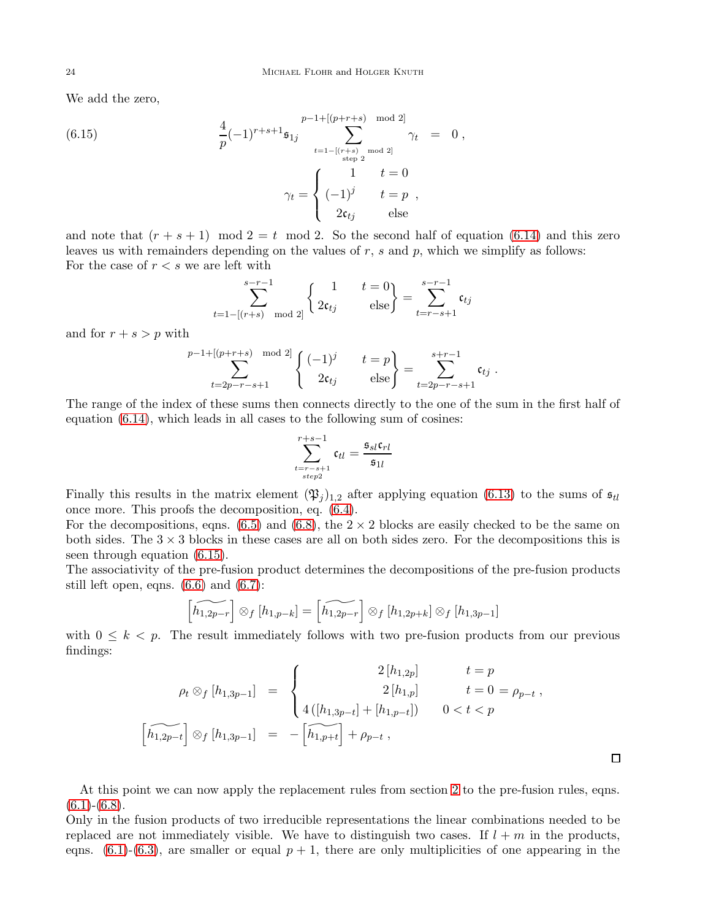We add the zero,

(6.15) 
$$
\frac{4}{p}(-1)^{r+s+1}\mathfrak{s}_{1j} \sum_{t=1-[(r+s)-mod 2]}^{p-1+[(p+r+s)-mod 2]} \gamma_t = 0,
$$

$$
\gamma_t = \begin{cases} 1 & t=0 \\ (-1)^j & t=p \\ 2\mathfrak{c}_{tj} & \text{else} \end{cases}
$$

and note that  $(r + s + 1)$  mod  $2 = t$  mod 2. So the second half of equation [\(6.14\)](#page-23-1) and this zero leaves us with remainders depending on the values of  $r$ ,  $s$  and  $p$ , which we simplify as follows: For the case of  $r < s$  we are left with

<span id="page-24-0"></span>
$$
\sum_{t=1-[(r+s) \mod 2]}^{s-r-1} \begin{cases} 1 & t=0\\ 2\mathfrak{c}_{tj} & \text{else} \end{cases} = \sum_{t=r-s+1}^{s-r-1} \mathfrak{c}_{tj}
$$

and for  $r + s > p$  with

$$
\sum_{t=2p-r-s+1}^{p-1+[p+r+s) \mod 2} \begin{cases} (-1)^j & t=p \\ 2\mathfrak{c}_{tj} & \text{else} \end{cases} = \sum_{t=2p-r-s+1}^{s+r-1} \mathfrak{c}_{tj} .
$$

The range of the index of these sums then connects directly to the one of the sum in the first half of equation [\(6.14\)](#page-23-1), which leads in all cases to the following sum of cosines:

$$
\sum_{\substack{t=r-s+1\\step2}}^{r+s-1}\mathfrak{c}_{tl}=\frac{\mathfrak{s}_{sl}\mathfrak{c}_{rl}}{\mathfrak{s}_{1l}}
$$

Finally this results in the matrix element  $(\mathfrak{P}_j)_{1,2}$  after applying equation [\(6.13\)](#page-23-2) to the sums of  $\mathfrak{s}_{tl}$ once more. This proofs the decomposition, eq. [\(6.4\)](#page-22-0).

For the decompositions, eqns. [\(6.5\)](#page-22-0) and [\(6.8\)](#page-22-0), the  $2 \times 2$  blocks are easily checked to be the same on both sides. The  $3 \times 3$  blocks in these cases are all on both sides zero. For the decompositions this is seen through equation [\(6.15\)](#page-24-0).

The associativity of the pre-fusion product determines the decompositions of the pre-fusion products still left open, eqns.  $(6.6)$  and  $(6.7)$ :

$$
\left[\widetilde{h_{1,2p-r}}\right] \otimes_f \left[h_{1,p-k}\right] = \left[\widetilde{h_{1,2p-r}}\right] \otimes_f \left[h_{1,2p+k}\right] \otimes_f \left[h_{1,3p-1}\right]
$$

with  $0 \leq k \leq p$ . The result immediately follows with two pre-fusion products from our previous findings:

$$
\rho_t \otimes_f [h_{1,3p-1}] = \begin{cases}\n2[h_{1,2p}] & t = p \\
2[h_{1,p}] & t = 0 = \rho_{p-t}, \\
4([h_{1,3p-t}] + [h_{1,p-t}]) & 0 < t < p\n\end{cases}
$$
\n
$$
\left[\widetilde{h_{1,2p-t}}\right] \otimes_f [h_{1,3p-1}] = -\left[\widetilde{h_{1,p+t}}\right] + \rho_{p-t},
$$

 $\Box$ 

At this point we can now apply the replacement rules from section [2](#page-3-0) to the pre-fusion rules, eqns.  $(6.1)-(6.8)$  $(6.1)-(6.8)$  $(6.1)-(6.8)$ .

Only in the fusion products of two irreducible representations the linear combinations needed to be replaced are not immediately visible. We have to distinguish two cases. If  $l + m$  in the products, eqns.  $(6.1)-(6.3)$  $(6.1)-(6.3)$ , are smaller or equal  $p + 1$ , there are only multiplicities of one appearing in the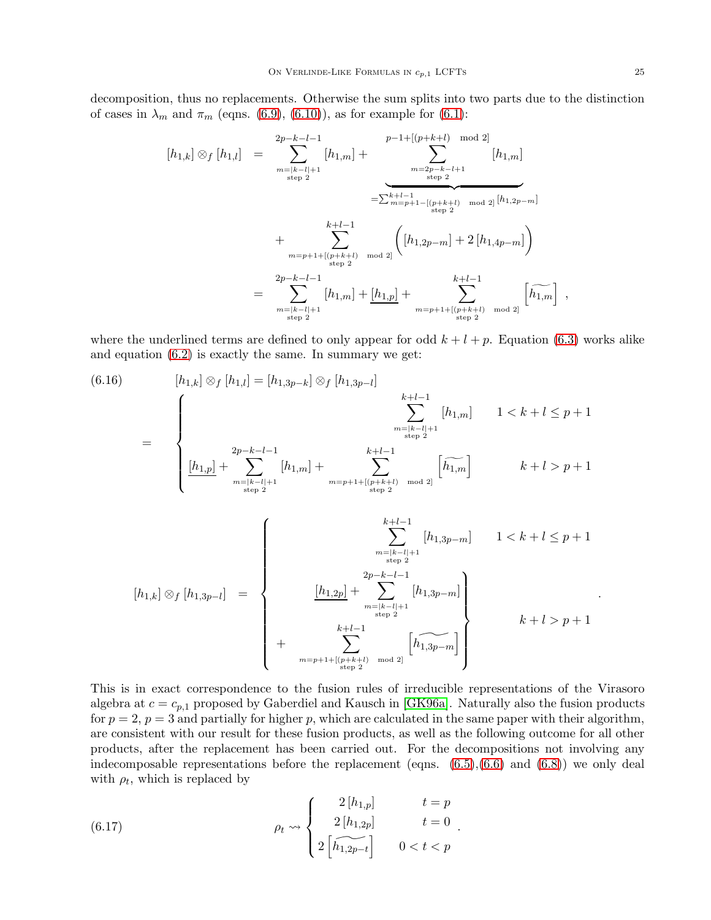decomposition, thus no replacements. Otherwise the sum splits into two parts due to the distinction of cases in  $\lambda_m$  and  $\pi_m$  (eqns. [\(6.9\)](#page-22-1), [\(6.10\)](#page-22-1)), as for example for [\(6.1\)](#page-22-0):

$$
[h_{1,k}] \otimes_f [h_{1,l}] = \sum_{\substack{m=|k-l|+1 \ \text{step } 2}}^{2p-k-l-1} [h_{1,m}] + \sum_{\substack{m=2p-k-l+1 \ \text{step } 2}}^{p-1+[(p+k+l) \mod 2]} [h_{1,m}]
$$
  

$$
= \sum_{\substack{k+l-1 \ \text{step } 2}}^{k+l-1} \underbrace{(-[p+k+l) \mod 2]}_{\text{step } 2} [h_{1,2p-m}]
$$
  

$$
+ \sum_{\substack{m=p+1+[(p+k+l) \ \text{step } 2}}^{k+l-1} [h_{1,2p-m}] + 2[h_{1,4p-m}] \Big)
$$
  

$$
= \sum_{\substack{m=|k-l|+1 \ \text{step } 2}}^{2p-k-l-1} [h_{1,m}] + [h_{1,p}] + \sum_{\substack{m=p+1+[(p+k+l) \ \text{step } 2}}^{k+l-1} [h_{1,m}] ,
$$

where the underlined terms are defined to only appear for odd  $k + l + p$ . Equation [\(6.3\)](#page-22-0) works alike and equation [\(6.2\)](#page-22-0) is exactly the same. In summary we get:

<span id="page-25-1"></span>[h1,k] ⊗<sup>f</sup> [h1,l] = [h1,3p−k] ⊗<sup>f</sup> [h1,3p−<sup>l</sup> (6.16) ] = k X +l−1 m=|k−l|+1 step 2 [h1,m] 1 < k + l ≤ p + 1 [h1,p] + <sup>2</sup>p−<sup>X</sup> k−l−1 m=|k−l|+1 step 2 [h1,m] + k X +l−1 m=p+1+[(p+k+l) mod 2] step 2 h <sup>h</sup>g1,m<sup>i</sup> k + l > p + 1 [h1,k] ⊗<sup>f</sup> [h1,3p−<sup>l</sup> ] = k X +l−1 m=|k−l|+1 step 2 [h1,3p−m] 1 < k + l ≤ p + 1 [h1,2p] + <sup>2</sup>p−<sup>X</sup> k−l−1 m=|k−l|+1 step 2 [h1,3p−m] + k X +l−1 m=p+1+[(p+k+l) mod 2] step 2 h <sup>h</sup>^1,3p−<sup>m</sup> i k + l > p + 1

This is in exact correspondence to the fusion rules of irreducible representations of the Virasoro algebra at  $c = c_{p,1}$  proposed by Gaberdiel and Kausch in [\[GK96a\]](#page-38-9). Naturally also the fusion products for  $p = 2$ ,  $p = 3$  and partially for higher p, which are calculated in the same paper with their algorithm, are consistent with our result for these fusion products, as well as the following outcome for all other products, after the replacement has been carried out. For the decompositions not involving any indecomposable representations before the replacement (eqns.  $(6.5),(6.6)$  $(6.5),(6.6)$  and  $(6.8)$ ) we only deal with  $\rho_t$ , which is replaced by

<span id="page-25-0"></span>(6.17) 
$$
\rho_t \leadsto \begin{cases} 2[h_{1,p}] & t = p \\ 2[h_{1,2p}] & t = 0 \\ 2[h_{1,2p-1}] & 0 < t < p \end{cases}.
$$

.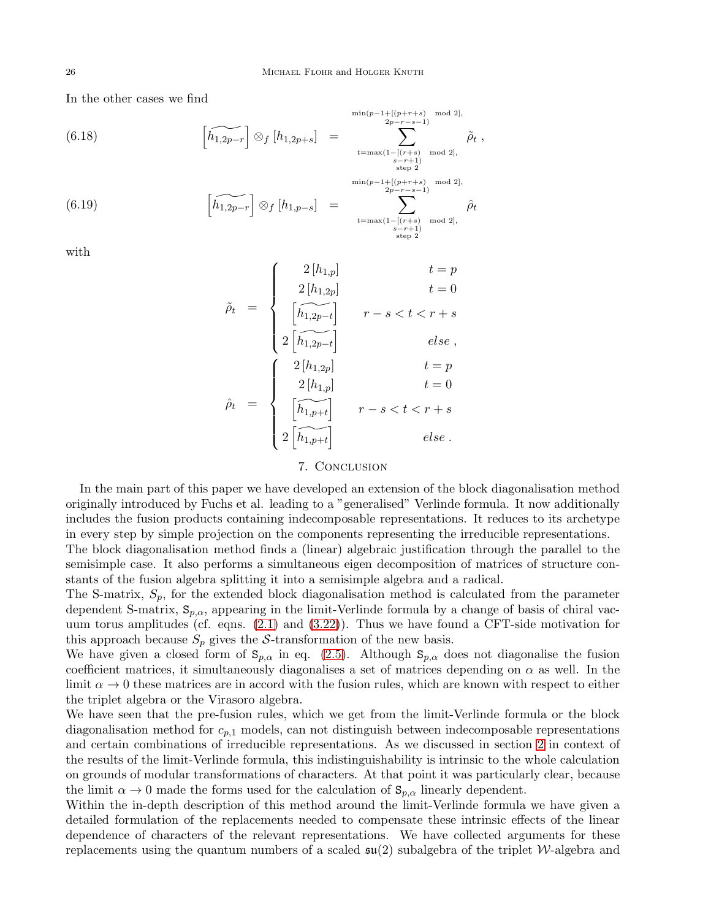In the other cases we find

(6.18)  
\n
$$
\left[\widetilde{h_{1,2p-r}}\right] \otimes_{f} \left[h_{1,2p+s}\right] = \sum_{\substack{2p-r-s-1 \text{ mod } 2, \\ s-r+1 \text{ mod } 2}}}^{\min(p-1+\left\lfloor (p+r+s) \mod 2 \right\rfloor, \\ \text{ mod } 2, \\ s-r+1 \text{ mod } 2, \\ \text{ mod } 2, \\ \min(p-1+\left\lfloor (p+r+s) \mod 2 \right\rfloor, \\ 2p-r-s-1 \text{ mod } 2, \\ 2p-r-s-1 \text{ mod } 2, \\ \text{ mod } 2, \\ \text{ mod } 2, \\ \text{ mod } 2, \\ \text{ mod } 2, \\ \text{ mod } 2, \\ \text{ mod } 2, \\ \text{ mod } 2, \\ \text{ mod } 2, \\ \text{ mod } 2, \\ \text{ mod } 2, \\ \text{ mod } 2, \\ \text{ mod } 2, \\ \text{ mod } 2, \\ \text{ mod } 2, \\ \text{ mod } 2, \\ \text{ mod } 2, \\ \text{ mod } 2, \\ \text{ mod } 2, \\ \text{ mod } 2, \\ \text{ mod } 2, \\ \text{ mod } 2, \\ \text{ mod } 2, \\ \text{ mod } 2, \\ \text{ mod } 2, \\ \text{ mod } 2, \\ \text{ mod } 2, \\ \text{ mod } 2, \\ \text{ mod } 2, \\ \text{ mod } 2, \\ \text{ mod } 2, \\ \text{ mod } 2, \\ \text{ mod } 2, \\ \text{ mod } 2, \\ \text{ mod } 2, \\ \text{ mod } 2, \\ \text{ mod } 2, \\ \text{ mod } 2, \\ \text{ mod } 2, \\ \text{ mod } 2, \\ \text{ mod } 2, \\ \text{ mod } 2, \\ \text{ mod } 2, \\ \text{ mod } 2, \\ \text{ mod } 2, \\ \text{ mod } 2, \\ \text{ mod } 2, \\ \text{ mod } 2, \\ \text{ mod } 2, \\ \text{ mod } 2, \\ \text{ mod } 2, \\ \text{ mod } 2, \\ \text{ mod } 2, \\ \text{ mod } 2, \\ \text{ mod } 2, \\ \text{ mod } 2, \\ \text{ mod } 2, \\ \text{ mod } 2, \\ \text{ mod } 2, \\ \text{ mod } 2, \\ \text{ mod } 2, \\ \text{ mod } 2, \\ \text{ mod } 2, \\ \text{ mod }
$$

with

<span id="page-26-0"></span>
$$
\tilde{\rho}_t = \begin{cases}\n2[h_{1,p}] & t = p \\
2[h_{1,2p}] & t = 0 \\
\hline\n\left[\widehat{h_{1,2p-t}}\right] & r - s < t < r + s \\
2\left[\widehat{h_{1,2p-t}}\right] & else, \\
2[h_{1,p}] & t = p \\
2[h_{1,p}] & t = 0 \\
\hline\n\left[\widehat{h_{1,p+t}}\right] & r - s < t < r + s \\
2\left[\widehat{h_{1,p+t}}\right] & r - s < t < r + s \\
2\left[\widehat{h_{1,p+t}}\right] & else.\n\end{cases}
$$

# 7. Conclusion

In the main part of this paper we have developed an extension of the block diagonalisation method originally introduced by Fuchs et al. leading to a "generalised" Verlinde formula. It now additionally includes the fusion products containing indecomposable representations. It reduces to its archetype in every step by simple projection on the components representing the irreducible representations. The block diagonalisation method finds a (linear) algebraic justification through the parallel to the semisimple case. It also performs a simultaneous eigen decomposition of matrices of structure constants of the fusion algebra splitting it into a semisimple algebra and a radical.

The S-matrix,  $S_p$ , for the extended block diagonalisation method is calculated from the parameter dependent S-matrix,  $S_{p,\alpha}$ , appearing in the limit-Verlinde formula by a change of basis of chiral vacuum torus amplitudes (cf. eqns. [\(2.1\)](#page-3-1) and [\(3.22\)](#page-10-2)). Thus we have found a CFT-side motivation for this approach because  $S_p$  gives the S-transformation of the new basis.

We have given a closed form of  $S_{p,\alpha}$  in eq. [\(2.5\)](#page-4-2). Although  $S_{p,\alpha}$  does not diagonalise the fusion coefficient matrices, it simultaneously diagonalises a set of matrices depending on  $\alpha$  as well. In the limit  $\alpha \to 0$  these matrices are in accord with the fusion rules, which are known with respect to either the triplet algebra or the Virasoro algebra.

We have seen that the pre-fusion rules, which we get from the limit-Verlinde formula or the block diagonalisation method for  $c_{p,1}$  models, can not distinguish between indecomposable representations and certain combinations of irreducible representations. As we discussed in section [2](#page-3-0) in context of the results of the limit-Verlinde formula, this indistinguishability is intrinsic to the whole calculation on grounds of modular transformations of characters. At that point it was particularly clear, because the limit  $\alpha \to 0$  made the forms used for the calculation of  $S_{p,\alpha}$  linearly dependent.

Within the in-depth description of this method around the limit-Verlinde formula we have given a detailed formulation of the replacements needed to compensate these intrinsic effects of the linear dependence of characters of the relevant representations. We have collected arguments for these replacements using the quantum numbers of a scaled  $\mathfrak{su}(2)$  subalgebra of the triplet W-algebra and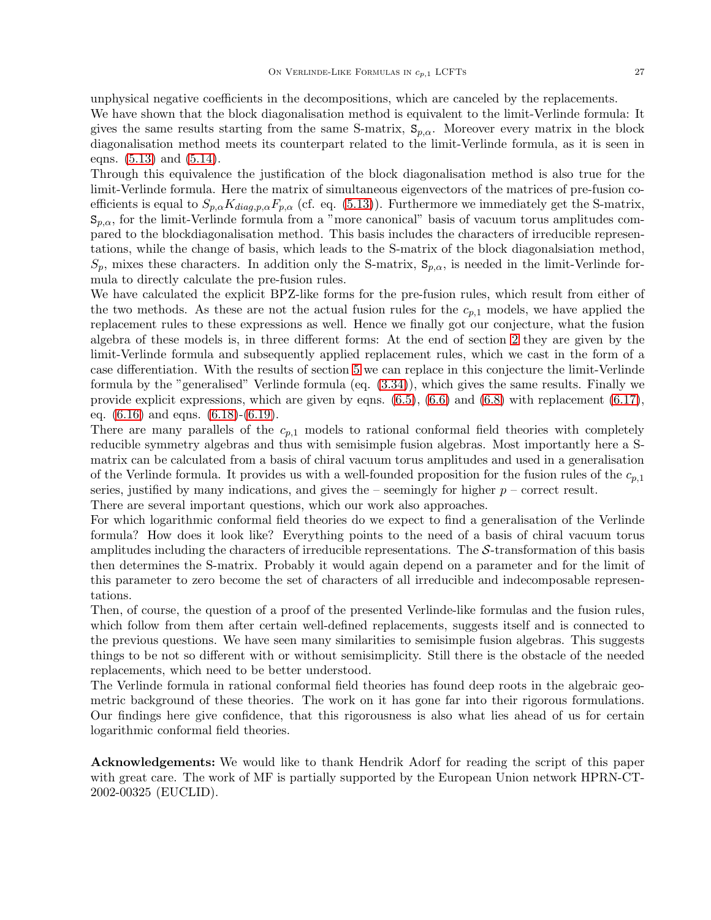unphysical negative coefficients in the decompositions, which are canceled by the replacements.

We have shown that the block diagonalisation method is equivalent to the limit-Verlinde formula: It gives the same results starting from the same S-matrix,  $S_{p,\alpha}$ . Moreover every matrix in the block diagonalisation method meets its counterpart related to the limit-Verlinde formula, as it is seen in eqns.  $(5.13)$  and  $(5.14)$ .

Through this equivalence the justification of the block diagonalisation method is also true for the limit-Verlinde formula. Here the matrix of simultaneous eigenvectors of the matrices of pre-fusion coefficients is equal to  $S_{p,\alpha}K_{diag,p,\alpha}F_{p,\alpha}$  (cf. eq. [\(5.13\)](#page-21-1)). Furthermore we immediately get the S-matrix,  $S_{p,\alpha}$ , for the limit-Verlinde formula from a "more canonical" basis of vacuum torus amplitudes compared to the blockdiagonalisation method. This basis includes the characters of irreducible representations, while the change of basis, which leads to the S-matrix of the block diagonalsiation method,  $S_p$ , mixes these characters. In addition only the S-matrix,  $S_{p,\alpha}$ , is needed in the limit-Verlinde formula to directly calculate the pre-fusion rules.

We have calculated the explicit BPZ-like forms for the pre-fusion rules, which result from either of the two methods. As these are not the actual fusion rules for the  $c_{p,1}$  models, we have applied the replacement rules to these expressions as well. Hence we finally got our conjecture, what the fusion algebra of these models is, in three different forms: At the end of section [2](#page-3-0) they are given by the limit-Verlinde formula and subsequently applied replacement rules, which we cast in the form of a case differentiation. With the results of section [5](#page-17-0) we can replace in this conjecture the limit-Verlinde formula by the "generalised" Verlinde formula (eq. [\(3.34\)](#page-15-2)), which gives the same results. Finally we provide explicit expressions, which are given by eqns.  $(6.5)$ ,  $(6.6)$  and  $(6.8)$  with replacement  $(6.17)$ , eq. [\(6.16\)](#page-25-1) and eqns. [\(6.18\)](#page-26-0)-[\(6.19\)](#page-26-0).

There are many parallels of the  $c_{p,1}$  models to rational conformal field theories with completely reducible symmetry algebras and thus with semisimple fusion algebras. Most importantly here a Smatrix can be calculated from a basis of chiral vacuum torus amplitudes and used in a generalisation of the Verlinde formula. It provides us with a well-founded proposition for the fusion rules of the  $c_{p,1}$ series, justified by many indications, and gives the – seemingly for higher  $p$  – correct result.

There are several important questions, which our work also approaches.

For which logarithmic conformal field theories do we expect to find a generalisation of the Verlinde formula? How does it look like? Everything points to the need of a basis of chiral vacuum torus amplitudes including the characters of irreducible representations. The  $S$ -transformation of this basis then determines the S-matrix. Probably it would again depend on a parameter and for the limit of this parameter to zero become the set of characters of all irreducible and indecomposable representations.

Then, of course, the question of a proof of the presented Verlinde-like formulas and the fusion rules, which follow from them after certain well-defined replacements, suggests itself and is connected to the previous questions. We have seen many similarities to semisimple fusion algebras. This suggests things to be not so different with or without semisimplicity. Still there is the obstacle of the needed replacements, which need to be better understood.

The Verlinde formula in rational conformal field theories has found deep roots in the algebraic geometric background of these theories. The work on it has gone far into their rigorous formulations. Our findings here give confidence, that this rigorousness is also what lies ahead of us for certain logarithmic conformal field theories.

Acknowledgements: We would like to thank Hendrik Adorf for reading the script of this paper with great care. The work of MF is partially supported by the European Union network HPRN-CT-2002-00325 (EUCLID).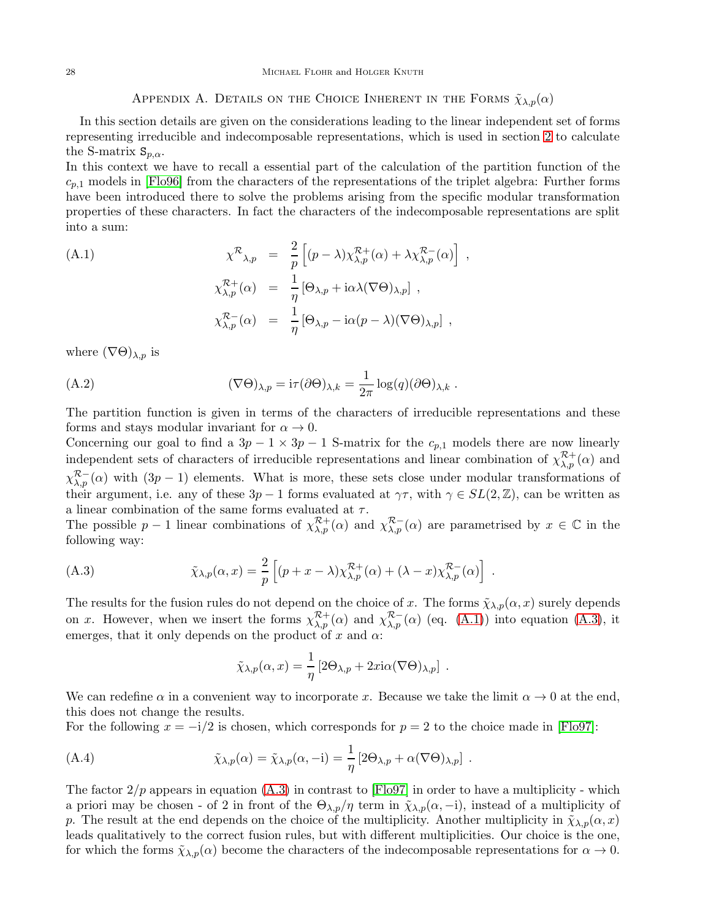## APPENDIX A. DETAILS ON THE CHOICE INHERENT IN THE FORMS  $\tilde{\chi}_{\lambda,p}(\alpha)$

<span id="page-28-0"></span>In this section details are given on the considerations leading to the linear independent set of forms representing irreducible and indecomposable representations, which is used in section [2](#page-3-0) to calculate the S-matrix  $S_{p,\alpha}$ .

In this context we have to recall a essential part of the calculation of the partition function of the  $c_{p,1}$  models in [\[Flo96\]](#page-37-1) from the characters of the representations of the triplet algebra: Further forms have been introduced there to solve the problems arising from the specific modular transformation properties of these characters. In fact the characters of the indecomposable representations are split into a sum:

<span id="page-28-2"></span>(A.1)  
\n
$$
\chi^{\mathcal{R}}_{\lambda,p} = \frac{2}{p} \left[ (p - \lambda) \chi^{\mathcal{R}+}_{\lambda,p}(\alpha) + \lambda \chi^{\mathcal{R} -}_{\lambda,p}(\alpha) \right],
$$
\n
$$
\chi^{\mathcal{R}+}_{\lambda,p}(\alpha) = \frac{1}{\eta} \left[ \Theta_{\lambda,p} + i \alpha \lambda (\nabla \Theta)_{\lambda,p} \right],
$$
\n
$$
\chi^{\mathcal{R} -}_{\lambda,p}(\alpha) = \frac{1}{\eta} \left[ \Theta_{\lambda,p} - i \alpha (p - \lambda) (\nabla \Theta)_{\lambda,p} \right],
$$

where  $(\nabla \Theta)_{\lambda,p}$  is

(A.2) 
$$
(\nabla \Theta)_{\lambda,p} = i\tau (\partial \Theta)_{\lambda,k} = \frac{1}{2\pi} \log(q) (\partial \Theta)_{\lambda,k} .
$$

The partition function is given in terms of the characters of irreducible representations and these forms and stays modular invariant for  $\alpha \to 0$ .

Concerning our goal to find a  $3p - 1 \times 3p - 1$  S-matrix for the  $c_{p,1}$  models there are now linearly independent sets of characters of irreducible representations and linear combination of  $\chi_{\lambda,p}^{\mathcal{R}+}(\alpha)$  and  $\chi_{\lambda,p}^{\mathcal{R}-}(\alpha)$  with  $(3p-1)$  elements. What is more, these sets close under modular transformations of their argument, i.e. any of these  $3p-1$  forms evaluated at  $\gamma\tau$ , with  $\gamma \in SL(2,\mathbb{Z})$ , can be written as a linear combination of the same forms evaluated at  $\tau$ .

The possible  $p-1$  linear combinations of  $\chi_{\lambda,p}^{\mathcal{R}^+}(\alpha)$  and  $\chi_{\lambda,p}^{\mathcal{R}^-}(\alpha)$  are parametrised by  $x \in \mathbb{C}$  in the following way:

(A.3) 
$$
\tilde{\chi}_{\lambda,p}(\alpha,x) = \frac{2}{p} \left[ (p+x-\lambda) \chi_{\lambda,p}^{\mathcal{R}+}(\alpha) + (\lambda-x) \chi_{\lambda,p}^{\mathcal{R}-}(\alpha) \right] .
$$

The results for the fusion rules do not depend on the choice of x. The forms  $\tilde{\chi}_{\lambda,p}(\alpha, x)$  surely depends on x. However, when we insert the forms  $\chi_{\lambda,p}^{\mathcal{R}+}(\alpha)$  and  $\chi_{\lambda,p}^{\mathcal{R}-}(\alpha)$  (eq. [\(A.1\)](#page-28-2)) into equation [\(A.3\)](#page-28-3), it emerges, that it only depends on the product of x and  $\alpha$ :

<span id="page-28-3"></span><span id="page-28-1"></span>
$$
\tilde{\chi}_{\lambda,p}(\alpha,x) = \frac{1}{\eta} \left[ 2\Theta_{\lambda,p} + 2x i \alpha (\nabla \Theta)_{\lambda,p} \right] .
$$

We can redefine  $\alpha$  in a convenient way to incorporate x. Because we take the limit  $\alpha \to 0$  at the end, this does not change the results.

For the following  $x = -i/2$  is chosen, which corresponds for  $p = 2$  to the choice made in [\[Flo97\]](#page-37-2):

(A.4) 
$$
\tilde{\chi}_{\lambda,p}(\alpha) = \tilde{\chi}_{\lambda,p}(\alpha, -i) = \frac{1}{\eta} \left[ 2\Theta_{\lambda,p} + \alpha(\nabla\Theta)_{\lambda,p} \right].
$$

The factor  $2/p$  appears in equation  $(A.3)$  in contrast to [\[Flo97\]](#page-37-2) in order to have a multiplicity - which a priori may be chosen - of 2 in front of the  $\Theta_{\lambda,p}/\eta$  term in  $\tilde{\chi}_{\lambda,p}(\alpha,-i)$ , instead of a multiplicity of p. The result at the end depends on the choice of the multiplicity. Another multiplicity in  $\tilde{\chi}_{\lambda,p}(\alpha, x)$ leads qualitatively to the correct fusion rules, but with different multiplicities. Our choice is the one, for which the forms  $\tilde{\chi}_{\lambda,p}(\alpha)$  become the characters of the indecomposable representations for  $\alpha \to 0$ .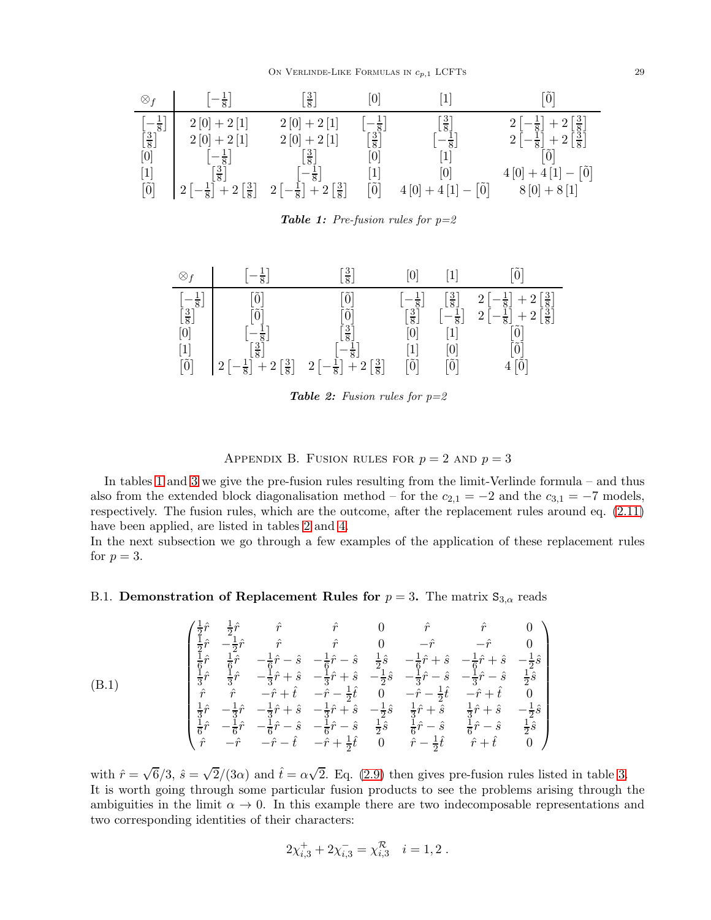

<span id="page-29-2"></span>**Table 1:** Pre-fusion rules for  $p=2$ 



<span id="page-29-3"></span>**Table 2:** Fusion rules for  $p=2$ 

APPENDIX B. FUSION RULES FOR  $p = 2$  AND  $p = 3$ 

<span id="page-29-0"></span>In tables [1](#page-29-2) and [3](#page-30-0) we give the pre-fusion rules resulting from the limit-Verlinde formula – and thus also from the extended block diagonalisation method – for the  $c_{2,1} = -2$  and the  $c_{3,1} = -7$  models, respectively. The fusion rules, which are the outcome, after the replacement rules around eq. [\(2.11\)](#page-7-1) have been applied, are listed in tables [2](#page-29-3) and [4.](#page-30-1)

In the next subsection we go through a few examples of the application of these replacement rules for  $p = 3$ .

# <span id="page-29-1"></span>B.1. **Demonstration of Replacement Rules for**  $p = 3$ . The matrix  $S_{3,\alpha}$  reads

$$
\begin{pmatrix}\n\frac{1}{2}\hat{r} & \frac{1}{2}\hat{r} & \hat{r} & \hat{r} & 0 & \hat{r} & \hat{r} & 0 \\
\frac{1}{2}\hat{r} & -\frac{1}{2}\hat{r} & \hat{r} & \hat{r} & 0 & -\hat{r} & -\hat{r} & 0 \\
\frac{1}{2}\hat{r} & \frac{1}{6}\hat{r} & -\frac{1}{6}\hat{r} - \hat{s} & -\frac{1}{6}\hat{r} - \hat{s} & \frac{1}{2}\hat{s} & -\frac{1}{6}\hat{r} + \hat{s} & -\frac{1}{6}\hat{r} + \hat{s} & -\frac{1}{2}\hat{s} \\
\frac{1}{3}\hat{r} & \frac{1}{3}\hat{r} & -\frac{1}{3}\hat{r} + \hat{s} & -\frac{1}{3}\hat{r} + \hat{s} & -\frac{1}{2}\hat{s} & -\frac{1}{3}\hat{r} - \hat{s} & -\frac{1}{3}\hat{r} - \hat{s} & \frac{1}{2}\hat{s} \\
\frac{1}{2}\hat{r} & \hat{r} & -\hat{r} + \hat{t} & -\hat{r} - \frac{1}{2}\hat{t} & 0 & -\hat{r} - \frac{1}{2}\hat{t} & -\hat{r} + \hat{t} & 0 \\
\frac{1}{3}\hat{r} & -\frac{1}{3}\hat{r} & -\frac{1}{3}\hat{r} + \hat{s} & -\frac{1}{3}\hat{r} + \hat{s} & -\frac{1}{2}\hat{s} & \frac{1}{3}\hat{r} + \hat{s} & \frac{1}{3}\hat{r} + \hat{s} & -\frac{1}{2}\hat{s} \\
\frac{1}{6}\hat{r} & -\frac{1}{6}\hat{r} & -\frac{1}{6}\hat{r} - \hat{s} & -\frac{1}{6}\hat{r} - \hat{s} & \frac{1}{2}\hat{s} & \frac{1}{6}\hat{r} - \hat{s} & \frac{1}{6}\hat{r} - \hat{s} & \frac{1}{2}\hat{s} \\
\hat{r} & -\hat{r} & -\hat{r} - \hat{r} & -\hat{r} + \frac{1}{2}\hat{t} & 0 & \hat{r} - \frac{1}{2}\hat{t} & \hat{r} + \hat{t} & 0
$$

with  $\hat{r} = \sqrt{6}/3$ ,  $\hat{s} = \sqrt{2}/(3\alpha)$  and  $\hat{t} = \alpha\sqrt{2}$ . Eq. [\(2.9\)](#page-5-2) then gives pre-fusion rules listed in table [3.](#page-30-0) It is worth going through some particular fusion products to see the problems arising through the ambiguities in the limit  $\alpha \to 0$ . In this example there are two indecomposable representations and two corresponding identities of their characters:

$$
2\chi_{i,3}^+ + 2\chi_{i,3}^- = \chi_{i,3}^{\mathcal{R}} \quad i = 1,2 \; .
$$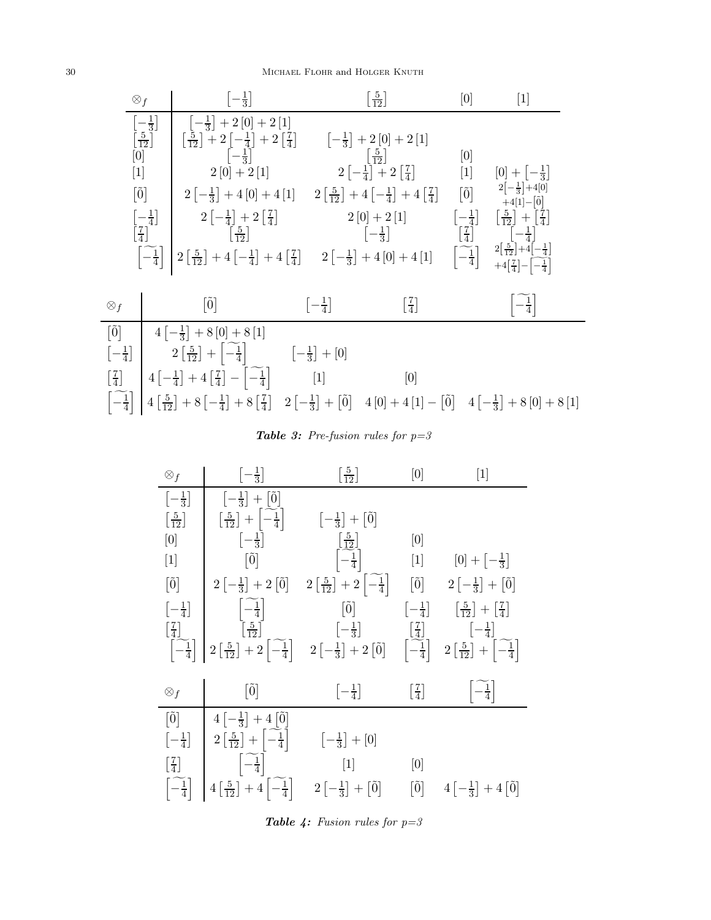## 30 MICHAEL FLOHR and HOLGER KNUTH



## <span id="page-30-0"></span>**Table 3:** Pre-fusion rules for  $p=3$

| $\otimes_f$                                                                                                                                                                                                                                                                                                                                                                                                                                                                                                                                                                                                                                                                                                                                | $\left[-\frac{1}{3}\right]$                               | $\left[\frac{5}{12}\right]$                             | [0]                         | $[1]$                                                    |
|--------------------------------------------------------------------------------------------------------------------------------------------------------------------------------------------------------------------------------------------------------------------------------------------------------------------------------------------------------------------------------------------------------------------------------------------------------------------------------------------------------------------------------------------------------------------------------------------------------------------------------------------------------------------------------------------------------------------------------------------|-----------------------------------------------------------|---------------------------------------------------------|-----------------------------|----------------------------------------------------------|
| $\left[-\frac{1}{3}\right]$                                                                                                                                                                                                                                                                                                                                                                                                                                                                                                                                                                                                                                                                                                                | $\left[-\frac{1}{3}\right]+[\tilde{0}]$                   |                                                         |                             |                                                          |
| $\left\lceil \frac{5}{12} \right\rceil$                                                                                                                                                                                                                                                                                                                                                                                                                                                                                                                                                                                                                                                                                                    | $\left[\frac{5}{12}\right] + \left[\frac{2}{-4}\right]$   | $\left[-\frac{1}{3}\right] + \left[0\right]$            |                             |                                                          |
| $[0] % \begin{center} % \includegraphics[width=\linewidth]{imagesSupplemental_3.png} % \end{center} % \caption { % Our method can be used for the proposed method. % Note that the \emph{exponent} is used to be used in the image. % Note that the \emph{exponent} is used in the image. % Note that the \emph{exponent} is used to be used in the image. % Note that the \emph{exponent} is used in the image. % Note that the \emph{exponent} is used in the image. % Note that the \emph{exponent} is used in the image. % Note that the \emph{exportector} is used in the image. % Note that the \emph{exportector} is used in the image. % Note that the \emph{exportector} is used in the image. % Note that the \emph{exportector$ | $\left[-\frac{1}{3}\right]$                               | $\left[\frac{5}{12}\right]$                             | [0]                         |                                                          |
| $[1]$                                                                                                                                                                                                                                                                                                                                                                                                                                                                                                                                                                                                                                                                                                                                      | $\lceil \tilde{0} \rceil$                                 | $\left[-\frac{1}{4}\right]$                             | $[1]$                       | $[0] + \left[-\frac{1}{3}\right]$                        |
| $\left[ \tilde{0} \right]$                                                                                                                                                                                                                                                                                                                                                                                                                                                                                                                                                                                                                                                                                                                 | $2\left[-\frac{1}{3}\right]+2\left[\tilde{0}\right]$      | $2\left[\frac{5}{12}\right]+2\left -\frac{1}{4}\right $ | $\lceil \tilde{0} \rceil$   | $2\left[-\frac{1}{3}\right]+[\tilde{0}]$                 |
| $\left[-\frac{1}{4}\right]$                                                                                                                                                                                                                                                                                                                                                                                                                                                                                                                                                                                                                                                                                                                | $\left\lceil -\frac{1}{4} \right\rceil$                   | $[\tilde{0}]$                                           | $\left[-\frac{1}{4}\right]$ | $\lceil \frac{5}{12} \rceil + \lceil \frac{7}{4} \rceil$ |
| $\left[\frac{7}{4}\right]$                                                                                                                                                                                                                                                                                                                                                                                                                                                                                                                                                                                                                                                                                                                 | $\left[\frac{5}{12}\right]$                               | $\left[-\frac{1}{3}\right]$                             | $\left[\frac{7}{4}\right]$  | $\left[-\frac{1}{4}\right]$                              |
| $\left -\frac{1}{4}\right $                                                                                                                                                                                                                                                                                                                                                                                                                                                                                                                                                                                                                                                                                                                | $2\left[\frac{5}{12}\right] + 2\left -\frac{1}{4}\right $ | $2\left[-\frac{1}{3}\right]+2\left[\tilde{0}\right]$    | $\left -\frac{1}{4}\right $ | $2\left[\frac{5}{12}\right] + \left -\frac{1}{4}\right $ |
| $\otimes_f$                                                                                                                                                                                                                                                                                                                                                                                                                                                                                                                                                                                                                                                                                                                                | $\lceil \tilde{0} \rceil$                                 | $\left[-\frac{1}{4}\right]$                             | $\left[\frac{7}{4}\right]$  | $-\frac{1}{4}$                                           |
| $\left[\tilde{0}\right]$                                                                                                                                                                                                                                                                                                                                                                                                                                                                                                                                                                                                                                                                                                                   | $4\left[-\frac{1}{3}\right]+4\left[0\right]$              |                                                         |                             |                                                          |
| $\left[-\frac{1}{4}\right]$                                                                                                                                                                                                                                                                                                                                                                                                                                                                                                                                                                                                                                                                                                                | $2\left[\frac{5}{12}\right]+\left[\frac{2}{4}\right]$     | $\left[-\frac{1}{3}\right] + [0]$                       |                             |                                                          |
| $\lceil \frac{7}{4} \rceil$                                                                                                                                                                                                                                                                                                                                                                                                                                                                                                                                                                                                                                                                                                                | $\left[-\frac{1}{4}\right]$                               | $\lceil 1 \rceil$                                       | [0]                         |                                                          |
| $\left -\frac{1}{4}\right $                                                                                                                                                                                                                                                                                                                                                                                                                                                                                                                                                                                                                                                                                                                | $4\left[\frac{5}{12}\right]+4\left[-\frac{1}{4}\right]$   | $2[-\frac{1}{3}]+[\tilde{0}]$                           | $\left[\tilde{0}\right]$    | $4\left[-\frac{1}{3}\right]+4\left[\tilde{0}\right]$     |

<span id="page-30-1"></span>**Table 4:** Fusion rules for  $p=3$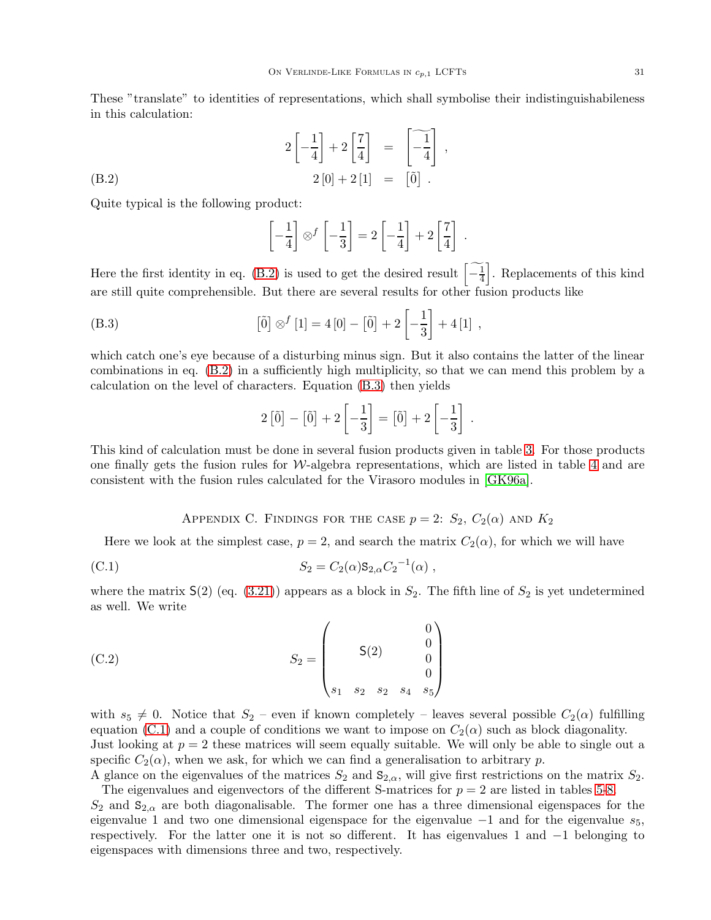These "translate" to identities of representations, which shall symbolise their indistinguishabileness in this calculation:

,

(B.2)  
\n
$$
2\left[-\frac{1}{4}\right] + 2\left[\frac{7}{4}\right] = \left[-\frac{1}{4}\right]
$$
\n
$$
2\left[0\right] + 2\left[1\right] = \left[\tilde{0}\right].
$$

Quite typical is the following product:

<span id="page-31-1"></span>
$$
\left[-\frac{1}{4}\right] \otimes^f \left[-\frac{1}{3}\right] = 2\left[-\frac{1}{4}\right] + 2\left[\frac{7}{4}\right].
$$

Here the first identity in eq. [\(B.2\)](#page-31-1) is used to get the desired result  $\left\lceil \frac{-1}{4} \right\rceil$ ]. Replacements of this kind are still quite comprehensible. But there are several results for other fusion products like

(B.3) 
$$
[\tilde{0}] \otimes^{f} [1] = 4[0] - [\tilde{0}] + 2 \left[ -\frac{1}{3} \right] + 4[1],
$$

which catch one's eye because of a disturbing minus sign. But it also contains the latter of the linear combinations in eq. [\(B.2\)](#page-31-1) in a sufficiently high multiplicity, so that we can mend this problem by a calculation on the level of characters. Equation [\(B.3\)](#page-31-2) then yields

<span id="page-31-2"></span>
$$
2\left[\tilde{0}\right] - \left[\tilde{0}\right] + 2\left[-\frac{1}{3}\right] = \left[\tilde{0}\right] + 2\left[-\frac{1}{3}\right].
$$

This kind of calculation must be done in several fusion products given in table [3.](#page-30-0) For those products one finally gets the fusion rules for  $W$ -algebra representations, which are listed in table [4](#page-30-1) and are consistent with the fusion rules calculated for the Virasoro modules in [\[GK96a\]](#page-38-9).

<span id="page-31-3"></span>APPENDIX C. FINDINGS FOR THE CASE  $p = 2$ :  $S_2$ ,  $C_2(\alpha)$  and  $K_2$ 

<span id="page-31-0"></span>Here we look at the simplest case,  $p = 2$ , and search the matrix  $C_2(\alpha)$ , for which we will have

(C.1) 
$$
S_2 = C_2(\alpha) \mathbf{S}_{2,\alpha} C_2^{-1}(\alpha) ,
$$

where the matrix  $S(2)$  (eq. [\(3.21\)](#page-10-0)) appears as a block in  $S_2$ . The fifth line of  $S_2$  is yet undetermined as well. We write

(C.2) 
$$
S_2 = \begin{pmatrix} 0 \\ 5(2) & 0 \\ 0 \\ s_1 & s_2 & s_2 & s_4 & s_5 \end{pmatrix}
$$

with  $s_5 \neq 0$ . Notice that  $S_2$  – even if known completely – leaves several possible  $C_2(\alpha)$  fulfilling equation [\(C.1\)](#page-31-3) and a couple of conditions we want to impose on  $C_2(\alpha)$  such as block diagonality. Just looking at  $p = 2$  these matrices will seem equally suitable. We will only be able to single out a specific  $C_2(\alpha)$ , when we ask, for which we can find a generalisation to arbitrary p.

A glance on the eigenvalues of the matrices  $S_2$  and  $S_{2,\alpha}$ , will give first restrictions on the matrix  $S_2$ . The eigenvalues and eigenvectors of the different S-matrices for  $p = 2$  are listed in tables [5](#page-32-0)[-8.](#page-32-1)

 $S_2$  and  $S_{2,\alpha}$  are both diagonalisable. The former one has a three dimensional eigenspaces for the eigenvalue 1 and two one dimensional eigenspace for the eigenvalue  $-1$  and for the eigenvalue  $s_5$ , respectively. For the latter one it is not so different. It has eigenvalues 1 and −1 belonging to eigenspaces with dimensions three and two, respectively.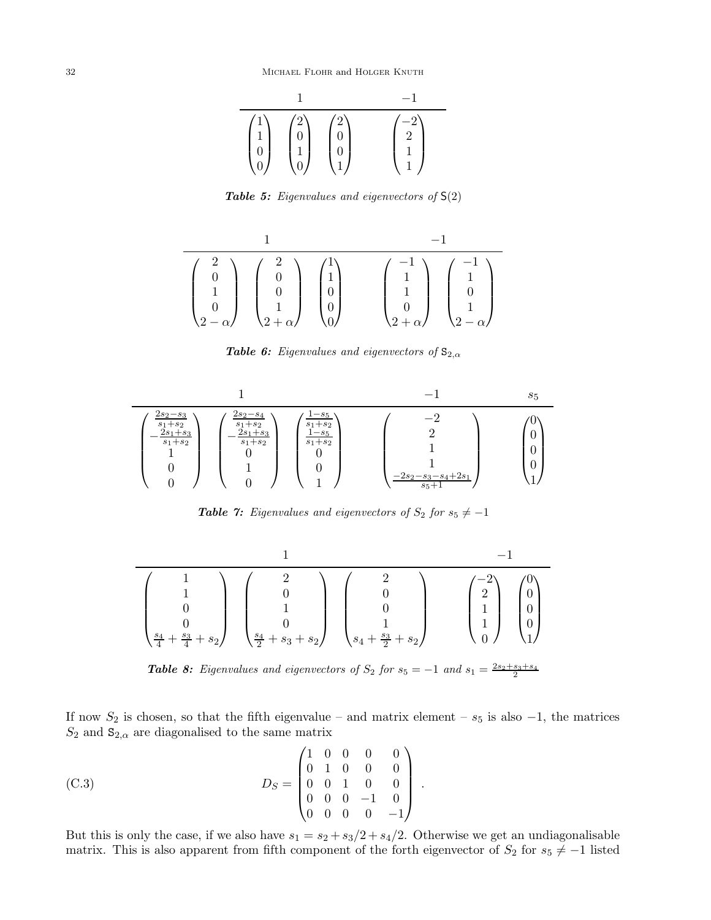

<span id="page-32-0"></span>**Table 5:** Eigenvalues and eigenvectors of  $S(2)$ 

$$
\frac{1}{\begin{pmatrix} 2 \\ 0 \\ 1 \\ 0 \\ 2-\alpha \end{pmatrix} \begin{pmatrix} 2 \\ 0 \\ 0 \\ 1 \\ 2+\alpha \end{pmatrix} \begin{pmatrix} 1 \\ 1 \\ 0 \\ 0 \\ 0 \end{pmatrix}} \begin{pmatrix} -1 \\ 1 \\ 1 \\ 0 \\ 2+\alpha \end{pmatrix} \begin{pmatrix} -1 \\ 1 \\ 0 \\ 0 \\ 2-\alpha \end{pmatrix}}
$$

<span id="page-32-4"></span>**Table 6:** Eigenvalues and eigenvectors of  $S_{2,\alpha}$ 



<span id="page-32-2"></span>**Table 7:** Eigenvalues and eigenvectors of  $S_2$  for  $s_5 \neq -1$ 

$$
\begin{pmatrix}\n1 & -1 & -1 \\
1 & 0 & 0 \\
0 & 1 & 0 \\
0 & 0 & 1 \\
\frac{s_4}{4} + \frac{s_3}{4} + s_2\n\end{pmatrix}\n\begin{pmatrix}\n2 & 0 & 0 \\
0 & 0 & 0 \\
0 & 1 & 0 \\
\frac{s_4}{2} + s_3 + s_2\n\end{pmatrix}\n\begin{pmatrix}\n2 & 0 & 0 \\
0 & 1 & 0 \\
1 & 1 & 0 \\
s_4 + \frac{s_3}{2} + s_2\n\end{pmatrix}\n\begin{pmatrix}\n-2 \\
2 \\
1 \\
0 \\
0\n\end{pmatrix}\n\begin{pmatrix}\n0 \\
0 \\
1 \\
0\n\end{pmatrix}
$$

<span id="page-32-1"></span>**Table 8:** Eigenvalues and eigenvectors of  $S_2$  for  $s_5 = -1$  and  $s_1 = \frac{2s_2 + s_3 + s_4}{2}$ 

If now  $S_2$  is chosen, so that the fifth eigenvalue – and matrix element –  $s_5$  is also –1, the matrices  $S_2$  and  $S_{2,\alpha}$  are diagonalised to the same matrix

(C.3) 
$$
D_S = \begin{pmatrix} 1 & 0 & 0 & 0 & 0 \\ 0 & 1 & 0 & 0 & 0 \\ 0 & 0 & 1 & 0 & 0 \\ 0 & 0 & 0 & -1 & 0 \\ 0 & 0 & 0 & 0 & -1 \end{pmatrix}
$$

But this is only the case, if we also have  $s_1 = s_2 + s_3/2 + s_4/2$ . Otherwise we get an undiagonalisable matrix. This is also apparent from fifth component of the forth eigenvector of  $S_2$  for  $s_5 \neq -1$  listed

<span id="page-32-3"></span>.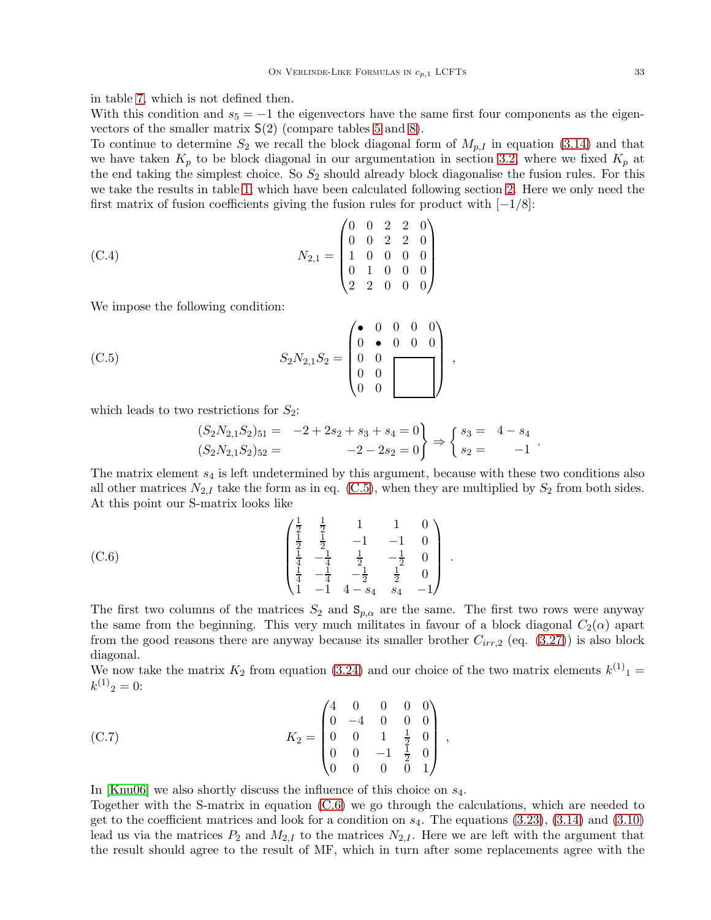in table [7,](#page-32-2) which is not defined then.

With this condition and  $s_5 = -1$  the eigenvectors have the same first four components as the eigenvectors of the smaller matrix  $S(2)$  (compare tables [5](#page-32-0) and [8\)](#page-32-1).

To continue to determine  $S_2$  we recall the block diagonal form of  $M_{p,I}$  in equation [\(3.14\)](#page-9-3) and that we have taken  $K_p$  to be block diagonal in our argumentation in section [3.2,](#page-10-4) where we fixed  $K_p$  at the end taking the simplest choice. So  $S_2$  should already block diagonalise the fusion rules. For this we take the results in table [1,](#page-29-2) which have been calculated following section [2.](#page-3-0) Here we only need the first matrix of fusion coefficients giving the fusion rules for product with  $[-1/8]$ :

(C.4) 
$$
N_{2,1} = \begin{pmatrix} 0 & 0 & 2 & 2 & 0 \\ 0 & 0 & 2 & 2 & 0 \\ 1 & 0 & 0 & 0 & 0 \\ 0 & 1 & 0 & 0 & 0 \\ 2 & 2 & 0 & 0 & 0 \end{pmatrix}
$$

We impose the following condition:

(C.5) 
$$
S_2 N_{2,1} S_2 = \begin{pmatrix} \bullet & 0 & 0 & 0 & 0 \\ 0 & \bullet & 0 & 0 & 0 \\ 0 & 0 & 0 & 0 \\ 0 & 0 & 0 & 0 \end{pmatrix},
$$

which leads to two restrictions for  $S_2$ :

<span id="page-33-1"></span><span id="page-33-0"></span>
$$
(S_2N_{2,1}S_2)_{51} = -2 + 2s_2 + s_3 + s_4 = 0
$$
  

$$
(S_2N_{2,1}S_2)_{52} = -2 - 2s_2 = 0
$$

$$
\begin{cases} s_3 = 4 - s_4 \\ s_2 = -1 \end{cases}
$$

The matrix element  $s_4$  is left undetermined by this argument, because with these two conditions also all other matrices  $N_{2,I}$  take the form as in eq. [\(C.5\)](#page-33-0), when they are multiplied by  $S_2$  from both sides. At this point our S-matrix looks like

.

(C.6) 
$$
\begin{pmatrix}\n\frac{1}{2} & \frac{1}{2} & 1 & 1 & 0 \\
\frac{1}{2} & \frac{1}{2} & -1 & -1 & 0 \\
\frac{1}{4} & -\frac{1}{4} & \frac{1}{2} & -\frac{1}{2} & 0 \\
\frac{1}{4} & -\frac{1}{4} & -\frac{1}{2} & \frac{1}{2} & 0 \\
1 & -1 & 4 - s_4 & s_4 & -1\n\end{pmatrix}
$$

The first two columns of the matrices  $S_2$  and  $\mathbf{S}_{p,\alpha}$  are the same. The first two rows were anyway the same from the beginning. This very much militates in favour of a block diagonal  $C_2(\alpha)$  apart from the good reasons there are anyway because its smaller brother  $C_{irr,2}$  (eq. [\(3.27\)](#page-12-1)) is also block diagonal.

We now take the matrix  $K_2$  from equation [\(3.24\)](#page-11-2) and our choice of the two matrix elements  $k^{(1)}_1$  =  $k^{(1)}_2=0$ :

(C.7) 
$$
K_2 = \begin{pmatrix} 4 & 0 & 0 & 0 & 0 \\ 0 & -4 & 0 & 0 & 0 \\ 0 & 0 & 1 & \frac{1}{2} & 0 \\ 0 & 0 & -1 & \frac{1}{2} & 0 \\ 0 & 0 & 0 & 0 & 1 \end{pmatrix},
$$

In  $[Knu06]$  we also shortly discuss the influence of this choice on  $s_4$ .

Together with the S-matrix in equation [\(C.6\)](#page-33-1) we go through the calculations, which are needed to get to the coefficient matrices and look for a condition on  $s_4$ . The equations  $(3.23)$ ,  $(3.14)$  and  $(3.10)$ lead us via the matrices  $P_2$  and  $M_{2,I}$  to the matrices  $N_{2,I}$ . Here we are left with the argument that the result should agree to the result of MF, which in turn after some replacements agree with the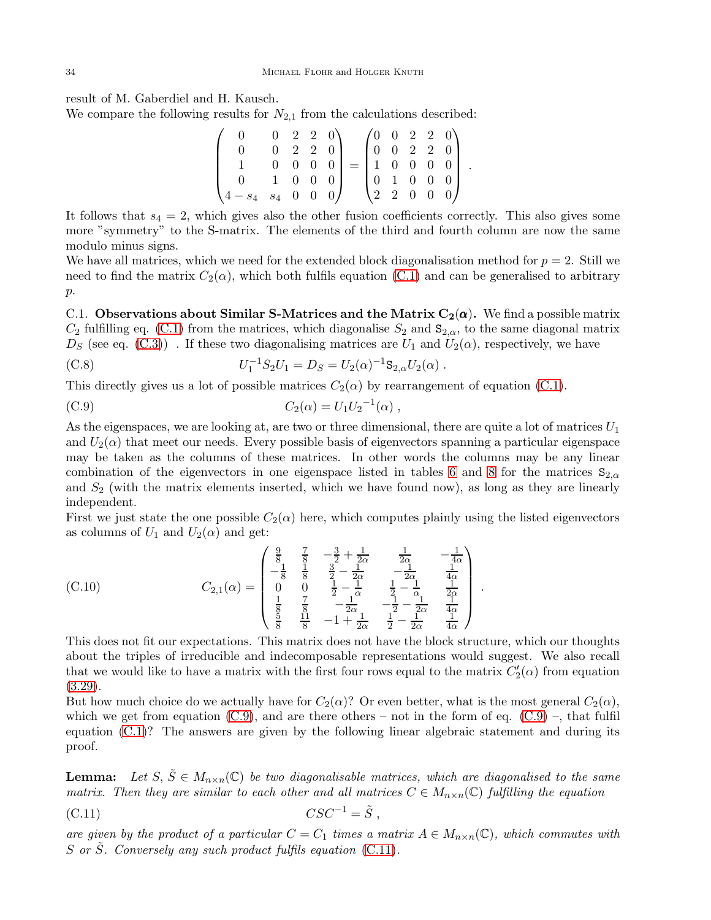result of M. Gaberdiel and H. Kausch.

We compare the following results for  $N_{2,1}$  from the calculations described:

$$
\begin{pmatrix} 0 & 0 & 2 & 2 & 0 \ 0 & 0 & 2 & 2 & 0 \ 1 & 0 & 0 & 0 & 0 \ 0 & 1 & 0 & 0 & 0 \ 4 - s_4 & s_4 & 0 & 0 & 0 \end{pmatrix} = \begin{pmatrix} 0 & 0 & 2 & 2 & 0 \ 0 & 0 & 2 & 2 & 0 \ 1 & 0 & 0 & 0 & 0 \ 0 & 1 & 0 & 0 & 0 \ 2 & 2 & 0 & 0 & 0 \end{pmatrix}.
$$

It follows that  $s_4 = 2$ , which gives also the other fusion coefficients correctly. This also gives some more "symmetry" to the S-matrix. The elements of the third and fourth column are now the same modulo minus signs.

We have all matrices, which we need for the extended block diagonalisation method for  $p = 2$ . Still we need to find the matrix  $C_2(\alpha)$ , which both fulfils equation [\(C.1\)](#page-31-3) and can be generalised to arbitrary p.

C.1. Observations about Similar S-Matrices and the Matrix  $C_2(\alpha)$ . We find a possible matrix  $C_2$  fulfilling eq. [\(C.1\)](#page-31-3) from the matrices, which diagonalise  $S_2$  and  $\mathbf{S}_{2,\alpha}$ , to the same diagonal matrix  $D<sub>S</sub>$  (see eq. [\(C.3\)](#page-32-3)). If these two diagonalising matrices are  $U<sub>1</sub>$  and  $U<sub>2</sub>(\alpha)$ , respectively, we have

<span id="page-34-2"></span>(C.8) 
$$
U_1^{-1}S_2U_1 = D_S = U_2(\alpha)^{-1}S_{2,\alpha}U_2(\alpha) .
$$

This directly gives us a lot of possible matrices  $C_2(\alpha)$  by rearrangement of equation [\(C.1\)](#page-31-3).

<span id="page-34-0"></span>(C.9) 
$$
C_2(\alpha) = U_1 U_2^{-1}(\alpha) ,
$$

As the eigenspaces, we are looking at, are two or three dimensional, there are quite a lot of matrices  $U_1$ and  $U_2(\alpha)$  that meet our needs. Every possible basis of eigenvectors spanning a particular eigenspace may be taken as the columns of these matrices. In other words the columns may be any linear combination of the eigenvectors in one eigenspace listed in tables [6](#page-32-4) and [8](#page-32-1) for the matrices  $S_{2,\alpha}$ and  $S_2$  (with the matrix elements inserted, which we have found now), as long as they are linearly independent.

First we just state the one possible  $C_2(\alpha)$  here, which computes plainly using the listed eigenvectors as columns of  $U_1$  and  $U_2(\alpha)$  and get:

<span id="page-34-3"></span>(C.10) 
$$
C_{2,1}(\alpha) = \begin{pmatrix} \frac{9}{8} & \frac{7}{8} & -\frac{3}{2} + \frac{1}{2\alpha} & \frac{1}{2\alpha} & -\frac{1}{4\alpha} \\ -\frac{1}{8} & \frac{1}{8} & \frac{3}{2} - \frac{1}{2\alpha} & -\frac{1}{2\alpha} & \frac{1}{4\alpha} \\ 0 & 0 & \frac{1}{2} - \frac{1}{\alpha} & \frac{1}{2} - \frac{1}{\alpha} & \frac{1}{2\alpha} \\ \frac{1}{8} & \frac{7}{8} & -\frac{1}{2\alpha} & -\frac{1}{2} - \frac{1}{2\alpha} & \frac{1}{4\alpha} \\ \frac{5}{8} & \frac{11}{8} & -1 + \frac{1}{2\alpha} & \frac{1}{2} - \frac{1}{2\alpha} & \frac{1}{4\alpha} \end{pmatrix}.
$$

This does not fit our expectations. This matrix does not have the block structure, which our thoughts about the triples of irreducible and indecomposable representations would suggest. We also recall that we would like to have a matrix with the first four rows equal to the matrix  $C_2'(\alpha)$  from equation [\(3.29\)](#page-13-0).

But how much choice do we actually have for  $C_2(\alpha)$ ? Or even better, what is the most general  $C_2(\alpha)$ , which we get from equation  $(C.9)$ , and are there others – not in the form of eq.  $(C.9)$  –, that fulfil equation [\(C.1\)](#page-31-3)? The answers are given by the following linear algebraic statement and during its proof.

**Lemma:** Let  $S, \tilde{S} \in M_{n \times n}(\mathbb{C})$  be two diagonalisable matrices, which are diagonalised to the same matrix. Then they are similar to each other and all matrices  $C \in M_{n \times n}(\mathbb{C})$  fulfilling the equation

<span id="page-34-1"></span>
$$
(C.11) \t\t\t CSC^{-1} = \tilde{S} ,
$$

are given by the product of a particular  $C = C_1$  times a matrix  $A \in M_{n \times n}(\mathbb{C})$ , which commutes with S or  $\tilde{S}$ . Conversely any such product fulfils equation [\(C.11\)](#page-34-1).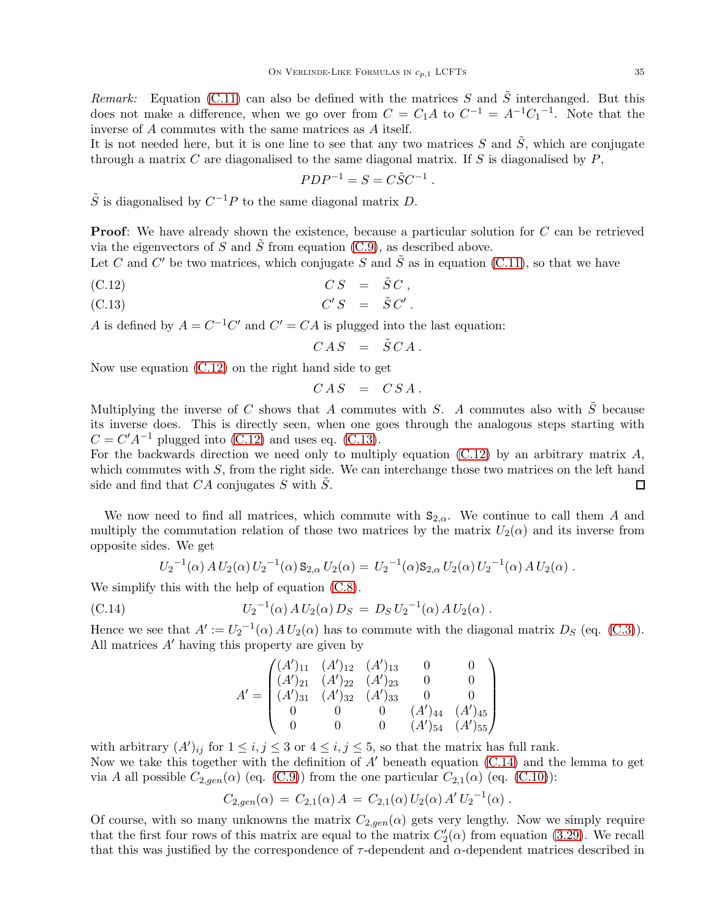Remark: Equation [\(C.11\)](#page-34-1) can also be defined with the matrices S and  $\tilde{S}$  interchanged. But this does not make a difference, when we go over from  $C = C_1 A$  to  $C^{-1} = A^{-1} C_1^{-1}$ . Note that the inverse of  $A$  commutes with the same matrices as  $A$  itself.

It is not needed here, but it is one line to see that any two matrices  $S$  and  $S$ , which are conjugate through a matrix  $C$  are diagonalised to the same diagonal matrix. If  $S$  is diagonalised by  $P$ ,

$$
PDP^{-1} = S = C\tilde{S}C^{-1}.
$$

 $\tilde{S}$  is diagonalised by  $C^{-1}P$  to the same diagonal matrix D.

**Proof:** We have already shown the existence, because a particular solution for C can be retrieved via the eigenvectors of S and  $\tilde{S}$  from equation [\(C.9\)](#page-34-0), as described above.

Let C and C' be two matrices, which conjugate S and  $\tilde{S}$  as in equation [\(C.11\)](#page-34-1), so that we have

(C.12) 
$$
CS = \tilde{S}C,
$$

(C.13)  $C'S = \tilde{S} C'$ .

A is defined by  $A = C^{-1}C'$  and  $C' = CA$  is plugged into the last equation:

<span id="page-35-0"></span>
$$
CAS = \tilde{S}CA.
$$

Now use equation [\(C.12\)](#page-35-0) on the right hand side to get

$$
CAS = CSA.
$$

Multiplying the inverse of C shows that A commutes with S. A commutes also with  $\tilde{S}$  because its inverse does. This is directly seen, when one goes through the analogous steps starting with  $C = C'A^{-1}$  plugged into [\(C.12\)](#page-35-0) and uses eq. [\(C.13\)](#page-35-0).

For the backwards direction we need only to multiply equation  $(C.12)$  by an arbitrary matrix A, which commutes with  $S$ , from the right side. We can interchange those two matrices on the left hand side and find that  $CA$  conjugates S with  $\overline{S}$ .  $\Box$ 

We now need to find all matrices, which commute with  $S_{2,\alpha}$ . We continue to call them A and multiply the commutation relation of those two matrices by the matrix  $U_2(\alpha)$  and its inverse from opposite sides. We get

$$
U_2^{-1}(\alpha) A U_2(\alpha) U_2^{-1}(\alpha) S_{2,\alpha} U_2(\alpha) = U_2^{-1}(\alpha) S_{2,\alpha} U_2(\alpha) U_2^{-1}(\alpha) A U_2(\alpha) .
$$

We simplify this with the help of equation  $(C.8)$ .

(C.14) 
$$
U_2^{-1}(\alpha) A U_2(\alpha) D_S = D_S U_2^{-1}(\alpha) A U_2(\alpha) .
$$

Hence we see that  $A' := U_2^{-1}(\alpha) A U_2(\alpha)$  has to commute with the diagonal matrix  $D_S$  (eq. [\(C.3\)](#page-32-3)). All matrices  $A'$  having this property are given by

<span id="page-35-1"></span>
$$
A' = \begin{pmatrix} (A')_{11} & (A')_{12} & (A')_{13} & 0 & 0 \\ (A')_{21} & (A')_{22} & (A')_{23} & 0 & 0 \\ (A')_{31} & (A')_{32} & (A')_{33} & 0 & 0 \\ 0 & 0 & 0 & (A')_{44} & (A')_{45} \\ 0 & 0 & 0 & (A')_{54} & (A')_{55} \end{pmatrix}
$$

with arbitrary  $(A')_{ij}$  for  $1 \leq i, j \leq 3$  or  $4 \leq i, j \leq 5$ , so that the matrix has full rank.

Now we take this together with the definition of  $A'$  beneath equation [\(C.14\)](#page-35-1) and the lemma to get via A all possible  $C_{2,gen}(\alpha)$  (eq. [\(C.9\)](#page-34-0)) from the one particular  $C_{2,1}(\alpha)$  (eq. [\(C.10\)](#page-34-3)):

$$
C_{2,gen}(\alpha) = C_{2,1}(\alpha) A = C_{2,1}(\alpha) U_2(\alpha) A' U_2^{-1}(\alpha) .
$$

Of course, with so many unknowns the matrix  $C_{2,gen}(\alpha)$  gets very lengthy. Now we simply require that the first four rows of this matrix are equal to the matrix  $C_2'(\alpha)$  from equation [\(3.29\)](#page-13-0). We recall that this was justified by the correspondence of  $\tau$ -dependent and  $\alpha$ -dependent matrices described in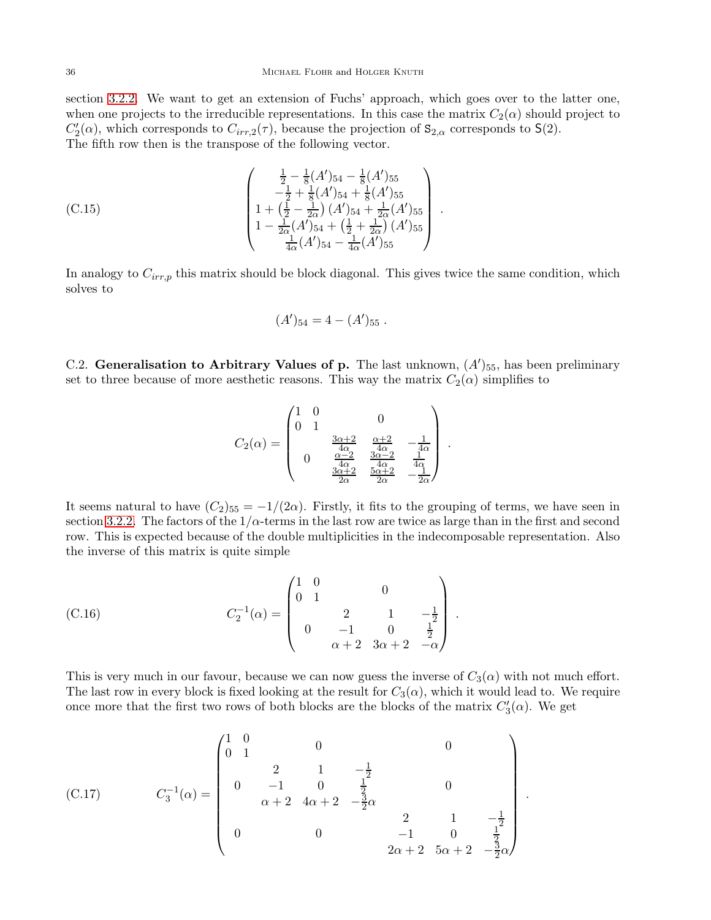section [3.2.2.](#page-12-3) We want to get an extension of Fuchs' approach, which goes over to the latter one, when one projects to the irreducible representations. In this case the matrix  $C_2(\alpha)$  should project to  $C'_2(\alpha)$ , which corresponds to  $C_{irr,2}(\tau)$ , because the projection of  $\mathbf{S}_{2,\alpha}$  corresponds to  $\mathsf{S}(2)$ . The fifth row then is the transpose of the following vector.

$$
(C.15) \qquad \begin{pmatrix} \frac{1}{2} - \frac{1}{8}(A')_{54} - \frac{1}{8}(A')_{55} \\ -\frac{1}{2} + \frac{1}{8}(A')_{54} + \frac{1}{8}(A')_{55} \\ 1 + \left(\frac{1}{2} - \frac{1}{2\alpha}\right)(A')_{54} + \frac{1}{2\alpha}(A')_{55} \\ 1 - \frac{1}{2\alpha}(A')_{54} + \left(\frac{1}{2} + \frac{1}{2\alpha}\right)(A')_{55} \\ \frac{1}{4\alpha}(A')_{54} - \frac{1}{4\alpha}(A')_{55} \end{pmatrix}.
$$

In analogy to  $C_{irr,p}$  this matrix should be block diagonal. This gives twice the same condition, which solves to

$$
(A')_{54} = 4 - (A')_{55} .
$$

C.2. Generalisation to Arbitrary Values of p. The last unknown,  $(A')_{55}$ , has been preliminary set to three because of more aesthetic reasons. This way the matrix  $C_2(\alpha)$  simplifies to

$$
C_2(\alpha) = \begin{pmatrix} 1 & 0 & & & \\ 0 & 1 & & & \\ & & \frac{3\alpha+2}{4\alpha} & \frac{\alpha+2}{4\alpha} & -\frac{1}{4\alpha} \\ & & & \frac{\alpha-2}{4\alpha} & \frac{3\alpha-2}{4\alpha} & \frac{1}{4\alpha} \\ & & & \frac{3\alpha+2}{2\alpha} & \frac{5\alpha+2}{2\alpha} & -\frac{1}{2\alpha} \end{pmatrix}.
$$

It seems natural to have  $(C_2)_{55} = -1/(2\alpha)$ . Firstly, it fits to the grouping of terms, we have seen in section [3.2.2.](#page-12-3) The factors of the  $1/\alpha$ -terms in the last row are twice as large than in the first and second row. This is expected because of the double multiplicities in the indecomposable representation. Also the inverse of this matrix is quite simple

<span id="page-36-0"></span>(C.16) 
$$
C_2^{-1}(\alpha) = \begin{pmatrix} 1 & 0 & & & & \\ 0 & 1 & & & & \\ & & 2 & 1 & -\frac{1}{2} \\ & & & -1 & 0 & \frac{1}{2} \\ & & & \alpha + 2 & 3\alpha + 2 & -\alpha \end{pmatrix}.
$$

This is very much in our favour, because we can now guess the inverse of  $C_3(\alpha)$  with not much effort. The last row in every block is fixed looking at the result for  $C_3(\alpha)$ , which it would lead to. We require once more that the first two rows of both blocks are the blocks of the matrix  $C_3'(\alpha)$ . We get

.

<span id="page-36-1"></span>(C.17) C −1 3 (α) = 1 0 0 1 0 0 0 2 1 − 1 2 <sup>−</sup>1 0 <sup>1</sup> 2 α + 2 4α + 2 − 3 2 α 0 0 0 2 1 − 1 2 <sup>−</sup>1 0 <sup>1</sup> 2 2α + 2 5α + 2 − 3 2 α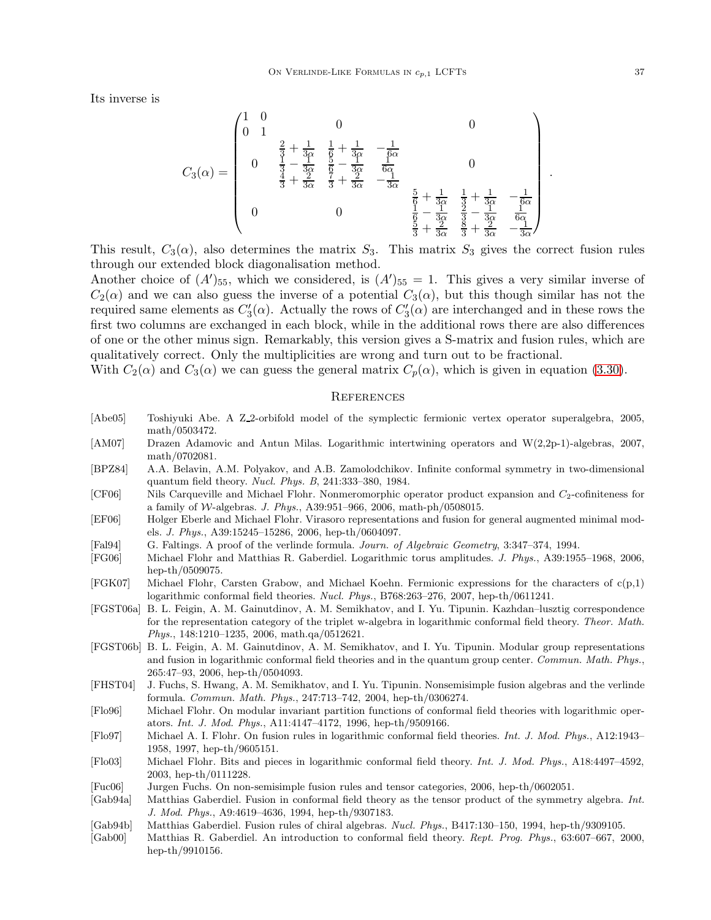Its inverse is

$$
C_3(\alpha)=\begin{pmatrix}1&0&0&0\\0&1& & & &\\&\frac{2}{3}+\frac{1}{3\alpha}&\frac{1}{6}+\frac{1}{3\alpha}&-\frac{1}{6\alpha}&&\\&\frac{1}{3}-\frac{1}{3\alpha}&\frac{5}{6}-\frac{1}{3\alpha}&\frac{1}{6\alpha}&&\\&\frac{4}{3}+\frac{2}{3\alpha}&\frac{7}{3}+\frac{2}{3\alpha}&-\frac{1}{3\alpha}&&\\&0&0&\frac{5}{6}+\frac{1}{3\alpha}&\frac{1}{3}+\frac{1}{3\alpha}&-\frac{1}{6\alpha}\\\&0&0&\frac{1}{6}-\frac{1}{3\alpha}&\frac{3}{3}-\frac{1}{3\alpha}&\frac{1}{6\alpha}\\\frac{5}{3}+\frac{1}{3\alpha}&\frac{3}{3}+\frac{1}{3\alpha}&-\frac{1}{3\alpha}\end{pmatrix}
$$

This result,  $C_3(\alpha)$ , also determines the matrix  $S_3$ . This matrix  $S_3$  gives the correct fusion rules through our extended block diagonalisation method.

Another choice of  $(A')_{55}$ , which we considered, is  $(A')_{55} = 1$ . This gives a very similar inverse of  $C_2(\alpha)$  and we can also guess the inverse of a potential  $C_3(\alpha)$ , but this though similar has not the required same elements as  $C'_3(\alpha)$ . Actually the rows of  $C'_3(\alpha)$  are interchanged and in these rows the first two columns are exchanged in each block, while in the additional rows there are also differences of one or the other minus sign. Remarkably, this version gives a S-matrix and fusion rules, which are qualitatively correct. Only the multiplicities are wrong and turn out to be fractional.

With  $C_2(\alpha)$  and  $C_3(\alpha)$  we can guess the general matrix  $C_p(\alpha)$ , which is given in equation [\(3.30\)](#page-14-2).

## **REFERENCES**

- <span id="page-37-14"></span>[Abe05] Toshiyuki Abe. A Z 2-orbifold model of the symplectic fermionic vertex operator superalgebra, 2005, math/0503472.
- <span id="page-37-6"></span>[AM07] Drazen Adamovic and Antun Milas. Logarithmic intertwining operators and W(2,2p-1)-algebras, 2007, math/0702081.
- <span id="page-37-17"></span>[BPZ84] A.A. Belavin, A.M. Polyakov, and A.B. Zamolodchikov. Infinite conformal symmetry in two-dimensional quantum field theory. Nucl. Phys. B, 241:333–380, 1984.
- <span id="page-37-4"></span>[CF06] Nils Carqueville and Michael Flohr. Nonmeromorphic operator product expansion and C2-cofiniteness for a family of W-algebras. J. Phys., A39:951-966, 2006, math-ph/0508015.
- <span id="page-37-12"></span>[EF06] Holger Eberle and Michael Flohr. Virasoro representations and fusion for general augmented minimal models. J. Phys., A39:15245–15286, 2006, hep-th/0604097.
- <span id="page-37-0"></span>[Fal94] G. Faltings. A proof of the verlinde formula. Journ. of Algebraic Geometry, 3:347–374, 1994.
- <span id="page-37-13"></span>[FG06] Michael Flohr and Matthias R. Gaberdiel. Logarithmic torus amplitudes. J. Phys., A39:1955–1968, 2006, hep-th/0509075.
- <span id="page-37-5"></span>[FGK07] Michael Flohr, Carsten Grabow, and Michael Koehn. Fermionic expressions for the characters of c(p,1) logarithmic conformal field theories. Nucl. Phys., B768:263–276, 2007, hep-th/0611241.
- <span id="page-37-7"></span>[FGST06a] B. L. Feigin, A. M. Gainutdinov, A. M. Semikhatov, and I. Yu. Tipunin. Kazhdan–lusztig correspondence for the representation category of the triplet w-algebra in logarithmic conformal field theory. Theor. Math. Phys., 148:1210–1235, 2006, math.qa/0512621.
- <span id="page-37-8"></span>[FGST06b] B. L. Feigin, A. M. Gainutdinov, A. M. Semikhatov, and I. Yu. Tipunin. Modular group representations and fusion in logarithmic conformal field theories and in the quantum group center. Commun. Math. Phys., 265:47–93, 2006, hep-th/0504093.
- <span id="page-37-16"></span>[FHST04] J. Fuchs, S. Hwang, A. M. Semikhatov, and I. Yu. Tipunin. Nonsemisimple fusion algebras and the verlinde formula. Commun. Math. Phys., 247:713–742, 2004, hep-th/0306274.
- <span id="page-37-1"></span>[Flo96] Michael Flohr. On modular invariant partition functions of conformal field theories with logarithmic operators. Int. J. Mod. Phys., A11:4147–4172, 1996, hep-th/9509166.
- <span id="page-37-2"></span>[Flo97] Michael A. I. Flohr. On fusion rules in logarithmic conformal field theories. Int. J. Mod. Phys., A12:1943– 1958, 1997, hep-th/9605151.
- <span id="page-37-3"></span>[Flo03] Michael Flohr. Bits and pieces in logarithmic conformal field theory. Int. J. Mod. Phys., A18:4497–4592, 2003, hep-th/0111228.
- <span id="page-37-15"></span>[Fuc06] Jurgen Fuchs. On non-semisimple fusion rules and tensor categories, 2006, hep-th/0602051.
- <span id="page-37-10"></span>[Gab94a] Matthias Gaberdiel. Fusion in conformal field theory as the tensor product of the symmetry algebra. Int. J. Mod. Phys., A9:4619–4636, 1994, hep-th/9307183.
- <span id="page-37-11"></span>[Gab94b] Matthias Gaberdiel. Fusion rules of chiral algebras. Nucl. Phys., B417:130–150, 1994, hep-th/9309105.
- <span id="page-37-9"></span>[Gab00] Matthias R. Gaberdiel. An introduction to conformal field theory. Rept. Prog. Phys., 63:607–667, 2000, hep-th/9910156.

.